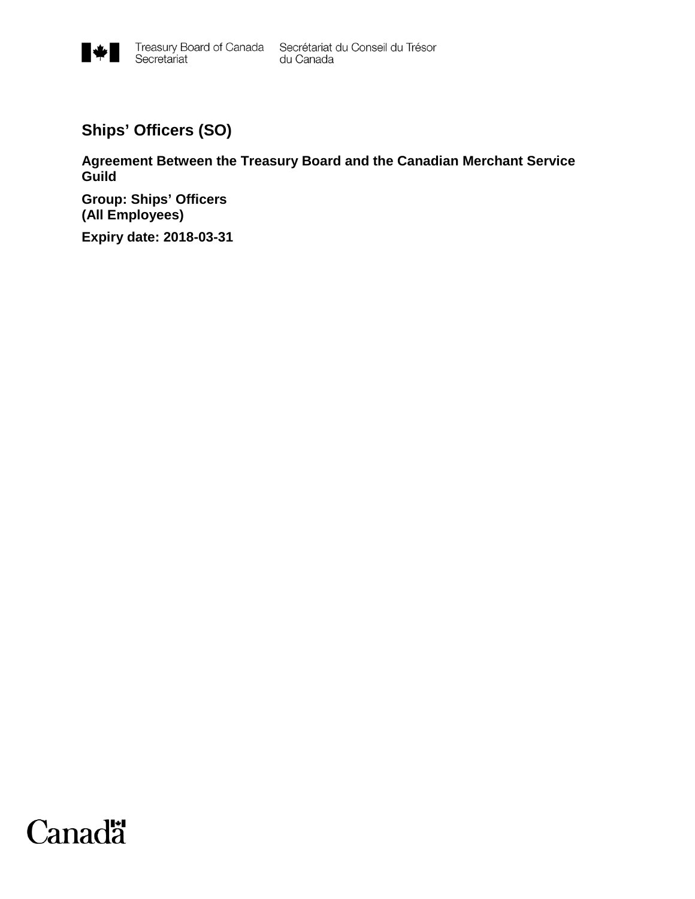

**Ships' Officers (SO)**

**Agreement Between the Treasury Board and the Canadian Merchant Service Guild**

**Group: Ships' Officers (All Employees)**

**Expiry date: 2018-03-31**

# **Canadä**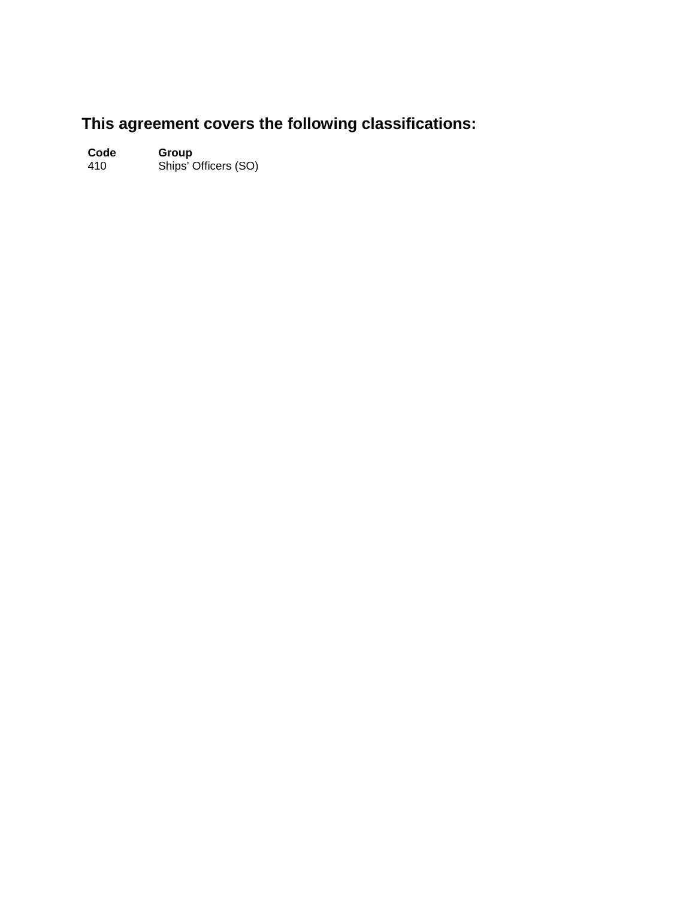# **This agreement covers the following classifications:**

**Code Group** 410 Ships' Officers (SO)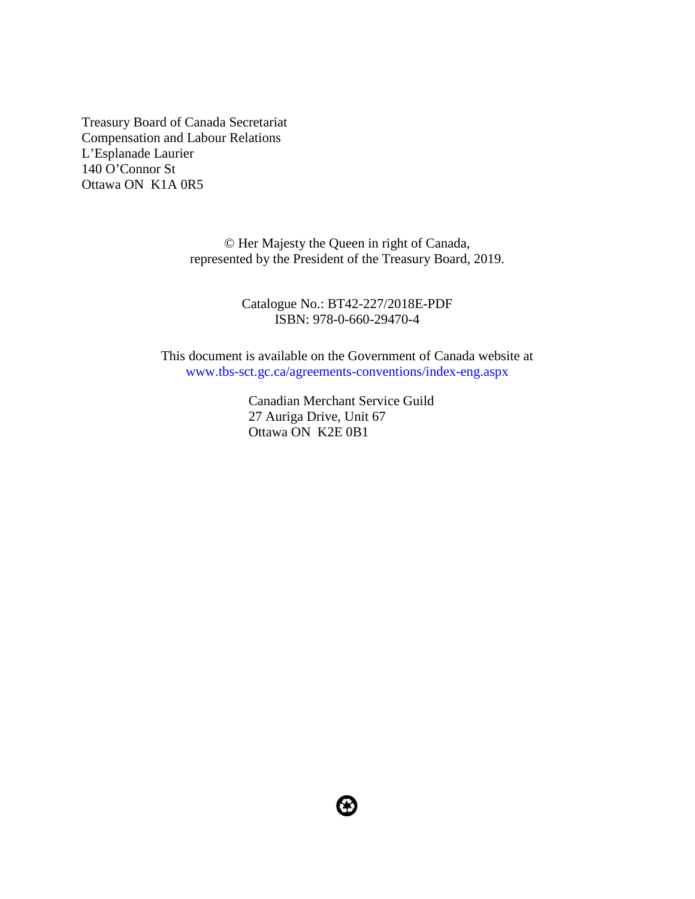Treasury Board of Canada Secretariat Compensation and Labour Relations L'Esplanade Laurier 140 O'Connor St Ottawa ON K1A 0R5

> © Her Majesty the Queen in right of Canada, represented by the President of the Treasury Board, 2019.

> > Catalogue No.: BT42-227/2018E-PDF ISBN: 978-0-660-29470-4

This document is available on the Government of Canada website at [www.tbs-sct.gc.ca/agreements-conventions/index-eng.aspx](http://www.tbs-sct.gc.ca/agreements-conventions/index-eng.aspx)

> Canadian Merchant Service Guild 27 Auriga Drive, Unit 67 Ottawa ON K2E 0B1

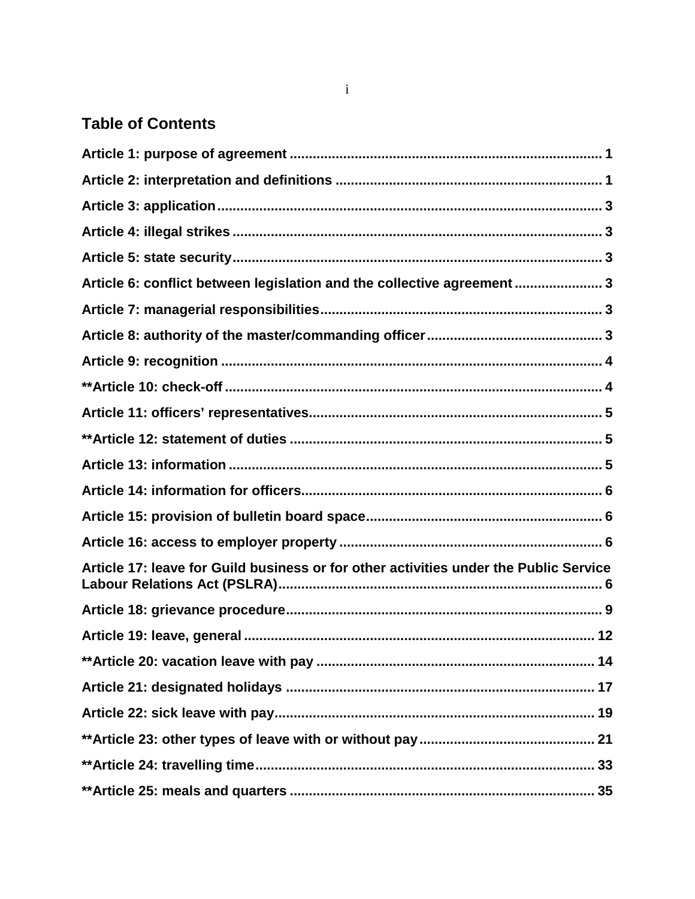# **Table of Contents**

| Article 6: conflict between legislation and the collective agreement  3               |
|---------------------------------------------------------------------------------------|
|                                                                                       |
|                                                                                       |
|                                                                                       |
|                                                                                       |
|                                                                                       |
|                                                                                       |
|                                                                                       |
|                                                                                       |
|                                                                                       |
|                                                                                       |
| Article 17: leave for Guild business or for other activities under the Public Service |
|                                                                                       |
|                                                                                       |
|                                                                                       |
|                                                                                       |
|                                                                                       |
|                                                                                       |
|                                                                                       |
|                                                                                       |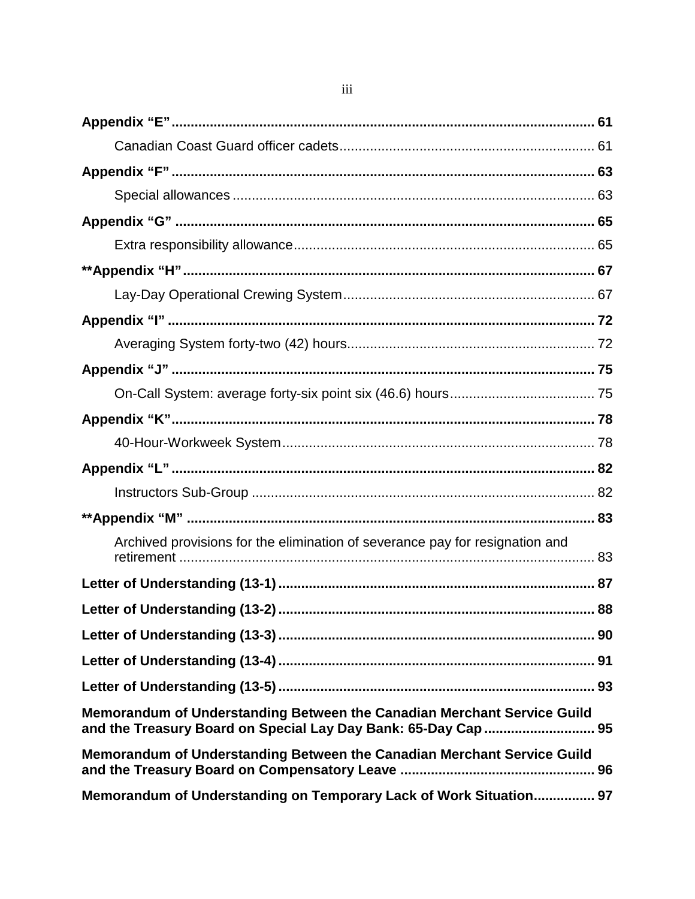| Archived provisions for the elimination of severance pay for resignation and                                                              |
|-------------------------------------------------------------------------------------------------------------------------------------------|
|                                                                                                                                           |
|                                                                                                                                           |
|                                                                                                                                           |
|                                                                                                                                           |
|                                                                                                                                           |
| Memorandum of Understanding Between the Canadian Merchant Service Guild<br>and the Treasury Board on Special Lay Day Bank: 65-Day Cap  95 |
| Memorandum of Understanding Between the Canadian Merchant Service Guild                                                                   |
| Memorandum of Understanding on Temporary Lack of Work Situation 97                                                                        |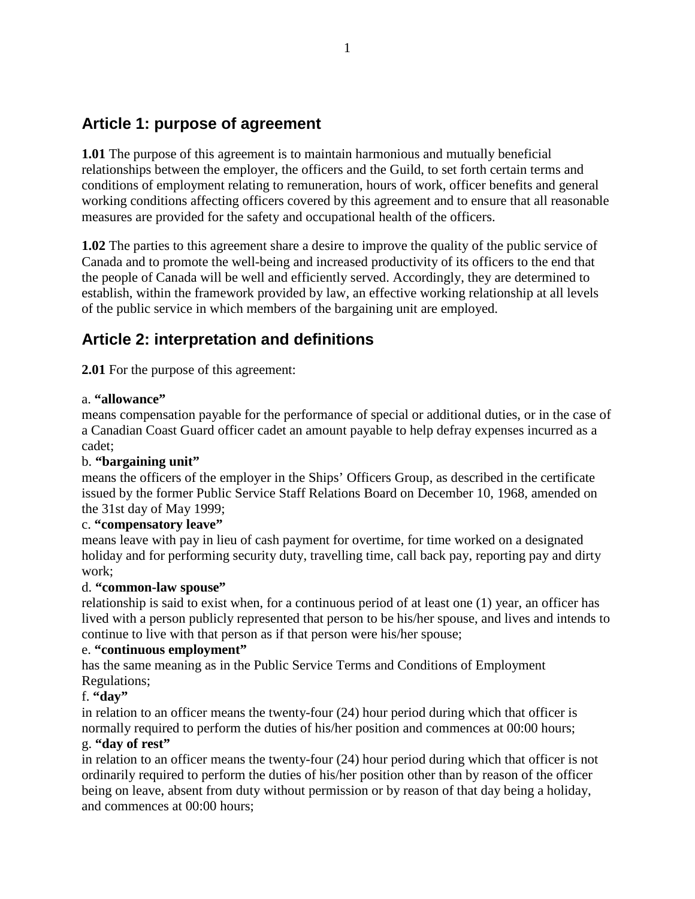# <span id="page-8-0"></span>**Article 1: purpose of agreement**

**1.01** The purpose of this agreement is to maintain harmonious and mutually beneficial relationships between the employer, the officers and the Guild, to set forth certain terms and conditions of employment relating to remuneration, hours of work, officer benefits and general working conditions affecting officers covered by this agreement and to ensure that all reasonable measures are provided for the safety and occupational health of the officers.

**1.02** The parties to this agreement share a desire to improve the quality of the public service of Canada and to promote the well-being and increased productivity of its officers to the end that the people of Canada will be well and efficiently served. Accordingly, they are determined to establish, within the framework provided by law, an effective working relationship at all levels of the public service in which members of the bargaining unit are employed.

# <span id="page-8-1"></span>**Article 2: interpretation and definitions**

**2.01** For the purpose of this agreement:

#### a. **"allowance"**

means compensation payable for the performance of special or additional duties, or in the case of a Canadian Coast Guard officer cadet an amount payable to help defray expenses incurred as a cadet;

#### b. **"bargaining unit"**

means the officers of the employer in the Ships' Officers Group, as described in the certificate issued by the former Public Service Staff Relations Board on December 10, 1968, amended on the 31st day of May 1999;

#### c. **"compensatory leave"**

means leave with pay in lieu of cash payment for overtime, for time worked on a designated holiday and for performing security duty, travelling time, call back pay, reporting pay and dirty work;

#### d. **"common-law spouse"**

relationship is said to exist when, for a continuous period of at least one (1) year, an officer has lived with a person publicly represented that person to be his/her spouse, and lives and intends to continue to live with that person as if that person were his/her spouse;

#### e. **"continuous employment"**

has the same meaning as in the Public Service Terms and Conditions of Employment Regulations;

#### f. **"day"**

in relation to an officer means the twenty-four (24) hour period during which that officer is normally required to perform the duties of his/her position and commences at 00:00 hours; g. **"day of rest"**

in relation to an officer means the twenty-four (24) hour period during which that officer is not ordinarily required to perform the duties of his/her position other than by reason of the officer being on leave, absent from duty without permission or by reason of that day being a holiday, and commences at 00:00 hours;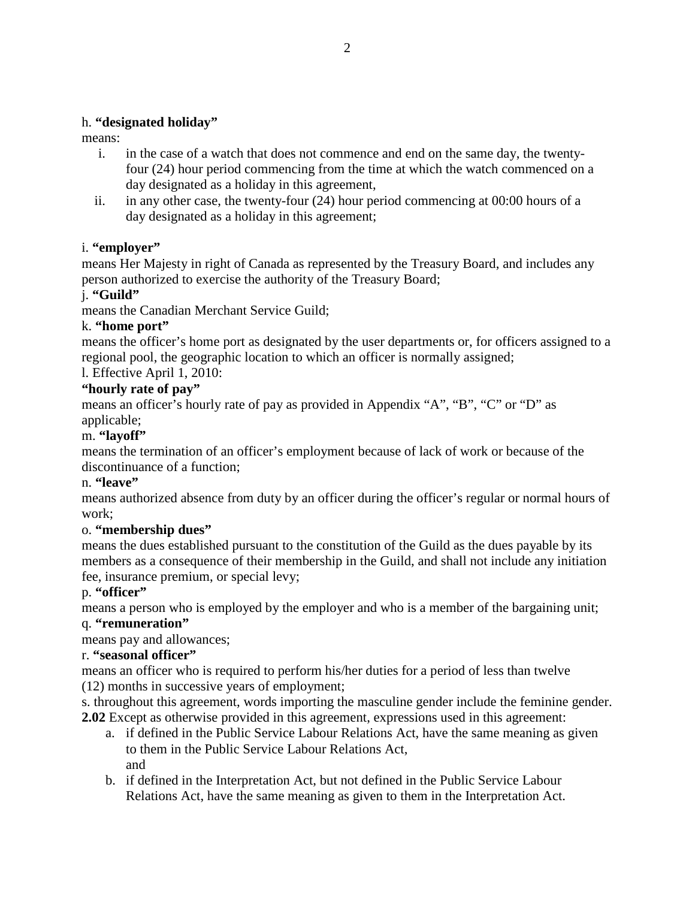#### h. **"designated holiday"**

means:

- i. in the case of a watch that does not commence and end on the same day, the twentyfour (24) hour period commencing from the time at which the watch commenced on a day designated as a holiday in this agreement,
- ii. in any other case, the twenty-four (24) hour period commencing at 00:00 hours of a day designated as a holiday in this agreement;

#### i. **"employer"**

means Her Majesty in right of Canada as represented by the Treasury Board, and includes any person authorized to exercise the authority of the Treasury Board;

#### j. **"Guild"**

means the Canadian Merchant Service Guild;

#### k. **"home port"**

means the officer's home port as designated by the user departments or, for officers assigned to a regional pool, the geographic location to which an officer is normally assigned;

#### l. Effective April 1, 2010:

#### **"hourly rate of pay"**

means an officer's hourly rate of pay as provided in Appendix "A", "B", "C" or "D" as applicable;

#### m. **"layoff"**

means the termination of an officer's employment because of lack of work or because of the discontinuance of a function;

#### n. **"leave"**

means authorized absence from duty by an officer during the officer's regular or normal hours of work;

#### o. **"membership dues"**

means the dues established pursuant to the constitution of the Guild as the dues payable by its members as a consequence of their membership in the Guild, and shall not include any initiation fee, insurance premium, or special levy;

#### p. **"officer"**

means a person who is employed by the employer and who is a member of the bargaining unit;

#### q. **"remuneration"**

means pay and allowances;

#### r. **"seasonal officer"**

means an officer who is required to perform his/her duties for a period of less than twelve (12) months in successive years of employment;

s. throughout this agreement, words importing the masculine gender include the feminine gender. **2.02** Except as otherwise provided in this agreement, expressions used in this agreement:

- a. if defined in the Public Service Labour Relations Act, have the same meaning as given to them in the Public Service Labour Relations Act, and
- b. if defined in the Interpretation Act, but not defined in the Public Service Labour Relations Act, have the same meaning as given to them in the Interpretation Act.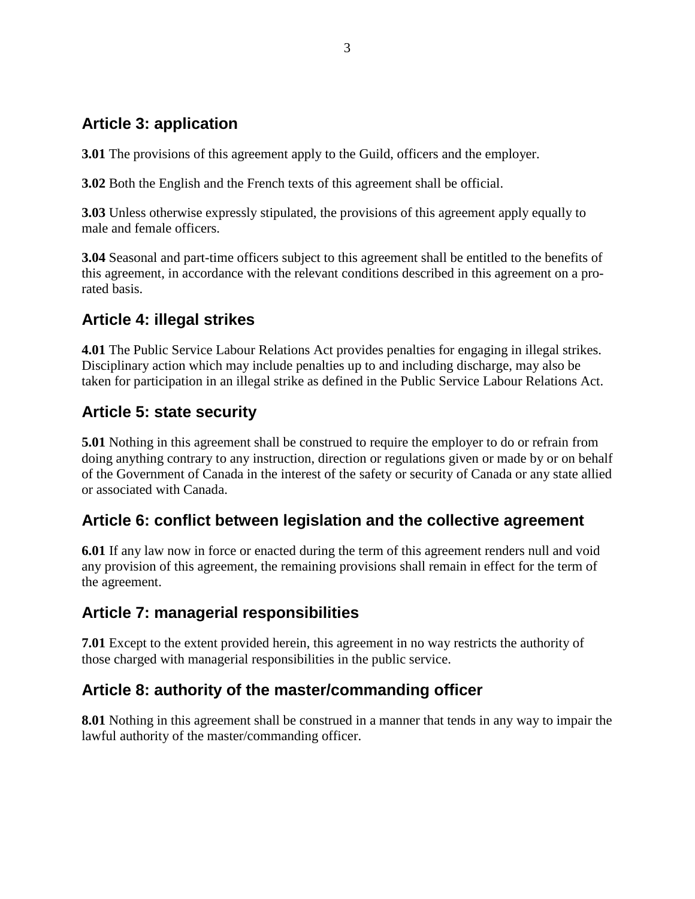# <span id="page-10-0"></span>**Article 3: application**

**3.01** The provisions of this agreement apply to the Guild, officers and the employer.

**3.02** Both the English and the French texts of this agreement shall be official.

**3.03** Unless otherwise expressly stipulated, the provisions of this agreement apply equally to male and female officers.

**3.04** Seasonal and part-time officers subject to this agreement shall be entitled to the benefits of this agreement, in accordance with the relevant conditions described in this agreement on a prorated basis.

# <span id="page-10-1"></span>**Article 4: illegal strikes**

**4.01** The Public Service Labour Relations Act provides penalties for engaging in illegal strikes. Disciplinary action which may include penalties up to and including discharge, may also be taken for participation in an illegal strike as defined in the Public Service Labour Relations Act.

# <span id="page-10-2"></span>**Article 5: state security**

**5.01** Nothing in this agreement shall be construed to require the employer to do or refrain from doing anything contrary to any instruction, direction or regulations given or made by or on behalf of the Government of Canada in the interest of the safety or security of Canada or any state allied or associated with Canada.

# <span id="page-10-3"></span>**Article 6: conflict between legislation and the collective agreement**

**6.01** If any law now in force or enacted during the term of this agreement renders null and void any provision of this agreement, the remaining provisions shall remain in effect for the term of the agreement.

# <span id="page-10-4"></span>**Article 7: managerial responsibilities**

**7.01** Except to the extent provided herein, this agreement in no way restricts the authority of those charged with managerial responsibilities in the public service.

# <span id="page-10-5"></span>**Article 8: authority of the master/commanding officer**

**8.01** Nothing in this agreement shall be construed in a manner that tends in any way to impair the lawful authority of the master/commanding officer.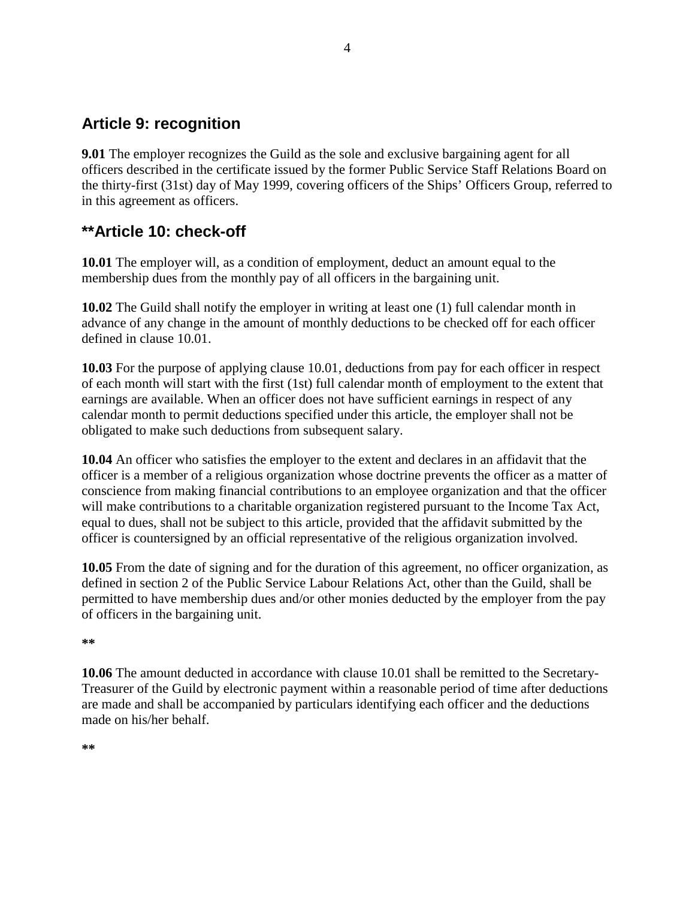# <span id="page-11-0"></span>**Article 9: recognition**

**9.01** The employer recognizes the Guild as the sole and exclusive bargaining agent for all officers described in the certificate issued by the former Public Service Staff Relations Board on the thirty-first (31st) day of May 1999, covering officers of the Ships' Officers Group, referred to in this agreement as officers.

# <span id="page-11-1"></span>**\*\*Article 10: check-off**

**10.01** The employer will, as a condition of employment, deduct an amount equal to the membership dues from the monthly pay of all officers in the bargaining unit.

**10.02** The Guild shall notify the employer in writing at least one (1) full calendar month in advance of any change in the amount of monthly deductions to be checked off for each officer defined in clause 10.01.

**10.03** For the purpose of applying clause 10.01, deductions from pay for each officer in respect of each month will start with the first (1st) full calendar month of employment to the extent that earnings are available. When an officer does not have sufficient earnings in respect of any calendar month to permit deductions specified under this article, the employer shall not be obligated to make such deductions from subsequent salary.

**10.04** An officer who satisfies the employer to the extent and declares in an affidavit that the officer is a member of a religious organization whose doctrine prevents the officer as a matter of conscience from making financial contributions to an employee organization and that the officer will make contributions to a charitable organization registered pursuant to the Income Tax Act, equal to dues, shall not be subject to this article, provided that the affidavit submitted by the officer is countersigned by an official representative of the religious organization involved.

**10.05** From the date of signing and for the duration of this agreement, no officer organization, as defined in section 2 of the Public Service Labour Relations Act, other than the Guild, shall be permitted to have membership dues and/or other monies deducted by the employer from the pay of officers in the bargaining unit.

**\*\***

**10.06** The amount deducted in accordance with clause 10.01 shall be remitted to the Secretary-Treasurer of the Guild by electronic payment within a reasonable period of time after deductions are made and shall be accompanied by particulars identifying each officer and the deductions made on his/her behalf.

**\*\***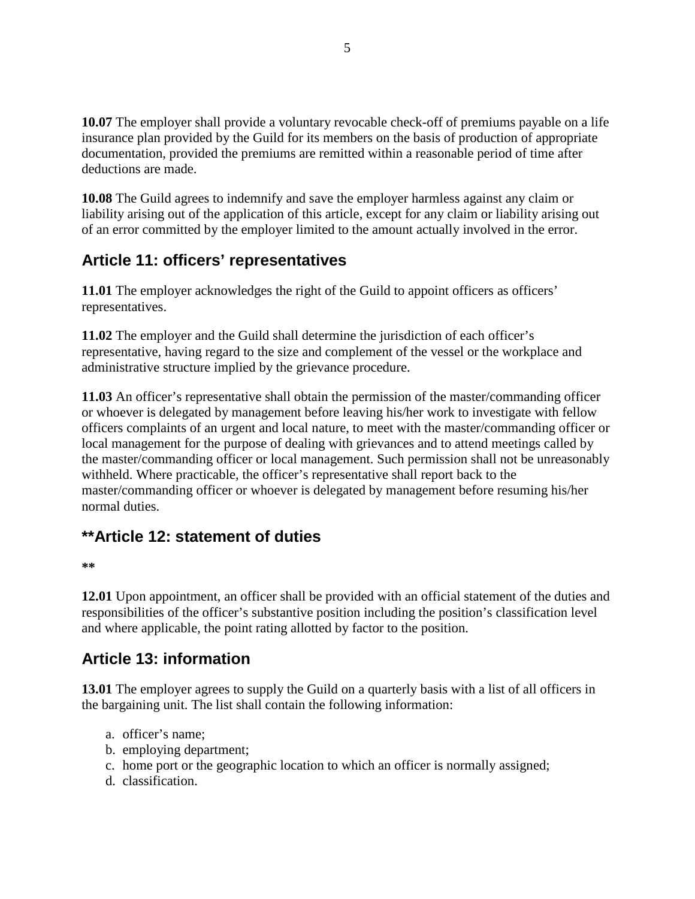**10.07** The employer shall provide a voluntary revocable check-off of premiums payable on a life insurance plan provided by the Guild for its members on the basis of production of appropriate documentation, provided the premiums are remitted within a reasonable period of time after deductions are made.

**10.08** The Guild agrees to indemnify and save the employer harmless against any claim or liability arising out of the application of this article, except for any claim or liability arising out of an error committed by the employer limited to the amount actually involved in the error.

# <span id="page-12-0"></span>**Article 11: officers' representatives**

**11.01** The employer acknowledges the right of the Guild to appoint officers as officers' representatives.

**11.02** The employer and the Guild shall determine the jurisdiction of each officer's representative, having regard to the size and complement of the vessel or the workplace and administrative structure implied by the grievance procedure.

**11.03** An officer's representative shall obtain the permission of the master/commanding officer or whoever is delegated by management before leaving his/her work to investigate with fellow officers complaints of an urgent and local nature, to meet with the master/commanding officer or local management for the purpose of dealing with grievances and to attend meetings called by the master/commanding officer or local management. Such permission shall not be unreasonably withheld. Where practicable, the officer's representative shall report back to the master/commanding officer or whoever is delegated by management before resuming his/her normal duties.

# <span id="page-12-1"></span>**\*\*Article 12: statement of duties**

**\*\***

**12.01** Upon appointment, an officer shall be provided with an official statement of the duties and responsibilities of the officer's substantive position including the position's classification level and where applicable, the point rating allotted by factor to the position.

# <span id="page-12-2"></span>**Article 13: information**

**13.01** The employer agrees to supply the Guild on a quarterly basis with a list of all officers in the bargaining unit. The list shall contain the following information:

- a. officer's name;
- b. employing department;
- c. home port or the geographic location to which an officer is normally assigned;
- d. classification.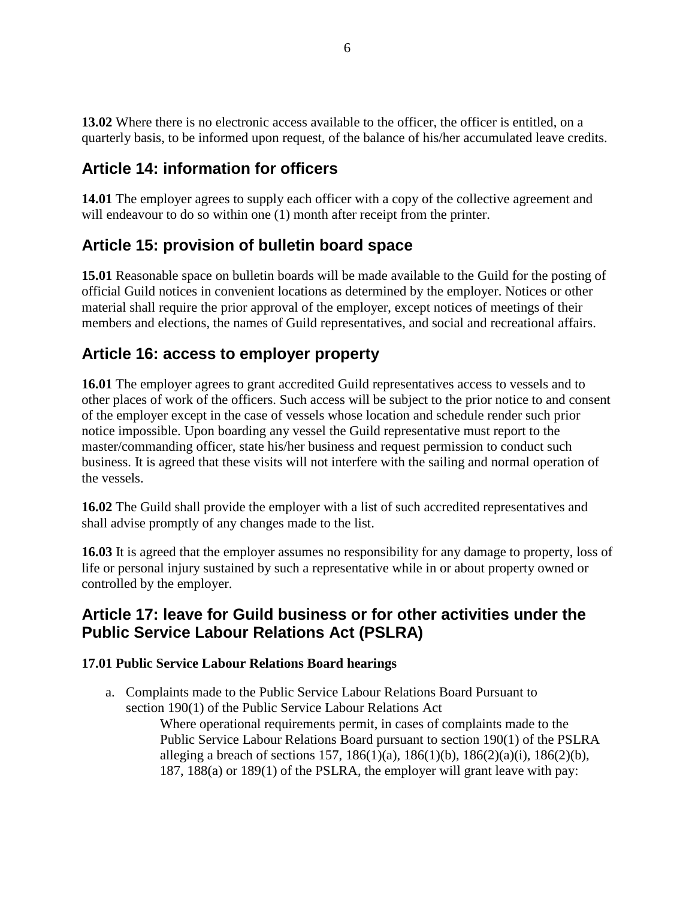**13.02** Where there is no electronic access available to the officer, the officer is entitled, on a quarterly basis, to be informed upon request, of the balance of his/her accumulated leave credits.

# <span id="page-13-0"></span>**Article 14: information for officers**

**14.01** The employer agrees to supply each officer with a copy of the collective agreement and will endeavour to do so within one (1) month after receipt from the printer.

# <span id="page-13-1"></span>**Article 15: provision of bulletin board space**

**15.01** Reasonable space on bulletin boards will be made available to the Guild for the posting of official Guild notices in convenient locations as determined by the employer. Notices or other material shall require the prior approval of the employer, except notices of meetings of their members and elections, the names of Guild representatives, and social and recreational affairs.

# <span id="page-13-2"></span>**Article 16: access to employer property**

**16.01** The employer agrees to grant accredited Guild representatives access to vessels and to other places of work of the officers. Such access will be subject to the prior notice to and consent of the employer except in the case of vessels whose location and schedule render such prior notice impossible. Upon boarding any vessel the Guild representative must report to the master/commanding officer, state his/her business and request permission to conduct such business. It is agreed that these visits will not interfere with the sailing and normal operation of the vessels.

**16.02** The Guild shall provide the employer with a list of such accredited representatives and shall advise promptly of any changes made to the list.

**16.03** It is agreed that the employer assumes no responsibility for any damage to property, loss of life or personal injury sustained by such a representative while in or about property owned or controlled by the employer.

# <span id="page-13-3"></span>**Article 17: leave for Guild business or for other activities under the Public Service Labour Relations Act (PSLRA)**

#### **17.01 Public Service Labour Relations Board hearings**

a. Complaints made to the Public Service Labour Relations Board Pursuant to section 190(1) of the Public Service Labour Relations Act

Where operational requirements permit, in cases of complaints made to the Public Service Labour Relations Board pursuant to section 190(1) of the PSLRA alleging a breach of sections 157, 186(1)(a), 186(1)(b), 186(2)(a)(i), 186(2)(b), 187, 188(a) or 189(1) of the PSLRA, the employer will grant leave with pay: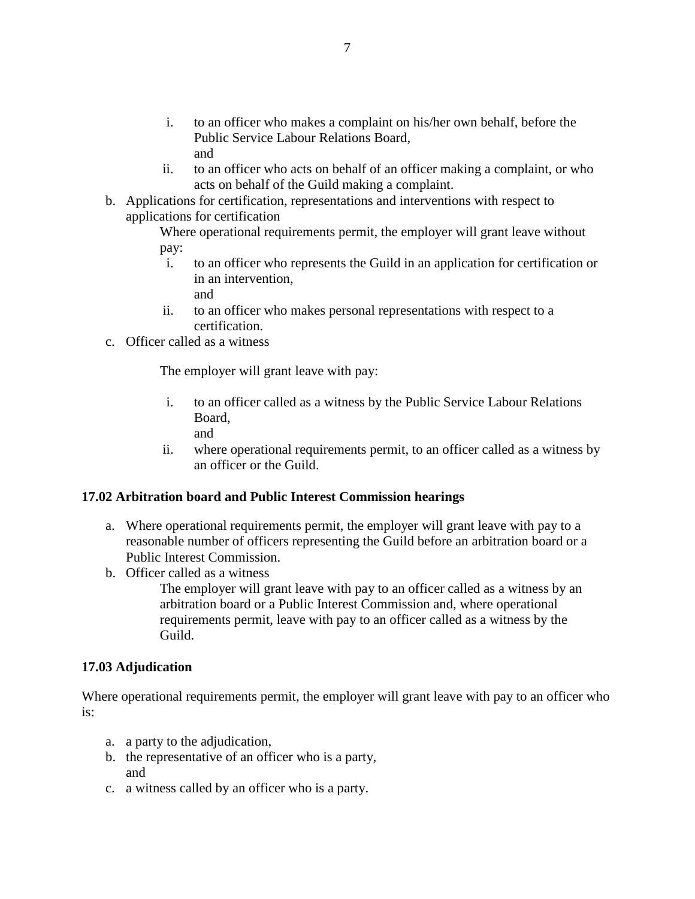- i. to an officer who makes a complaint on his/her own behalf, before the Public Service Labour Relations Board, and
- ii. to an officer who acts on behalf of an officer making a complaint, or who acts on behalf of the Guild making a complaint.
- b. Applications for certification, representations and interventions with respect to applications for certification

Where operational requirements permit, the employer will grant leave without pay:

- i. to an officer who represents the Guild in an application for certification or in an intervention, and
- ii. to an officer who makes personal representations with respect to a certification.
- c. Officer called as a witness

The employer will grant leave with pay:

- i. to an officer called as a witness by the Public Service Labour Relations Board,
	- and
- ii. where operational requirements permit, to an officer called as a witness by an officer or the Guild.

#### **17.02 Arbitration board and Public Interest Commission hearings**

- a. Where operational requirements permit, the employer will grant leave with pay to a reasonable number of officers representing the Guild before an arbitration board or a Public Interest Commission.
- b. Officer called as a witness

The employer will grant leave with pay to an officer called as a witness by an arbitration board or a Public Interest Commission and, where operational requirements permit, leave with pay to an officer called as a witness by the Guild.

#### **17.03 Adjudication**

Where operational requirements permit, the employer will grant leave with pay to an officer who is:

- a. a party to the adjudication,
- b. the representative of an officer who is a party, and
- c. a witness called by an officer who is a party.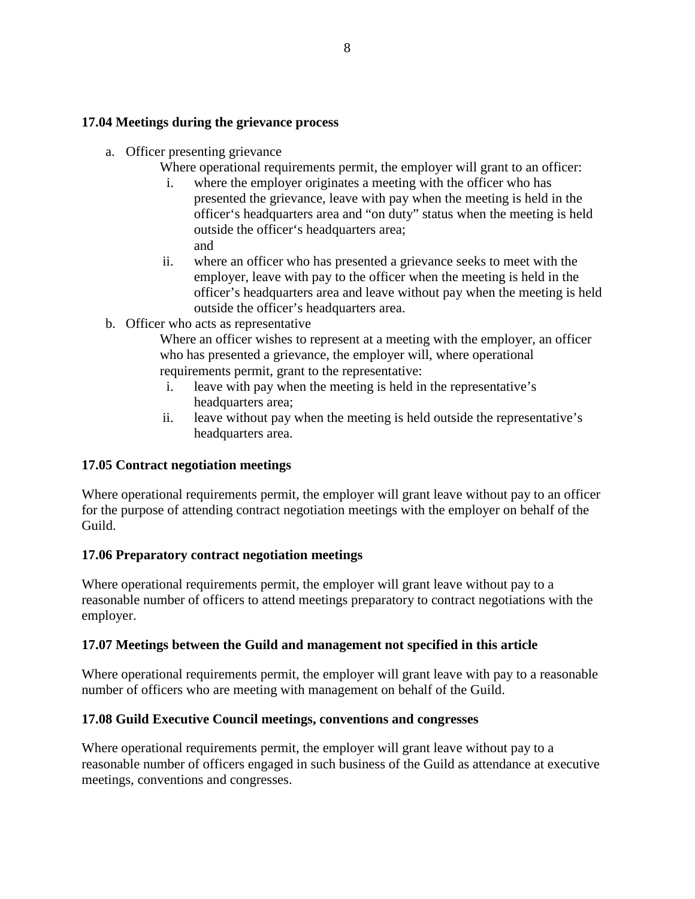#### **17.04 Meetings during the grievance process**

- a. Officer presenting grievance
	- Where operational requirements permit, the employer will grant to an officer:
		- i. where the employer originates a meeting with the officer who has presented the grievance, leave with pay when the meeting is held in the officer's headquarters area and "on duty" status when the meeting is held outside the officer's headquarters area; and
	- ii. where an officer who has presented a grievance seeks to meet with the employer, leave with pay to the officer when the meeting is held in the officer's headquarters area and leave without pay when the meeting is held outside the officer's headquarters area.
- b. Officer who acts as representative

Where an officer wishes to represent at a meeting with the employer, an officer who has presented a grievance, the employer will, where operational requirements permit, grant to the representative:

- i. leave with pay when the meeting is held in the representative's headquarters area;
- ii. leave without pay when the meeting is held outside the representative's headquarters area.

#### **17.05 Contract negotiation meetings**

Where operational requirements permit, the employer will grant leave without pay to an officer for the purpose of attending contract negotiation meetings with the employer on behalf of the Guild.

#### **17.06 Preparatory contract negotiation meetings**

Where operational requirements permit, the employer will grant leave without pay to a reasonable number of officers to attend meetings preparatory to contract negotiations with the employer.

#### **17.07 Meetings between the Guild and management not specified in this article**

Where operational requirements permit, the employer will grant leave with pay to a reasonable number of officers who are meeting with management on behalf of the Guild.

#### **17.08 Guild Executive Council meetings, conventions and congresses**

Where operational requirements permit, the employer will grant leave without pay to a reasonable number of officers engaged in such business of the Guild as attendance at executive meetings, conventions and congresses.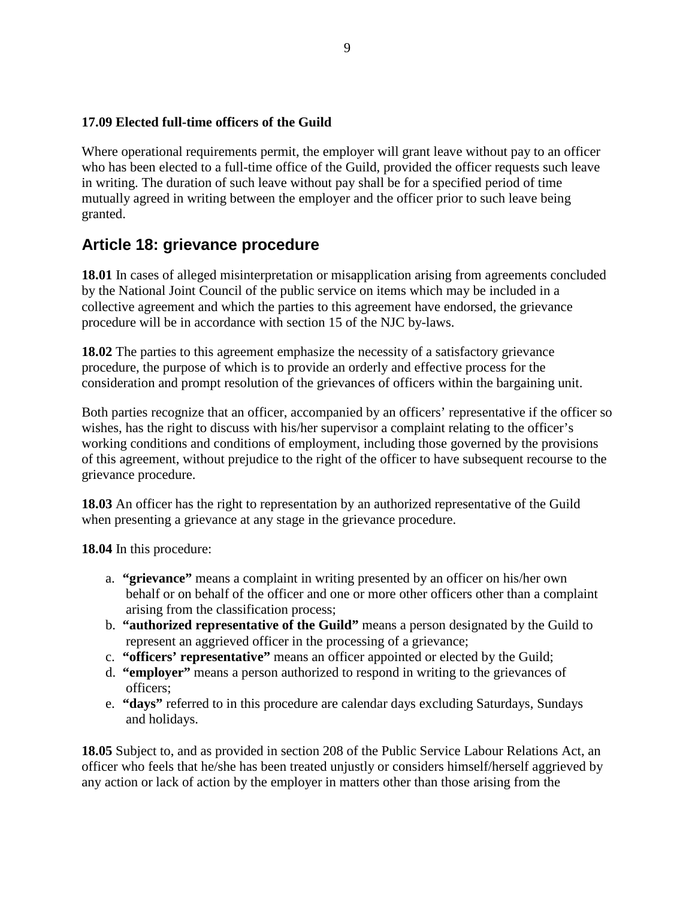#### **17.09 Elected full-time officers of the Guild**

Where operational requirements permit, the employer will grant leave without pay to an officer who has been elected to a full-time office of the Guild, provided the officer requests such leave in writing. The duration of such leave without pay shall be for a specified period of time mutually agreed in writing between the employer and the officer prior to such leave being granted.

### <span id="page-16-0"></span>**Article 18: grievance procedure**

**18.01** In cases of alleged misinterpretation or misapplication arising from agreements concluded by the National Joint Council of the public service on items which may be included in a collective agreement and which the parties to this agreement have endorsed, the grievance procedure will be in accordance with section 15 of the NJC by-laws.

**18.02** The parties to this agreement emphasize the necessity of a satisfactory grievance procedure, the purpose of which is to provide an orderly and effective process for the consideration and prompt resolution of the grievances of officers within the bargaining unit.

Both parties recognize that an officer, accompanied by an officers' representative if the officer so wishes, has the right to discuss with his/her supervisor a complaint relating to the officer's working conditions and conditions of employment, including those governed by the provisions of this agreement, without prejudice to the right of the officer to have subsequent recourse to the grievance procedure.

**18.03** An officer has the right to representation by an authorized representative of the Guild when presenting a grievance at any stage in the grievance procedure.

**18.04** In this procedure:

- a. **"grievance"** means a complaint in writing presented by an officer on his/her own behalf or on behalf of the officer and one or more other officers other than a complaint arising from the classification process;
- b. **"authorized representative of the Guild"** means a person designated by the Guild to represent an aggrieved officer in the processing of a grievance;
- c. **"officers' representative"** means an officer appointed or elected by the Guild;
- d. **"employer"** means a person authorized to respond in writing to the grievances of officers;
- e. **"days"** referred to in this procedure are calendar days excluding Saturdays, Sundays and holidays.

**18.05** Subject to, and as provided in section 208 of the Public Service Labour Relations Act, an officer who feels that he/she has been treated unjustly or considers himself/herself aggrieved by any action or lack of action by the employer in matters other than those arising from the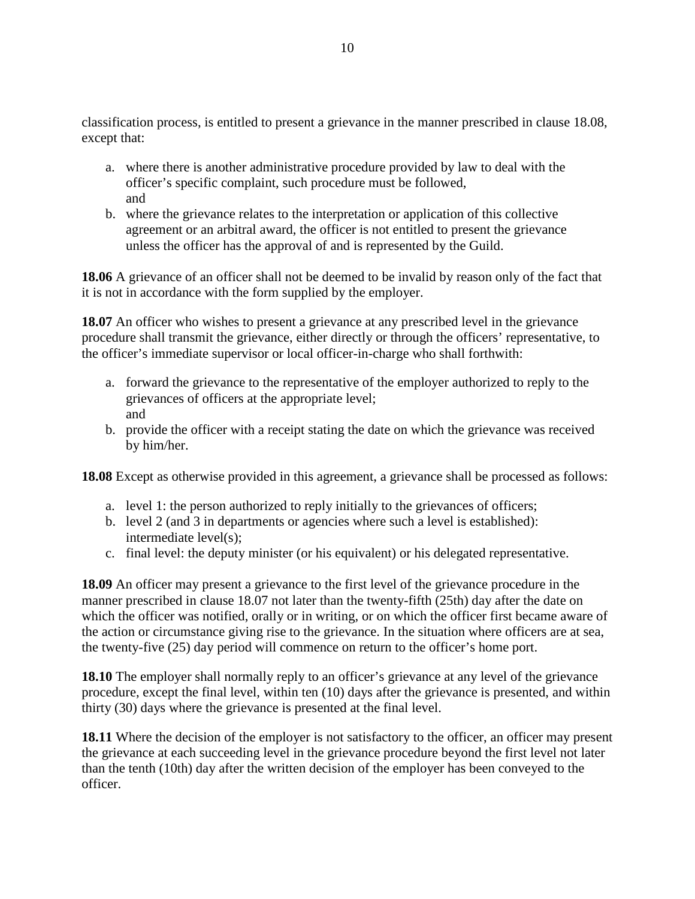classification process, is entitled to present a grievance in the manner prescribed in clause 18.08, except that:

- a. where there is another administrative procedure provided by law to deal with the officer's specific complaint, such procedure must be followed, and
- b. where the grievance relates to the interpretation or application of this collective agreement or an arbitral award, the officer is not entitled to present the grievance unless the officer has the approval of and is represented by the Guild.

**18.06** A grievance of an officer shall not be deemed to be invalid by reason only of the fact that it is not in accordance with the form supplied by the employer.

**18.07** An officer who wishes to present a grievance at any prescribed level in the grievance procedure shall transmit the grievance, either directly or through the officers' representative, to the officer's immediate supervisor or local officer-in-charge who shall forthwith:

- a. forward the grievance to the representative of the employer authorized to reply to the grievances of officers at the appropriate level; and
- b. provide the officer with a receipt stating the date on which the grievance was received by him/her.

**18.08** Except as otherwise provided in this agreement, a grievance shall be processed as follows:

- a. level 1: the person authorized to reply initially to the grievances of officers;
- b. level 2 (and 3 in departments or agencies where such a level is established): intermediate level(s);
- c. final level: the deputy minister (or his equivalent) or his delegated representative.

**18.09** An officer may present a grievance to the first level of the grievance procedure in the manner prescribed in clause 18.07 not later than the twenty-fifth (25th) day after the date on which the officer was notified, orally or in writing, or on which the officer first became aware of the action or circumstance giving rise to the grievance. In the situation where officers are at sea, the twenty-five (25) day period will commence on return to the officer's home port.

**18.10** The employer shall normally reply to an officer's grievance at any level of the grievance procedure, except the final level, within ten (10) days after the grievance is presented, and within thirty (30) days where the grievance is presented at the final level.

**18.11** Where the decision of the employer is not satisfactory to the officer, an officer may present the grievance at each succeeding level in the grievance procedure beyond the first level not later than the tenth (10th) day after the written decision of the employer has been conveyed to the officer.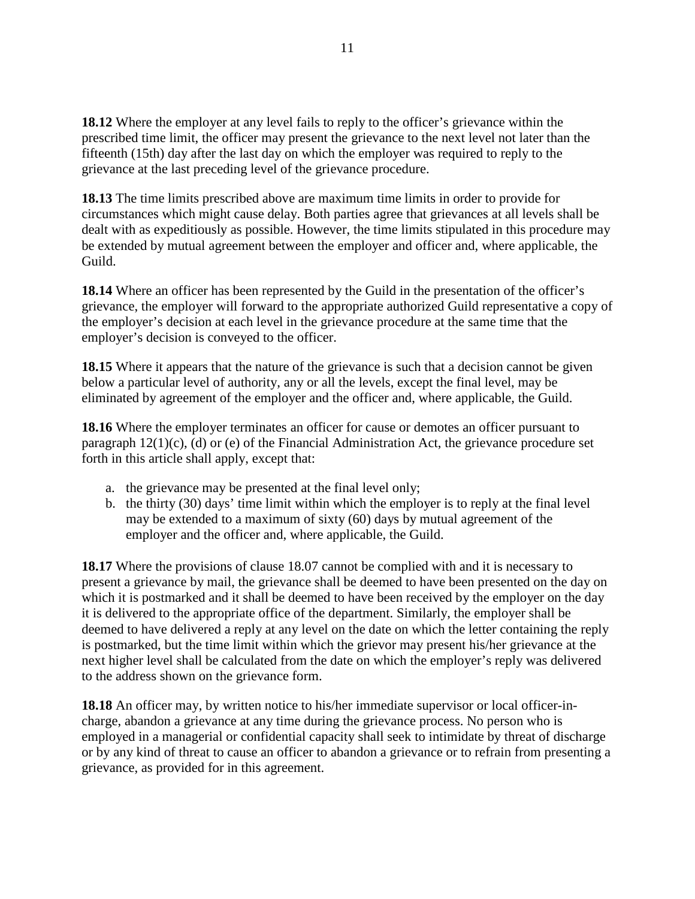**18.12** Where the employer at any level fails to reply to the officer's grievance within the prescribed time limit, the officer may present the grievance to the next level not later than the fifteenth (15th) day after the last day on which the employer was required to reply to the grievance at the last preceding level of the grievance procedure.

**18.13** The time limits prescribed above are maximum time limits in order to provide for circumstances which might cause delay. Both parties agree that grievances at all levels shall be dealt with as expeditiously as possible. However, the time limits stipulated in this procedure may be extended by mutual agreement between the employer and officer and, where applicable, the Guild.

**18.14** Where an officer has been represented by the Guild in the presentation of the officer's grievance, the employer will forward to the appropriate authorized Guild representative a copy of the employer's decision at each level in the grievance procedure at the same time that the employer's decision is conveyed to the officer.

**18.15** Where it appears that the nature of the grievance is such that a decision cannot be given below a particular level of authority, any or all the levels, except the final level, may be eliminated by agreement of the employer and the officer and, where applicable, the Guild.

**18.16** Where the employer terminates an officer for cause or demotes an officer pursuant to paragraph 12(1)(c), (d) or (e) of the Financial Administration Act, the grievance procedure set forth in this article shall apply, except that:

- a. the grievance may be presented at the final level only;
- b. the thirty (30) days' time limit within which the employer is to reply at the final level may be extended to a maximum of sixty (60) days by mutual agreement of the employer and the officer and, where applicable, the Guild.

**18.17** Where the provisions of clause 18.07 cannot be complied with and it is necessary to present a grievance by mail, the grievance shall be deemed to have been presented on the day on which it is postmarked and it shall be deemed to have been received by the employer on the day it is delivered to the appropriate office of the department. Similarly, the employer shall be deemed to have delivered a reply at any level on the date on which the letter containing the reply is postmarked, but the time limit within which the grievor may present his/her grievance at the next higher level shall be calculated from the date on which the employer's reply was delivered to the address shown on the grievance form.

**18.18** An officer may, by written notice to his/her immediate supervisor or local officer-incharge, abandon a grievance at any time during the grievance process. No person who is employed in a managerial or confidential capacity shall seek to intimidate by threat of discharge or by any kind of threat to cause an officer to abandon a grievance or to refrain from presenting a grievance, as provided for in this agreement.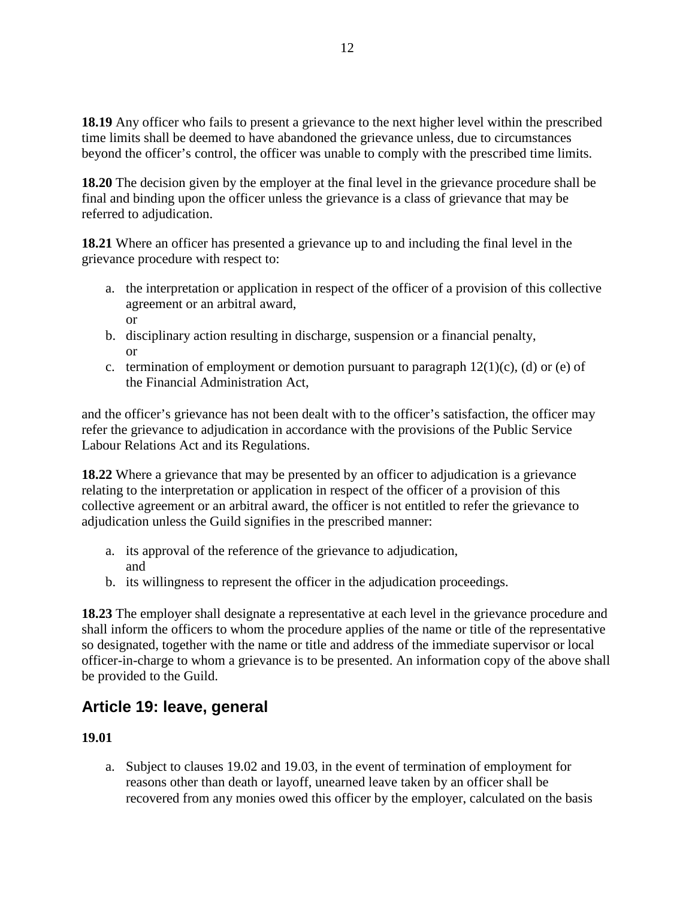**18.19** Any officer who fails to present a grievance to the next higher level within the prescribed time limits shall be deemed to have abandoned the grievance unless, due to circumstances beyond the officer's control, the officer was unable to comply with the prescribed time limits.

**18.20** The decision given by the employer at the final level in the grievance procedure shall be final and binding upon the officer unless the grievance is a class of grievance that may be referred to adjudication.

**18.21** Where an officer has presented a grievance up to and including the final level in the grievance procedure with respect to:

- a. the interpretation or application in respect of the officer of a provision of this collective agreement or an arbitral award, or
- b. disciplinary action resulting in discharge, suspension or a financial penalty, or
- c. termination of employment or demotion pursuant to paragraph  $12(1)(c)$ , (d) or (e) of the Financial Administration Act,

and the officer's grievance has not been dealt with to the officer's satisfaction, the officer may refer the grievance to adjudication in accordance with the provisions of the Public Service Labour Relations Act and its Regulations.

**18.22** Where a grievance that may be presented by an officer to adjudication is a grievance relating to the interpretation or application in respect of the officer of a provision of this collective agreement or an arbitral award, the officer is not entitled to refer the grievance to adjudication unless the Guild signifies in the prescribed manner:

- a. its approval of the reference of the grievance to adjudication, and
- b. its willingness to represent the officer in the adjudication proceedings.

**18.23** The employer shall designate a representative at each level in the grievance procedure and shall inform the officers to whom the procedure applies of the name or title of the representative so designated, together with the name or title and address of the immediate supervisor or local officer-in-charge to whom a grievance is to be presented. An information copy of the above shall be provided to the Guild.

# <span id="page-19-0"></span>**Article 19: leave, general**

#### **19.01**

a. Subject to clauses 19.02 and 19.03, in the event of termination of employment for reasons other than death or layoff, unearned leave taken by an officer shall be recovered from any monies owed this officer by the employer, calculated on the basis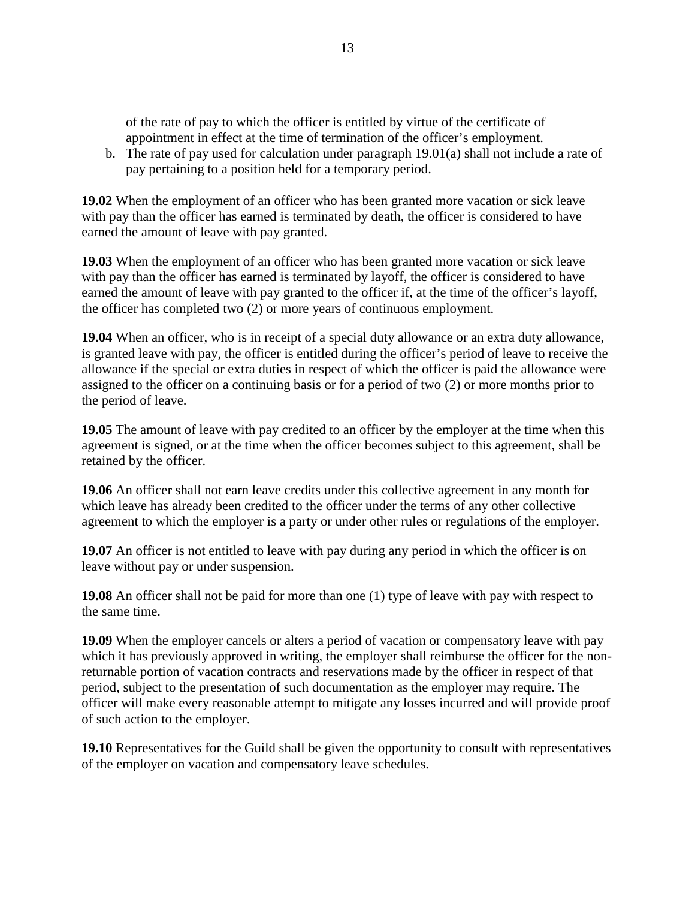of the rate of pay to which the officer is entitled by virtue of the certificate of appointment in effect at the time of termination of the officer's employment.

b. The rate of pay used for calculation under paragraph 19.01(a) shall not include a rate of pay pertaining to a position held for a temporary period.

**19.02** When the employment of an officer who has been granted more vacation or sick leave with pay than the officer has earned is terminated by death, the officer is considered to have earned the amount of leave with pay granted.

**19.03** When the employment of an officer who has been granted more vacation or sick leave with pay than the officer has earned is terminated by layoff, the officer is considered to have earned the amount of leave with pay granted to the officer if, at the time of the officer's layoff, the officer has completed two (2) or more years of continuous employment.

**19.04** When an officer, who is in receipt of a special duty allowance or an extra duty allowance, is granted leave with pay, the officer is entitled during the officer's period of leave to receive the allowance if the special or extra duties in respect of which the officer is paid the allowance were assigned to the officer on a continuing basis or for a period of two (2) or more months prior to the period of leave.

**19.05** The amount of leave with pay credited to an officer by the employer at the time when this agreement is signed, or at the time when the officer becomes subject to this agreement, shall be retained by the officer.

**19.06** An officer shall not earn leave credits under this collective agreement in any month for which leave has already been credited to the officer under the terms of any other collective agreement to which the employer is a party or under other rules or regulations of the employer.

**19.07** An officer is not entitled to leave with pay during any period in which the officer is on leave without pay or under suspension.

**19.08** An officer shall not be paid for more than one (1) type of leave with pay with respect to the same time.

**19.09** When the employer cancels or alters a period of vacation or compensatory leave with pay which it has previously approved in writing, the employer shall reimburse the officer for the nonreturnable portion of vacation contracts and reservations made by the officer in respect of that period, subject to the presentation of such documentation as the employer may require. The officer will make every reasonable attempt to mitigate any losses incurred and will provide proof of such action to the employer.

**19.10** Representatives for the Guild shall be given the opportunity to consult with representatives of the employer on vacation and compensatory leave schedules.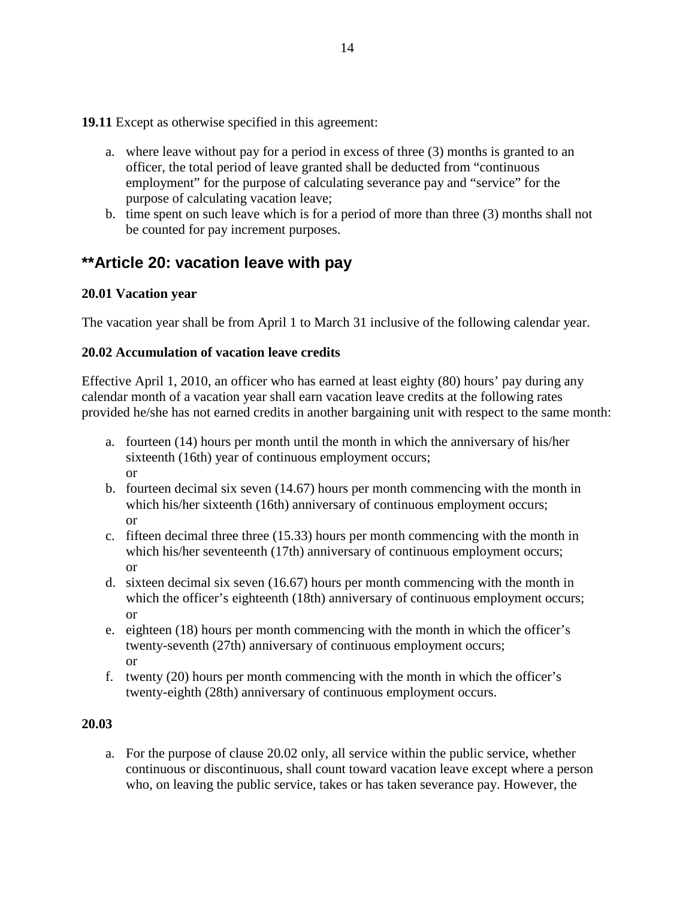**19.11** Except as otherwise specified in this agreement:

- a. where leave without pay for a period in excess of three (3) months is granted to an officer, the total period of leave granted shall be deducted from "continuous employment" for the purpose of calculating severance pay and "service" for the purpose of calculating vacation leave;
- b. time spent on such leave which is for a period of more than three (3) months shall not be counted for pay increment purposes.

### <span id="page-21-0"></span>**\*\*Article 20: vacation leave with pay**

#### **20.01 Vacation year**

The vacation year shall be from April 1 to March 31 inclusive of the following calendar year.

#### **20.02 Accumulation of vacation leave credits**

Effective April 1, 2010, an officer who has earned at least eighty (80) hours' pay during any calendar month of a vacation year shall earn vacation leave credits at the following rates provided he/she has not earned credits in another bargaining unit with respect to the same month:

- a. fourteen (14) hours per month until the month in which the anniversary of his/her sixteenth (16th) year of continuous employment occurs; or
- b. fourteen decimal six seven (14.67) hours per month commencing with the month in which his/her sixteenth (16th) anniversary of continuous employment occurs; or
- c. fifteen decimal three three (15.33) hours per month commencing with the month in which his/her seventeenth (17th) anniversary of continuous employment occurs; or
- d. sixteen decimal six seven (16.67) hours per month commencing with the month in which the officer's eighteenth (18th) anniversary of continuous employment occurs; or
- e. eighteen (18) hours per month commencing with the month in which the officer's twenty-seventh (27th) anniversary of continuous employment occurs; or
- f. twenty (20) hours per month commencing with the month in which the officer's twenty-eighth (28th) anniversary of continuous employment occurs.

#### **20.03**

a. For the purpose of clause 20.02 only, all service within the public service, whether continuous or discontinuous, shall count toward vacation leave except where a person who, on leaving the public service, takes or has taken severance pay. However, the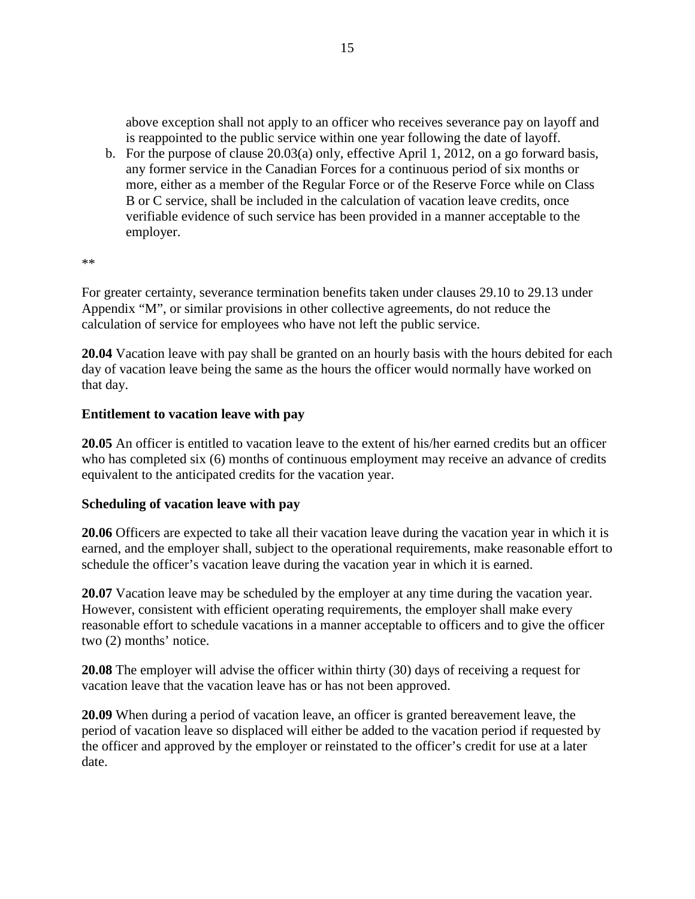above exception shall not apply to an officer who receives severance pay on layoff and is reappointed to the public service within one year following the date of layoff.

b. For the purpose of clause 20.03(a) only, effective April 1, 2012, on a go forward basis, any former service in the Canadian Forces for a continuous period of six months or more, either as a member of the Regular Force or of the Reserve Force while on Class B or C service, shall be included in the calculation of vacation leave credits, once verifiable evidence of such service has been provided in a manner acceptable to the employer.

\*\*

For greater certainty, severance termination benefits taken under clauses 29.10 to 29.13 under Appendix "M", or similar provisions in other collective agreements, do not reduce the calculation of service for employees who have not left the public service.

**20.04** Vacation leave with pay shall be granted on an hourly basis with the hours debited for each day of vacation leave being the same as the hours the officer would normally have worked on that day.

#### **Entitlement to vacation leave with pay**

**20.05** An officer is entitled to vacation leave to the extent of his/her earned credits but an officer who has completed six (6) months of continuous employment may receive an advance of credits equivalent to the anticipated credits for the vacation year.

#### **Scheduling of vacation leave with pay**

**20.06** Officers are expected to take all their vacation leave during the vacation year in which it is earned, and the employer shall, subject to the operational requirements, make reasonable effort to schedule the officer's vacation leave during the vacation year in which it is earned.

**20.07** Vacation leave may be scheduled by the employer at any time during the vacation year. However, consistent with efficient operating requirements, the employer shall make every reasonable effort to schedule vacations in a manner acceptable to officers and to give the officer two (2) months' notice.

**20.08** The employer will advise the officer within thirty (30) days of receiving a request for vacation leave that the vacation leave has or has not been approved.

**20.09** When during a period of vacation leave, an officer is granted bereavement leave, the period of vacation leave so displaced will either be added to the vacation period if requested by the officer and approved by the employer or reinstated to the officer's credit for use at a later date.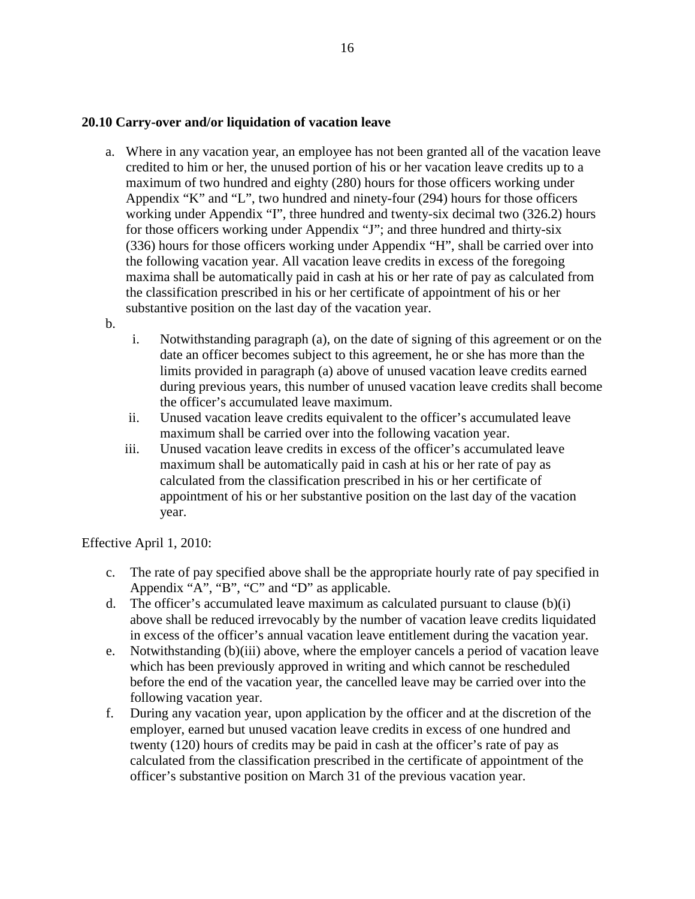#### **20.10 Carry-over and/or liquidation of vacation leave**

- a. Where in any vacation year, an employee has not been granted all of the vacation leave credited to him or her, the unused portion of his or her vacation leave credits up to a maximum of two hundred and eighty (280) hours for those officers working under Appendix "K" and "L", two hundred and ninety-four (294) hours for those officers working under Appendix "I", three hundred and twenty-six decimal two (326.2) hours for those officers working under Appendix "J"; and three hundred and thirty-six (336) hours for those officers working under Appendix "H", shall be carried over into the following vacation year. All vacation leave credits in excess of the foregoing maxima shall be automatically paid in cash at his or her rate of pay as calculated from the classification prescribed in his or her certificate of appointment of his or her substantive position on the last day of the vacation year.
- b.
- i. Notwithstanding paragraph (a), on the date of signing of this agreement or on the date an officer becomes subject to this agreement, he or she has more than the limits provided in paragraph (a) above of unused vacation leave credits earned during previous years, this number of unused vacation leave credits shall become the officer's accumulated leave maximum.
- ii. Unused vacation leave credits equivalent to the officer's accumulated leave maximum shall be carried over into the following vacation year.
- iii. Unused vacation leave credits in excess of the officer's accumulated leave maximum shall be automatically paid in cash at his or her rate of pay as calculated from the classification prescribed in his or her certificate of appointment of his or her substantive position on the last day of the vacation year.

Effective April 1, 2010:

- c. The rate of pay specified above shall be the appropriate hourly rate of pay specified in Appendix "A", "B", "C" and "D" as applicable.
- d. The officer's accumulated leave maximum as calculated pursuant to clause  $(b)(i)$ above shall be reduced irrevocably by the number of vacation leave credits liquidated in excess of the officer's annual vacation leave entitlement during the vacation year.
- e. Notwithstanding (b)(iii) above, where the employer cancels a period of vacation leave which has been previously approved in writing and which cannot be rescheduled before the end of the vacation year, the cancelled leave may be carried over into the following vacation year.
- f. During any vacation year, upon application by the officer and at the discretion of the employer, earned but unused vacation leave credits in excess of one hundred and twenty (120) hours of credits may be paid in cash at the officer's rate of pay as calculated from the classification prescribed in the certificate of appointment of the officer's substantive position on March 31 of the previous vacation year.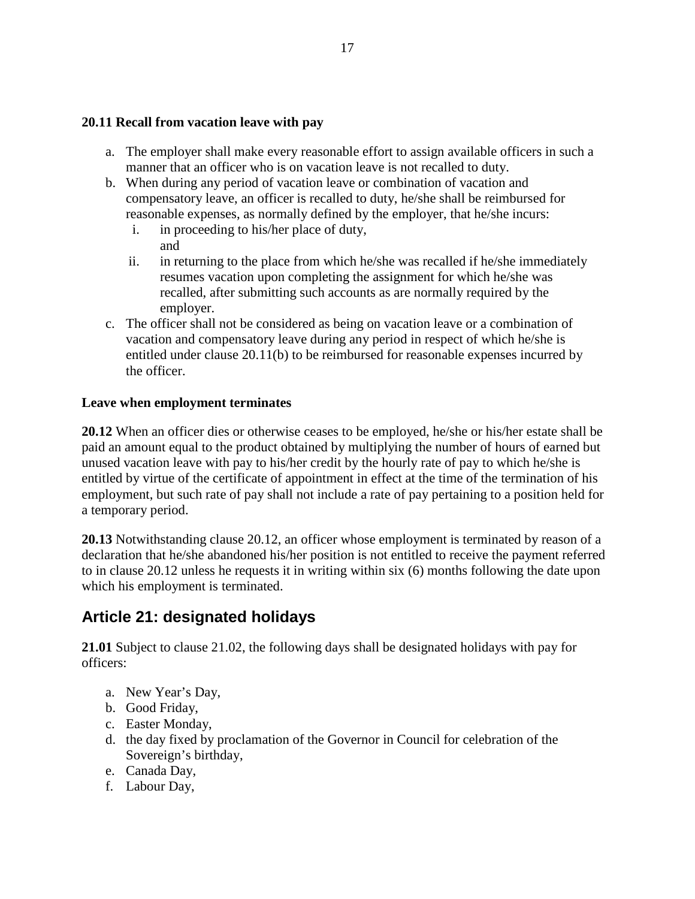#### **20.11 Recall from vacation leave with pay**

- a. The employer shall make every reasonable effort to assign available officers in such a manner that an officer who is on vacation leave is not recalled to duty.
- b. When during any period of vacation leave or combination of vacation and compensatory leave, an officer is recalled to duty, he/she shall be reimbursed for reasonable expenses, as normally defined by the employer, that he/she incurs:
	- i. in proceeding to his/her place of duty, and
	- ii. in returning to the place from which he/she was recalled if he/she immediately resumes vacation upon completing the assignment for which he/she was recalled, after submitting such accounts as are normally required by the employer.
- c. The officer shall not be considered as being on vacation leave or a combination of vacation and compensatory leave during any period in respect of which he/she is entitled under clause 20.11(b) to be reimbursed for reasonable expenses incurred by the officer.

#### **Leave when employment terminates**

**20.12** When an officer dies or otherwise ceases to be employed, he/she or his/her estate shall be paid an amount equal to the product obtained by multiplying the number of hours of earned but unused vacation leave with pay to his/her credit by the hourly rate of pay to which he/she is entitled by virtue of the certificate of appointment in effect at the time of the termination of his employment, but such rate of pay shall not include a rate of pay pertaining to a position held for a temporary period.

**20.13** Notwithstanding clause 20.12, an officer whose employment is terminated by reason of a declaration that he/she abandoned his/her position is not entitled to receive the payment referred to in clause 20.12 unless he requests it in writing within six (6) months following the date upon which his employment is terminated.

# <span id="page-24-0"></span>**Article 21: designated holidays**

**21.01** Subject to clause 21.02, the following days shall be designated holidays with pay for officers:

- a. New Year's Day,
- b. Good Friday,
- c. Easter Monday,
- d. the day fixed by proclamation of the Governor in Council for celebration of the Sovereign's birthday,
- e. Canada Day,
- f. Labour Day,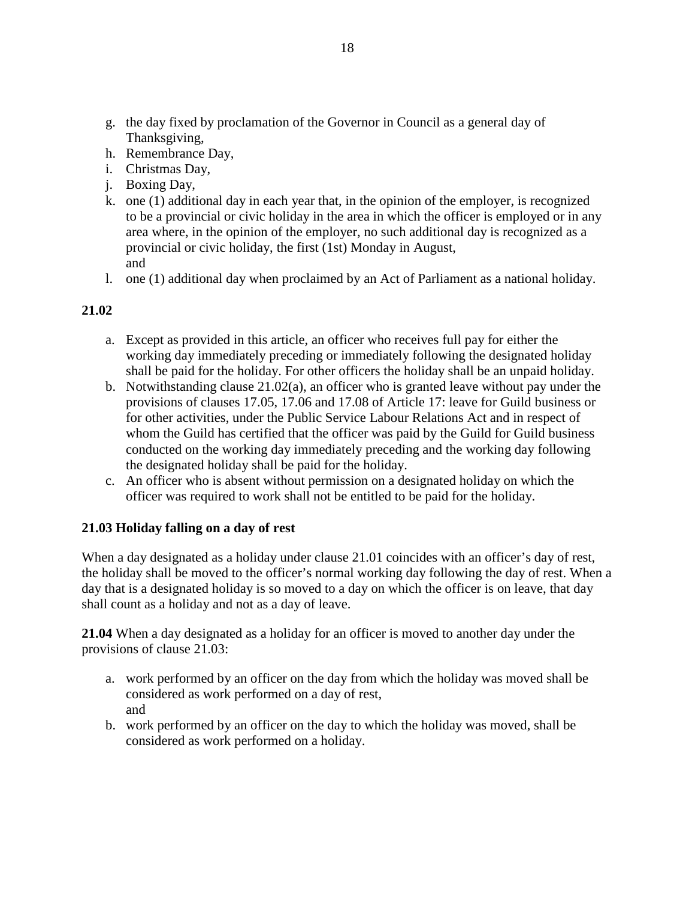- g. the day fixed by proclamation of the Governor in Council as a general day of Thanksgiving,
- h. Remembrance Day,
- i. Christmas Day,
- j. Boxing Day,
- k. one (1) additional day in each year that, in the opinion of the employer, is recognized to be a provincial or civic holiday in the area in which the officer is employed or in any area where, in the opinion of the employer, no such additional day is recognized as a provincial or civic holiday, the first (1st) Monday in August, and
- l. one (1) additional day when proclaimed by an Act of Parliament as a national holiday.

#### **21.02**

- a. Except as provided in this article, an officer who receives full pay for either the working day immediately preceding or immediately following the designated holiday shall be paid for the holiday. For other officers the holiday shall be an unpaid holiday.
- b. Notwithstanding clause 21.02(a), an officer who is granted leave without pay under the provisions of clauses 17.05, 17.06 and 17.08 of Article 17: leave for Guild business or for other activities, under the Public Service Labour Relations Act and in respect of whom the Guild has certified that the officer was paid by the Guild for Guild business conducted on the working day immediately preceding and the working day following the designated holiday shall be paid for the holiday.
- c. An officer who is absent without permission on a designated holiday on which the officer was required to work shall not be entitled to be paid for the holiday.

#### **21.03 Holiday falling on a day of rest**

When a day designated as a holiday under clause 21.01 coincides with an officer's day of rest, the holiday shall be moved to the officer's normal working day following the day of rest. When a day that is a designated holiday is so moved to a day on which the officer is on leave, that day shall count as a holiday and not as a day of leave.

**21.04** When a day designated as a holiday for an officer is moved to another day under the provisions of clause 21.03:

- a. work performed by an officer on the day from which the holiday was moved shall be considered as work performed on a day of rest, and
- b. work performed by an officer on the day to which the holiday was moved, shall be considered as work performed on a holiday.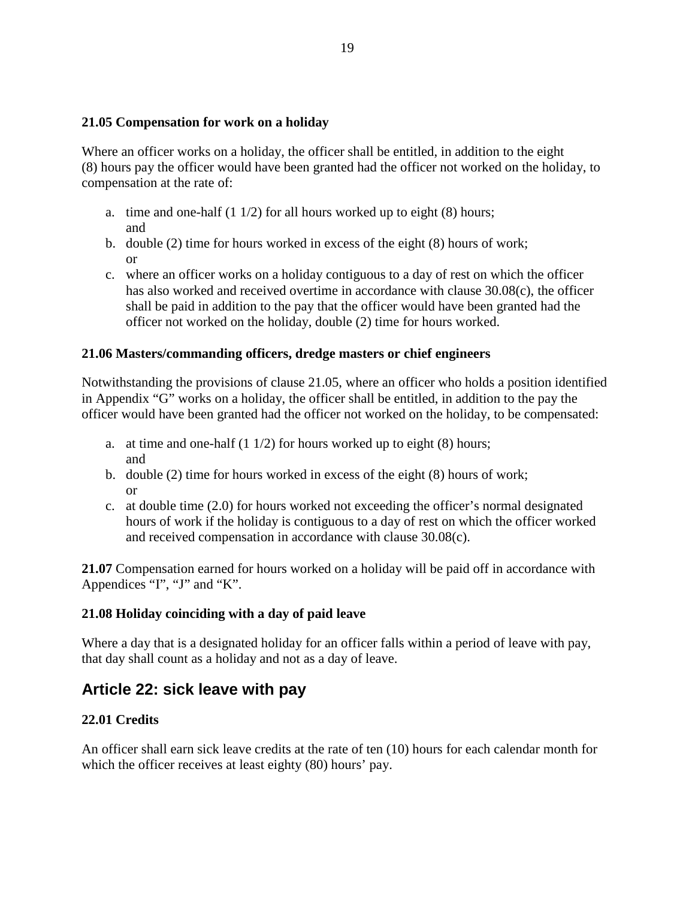#### **21.05 Compensation for work on a holiday**

Where an officer works on a holiday, the officer shall be entitled, in addition to the eight (8) hours pay the officer would have been granted had the officer not worked on the holiday, to compensation at the rate of:

- a. time and one-half  $(1 1/2)$  for all hours worked up to eight  $(8)$  hours; and
- b. double (2) time for hours worked in excess of the eight (8) hours of work; or
- c. where an officer works on a holiday contiguous to a day of rest on which the officer has also worked and received overtime in accordance with clause 30.08(c), the officer shall be paid in addition to the pay that the officer would have been granted had the officer not worked on the holiday, double (2) time for hours worked.

#### **21.06 Masters/commanding officers, dredge masters or chief engineers**

Notwithstanding the provisions of clause 21.05, where an officer who holds a position identified in Appendix "G" works on a holiday, the officer shall be entitled, in addition to the pay the officer would have been granted had the officer not worked on the holiday, to be compensated:

- a. at time and one-half  $(1 1/2)$  for hours worked up to eight  $(8)$  hours; and
- b. double (2) time for hours worked in excess of the eight (8) hours of work; or
- c. at double time (2.0) for hours worked not exceeding the officer's normal designated hours of work if the holiday is contiguous to a day of rest on which the officer worked and received compensation in accordance with clause 30.08(c).

**21.07** Compensation earned for hours worked on a holiday will be paid off in accordance with Appendices "I", "J" and "K".

#### **21.08 Holiday coinciding with a day of paid leave**

Where a day that is a designated holiday for an officer falls within a period of leave with pay, that day shall count as a holiday and not as a day of leave.

### <span id="page-26-0"></span>**Article 22: sick leave with pay**

#### **22.01 Credits**

An officer shall earn sick leave credits at the rate of ten (10) hours for each calendar month for which the officer receives at least eighty  $(80)$  hours' pay.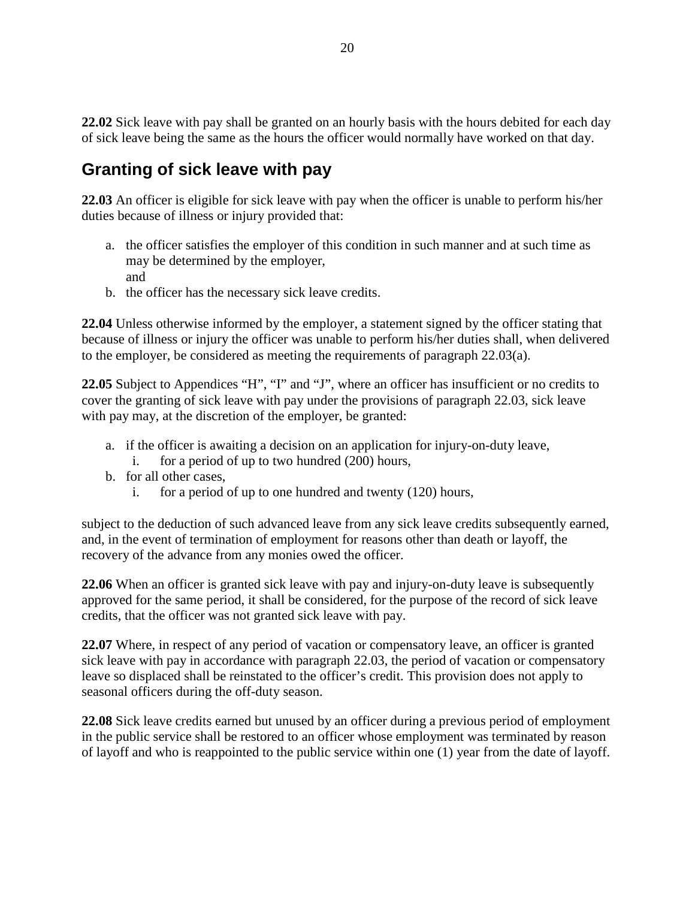**22.02** Sick leave with pay shall be granted on an hourly basis with the hours debited for each day of sick leave being the same as the hours the officer would normally have worked on that day.

# **Granting of sick leave with pay**

**22.03** An officer is eligible for sick leave with pay when the officer is unable to perform his/her duties because of illness or injury provided that:

- a. the officer satisfies the employer of this condition in such manner and at such time as may be determined by the employer, and
- b. the officer has the necessary sick leave credits.

**22.04** Unless otherwise informed by the employer, a statement signed by the officer stating that because of illness or injury the officer was unable to perform his/her duties shall, when delivered to the employer, be considered as meeting the requirements of paragraph 22.03(a).

**22.05** Subject to Appendices "H", "I" and "J", where an officer has insufficient or no credits to cover the granting of sick leave with pay under the provisions of paragraph 22.03, sick leave with pay may, at the discretion of the employer, be granted:

- a. if the officer is awaiting a decision on an application for injury-on-duty leave,
	- i. for a period of up to two hundred (200) hours,
- b. for all other cases,
	- i. for a period of up to one hundred and twenty (120) hours,

subject to the deduction of such advanced leave from any sick leave credits subsequently earned, and, in the event of termination of employment for reasons other than death or layoff, the recovery of the advance from any monies owed the officer.

**22.06** When an officer is granted sick leave with pay and injury-on-duty leave is subsequently approved for the same period, it shall be considered, for the purpose of the record of sick leave credits, that the officer was not granted sick leave with pay.

**22.07** Where, in respect of any period of vacation or compensatory leave, an officer is granted sick leave with pay in accordance with paragraph 22.03, the period of vacation or compensatory leave so displaced shall be reinstated to the officer's credit. This provision does not apply to seasonal officers during the off-duty season.

**22.08** Sick leave credits earned but unused by an officer during a previous period of employment in the public service shall be restored to an officer whose employment was terminated by reason of layoff and who is reappointed to the public service within one (1) year from the date of layoff.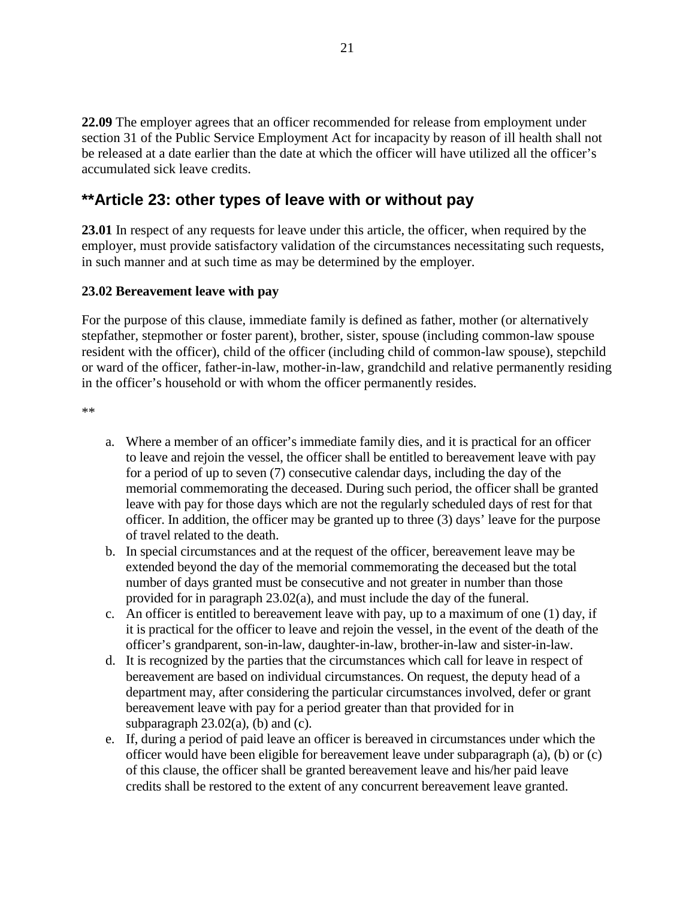**22.09** The employer agrees that an officer recommended for release from employment under section 31 of the Public Service Employment Act for incapacity by reason of ill health shall not be released at a date earlier than the date at which the officer will have utilized all the officer's accumulated sick leave credits.

### <span id="page-28-0"></span>**\*\*Article 23: other types of leave with or without pay**

**23.01** In respect of any requests for leave under this article, the officer, when required by the employer, must provide satisfactory validation of the circumstances necessitating such requests, in such manner and at such time as may be determined by the employer.

#### **23.02 Bereavement leave with pay**

For the purpose of this clause, immediate family is defined as father, mother (or alternatively stepfather, stepmother or foster parent), brother, sister, spouse (including common-law spouse resident with the officer), child of the officer (including child of common-law spouse), stepchild or ward of the officer, father-in-law, mother-in-law, grandchild and relative permanently residing in the officer's household or with whom the officer permanently resides.

\*\*

- a. Where a member of an officer's immediate family dies, and it is practical for an officer to leave and rejoin the vessel, the officer shall be entitled to bereavement leave with pay for a period of up to seven (7) consecutive calendar days, including the day of the memorial commemorating the deceased. During such period, the officer shall be granted leave with pay for those days which are not the regularly scheduled days of rest for that officer. In addition, the officer may be granted up to three (3) days' leave for the purpose of travel related to the death.
- b. In special circumstances and at the request of the officer, bereavement leave may be extended beyond the day of the memorial commemorating the deceased but the total number of days granted must be consecutive and not greater in number than those provided for in paragraph 23.02(a), and must include the day of the funeral.
- c. An officer is entitled to bereavement leave with pay, up to a maximum of one (1) day, if it is practical for the officer to leave and rejoin the vessel, in the event of the death of the officer's grandparent, son-in-law, daughter-in-law, brother-in-law and sister-in-law.
- d. It is recognized by the parties that the circumstances which call for leave in respect of bereavement are based on individual circumstances. On request, the deputy head of a department may, after considering the particular circumstances involved, defer or grant bereavement leave with pay for a period greater than that provided for in subparagraph  $23.02(a)$ , (b) and (c).
- e. If, during a period of paid leave an officer is bereaved in circumstances under which the officer would have been eligible for bereavement leave under subparagraph (a), (b) or (c) of this clause, the officer shall be granted bereavement leave and his/her paid leave credits shall be restored to the extent of any concurrent bereavement leave granted.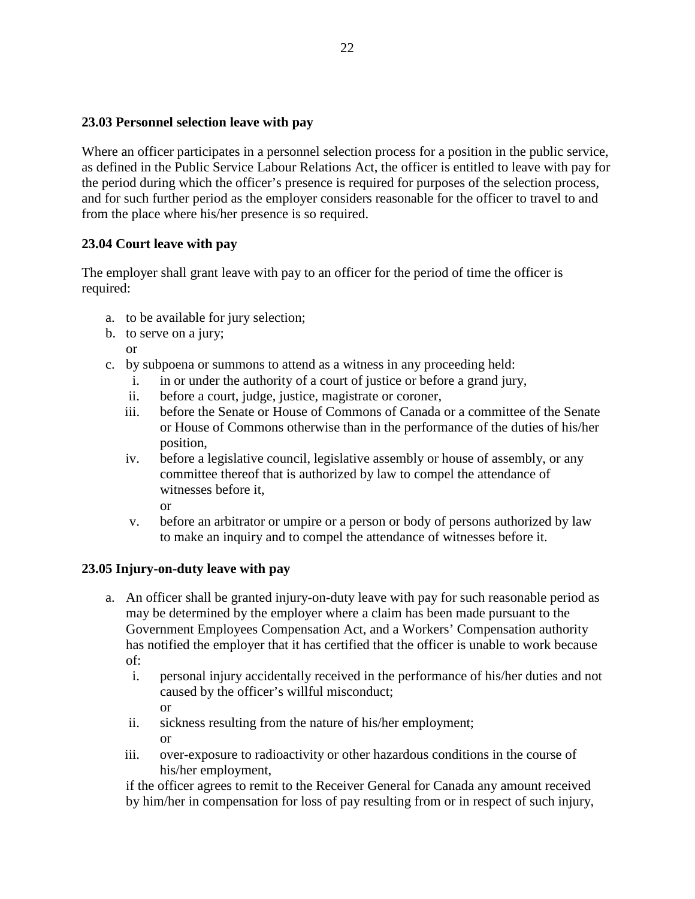#### **23.03 Personnel selection leave with pay**

Where an officer participates in a personnel selection process for a position in the public service, as defined in the Public Service Labour Relations Act, the officer is entitled to leave with pay for the period during which the officer's presence is required for purposes of the selection process, and for such further period as the employer considers reasonable for the officer to travel to and from the place where his/her presence is so required.

#### **23.04 Court leave with pay**

The employer shall grant leave with pay to an officer for the period of time the officer is required:

- a. to be available for jury selection;
- b. to serve on a jury;
	- or
- c. by subpoena or summons to attend as a witness in any proceeding held:
	- i. in or under the authority of a court of justice or before a grand jury,
	- ii. before a court, judge, justice, magistrate or coroner,
	- iii. before the Senate or House of Commons of Canada or a committee of the Senate or House of Commons otherwise than in the performance of the duties of his/her position,
	- iv. before a legislative council, legislative assembly or house of assembly, or any committee thereof that is authorized by law to compel the attendance of witnesses before it,

or

v. before an arbitrator or umpire or a person or body of persons authorized by law to make an inquiry and to compel the attendance of witnesses before it.

#### **23.05 Injury-on-duty leave with pay**

- a. An officer shall be granted injury-on-duty leave with pay for such reasonable period as may be determined by the employer where a claim has been made pursuant to the Government Employees Compensation Act, and a Workers' Compensation authority has notified the employer that it has certified that the officer is unable to work because of:
	- i. personal injury accidentally received in the performance of his/her duties and not caused by the officer's willful misconduct; or
	- ii. sickness resulting from the nature of his/her employment; or
	- iii. over-exposure to radioactivity or other hazardous conditions in the course of his/her employment,

if the officer agrees to remit to the Receiver General for Canada any amount received by him/her in compensation for loss of pay resulting from or in respect of such injury,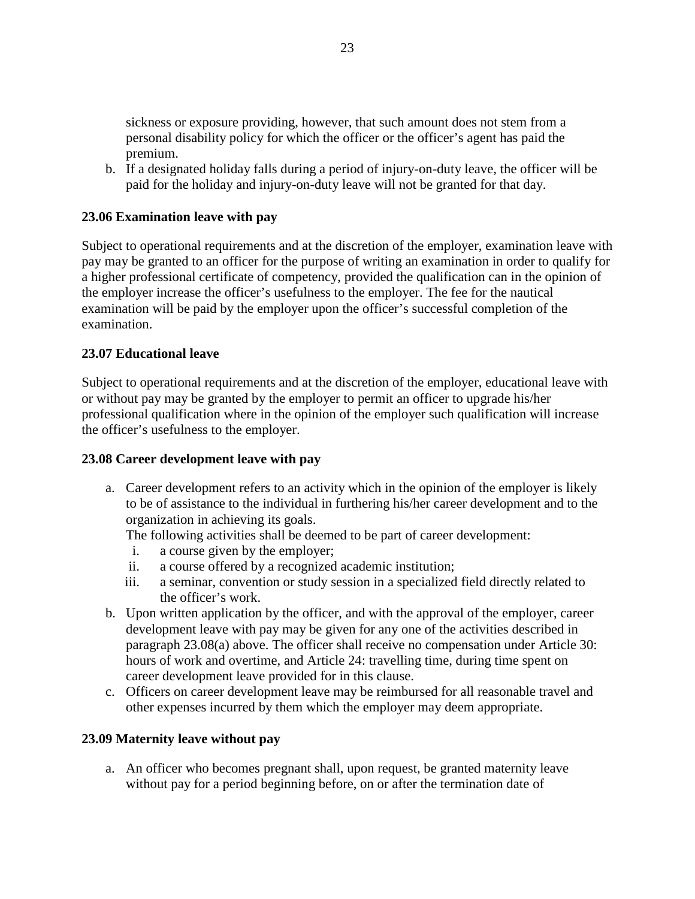sickness or exposure providing, however, that such amount does not stem from a personal disability policy for which the officer or the officer's agent has paid the premium.

b. If a designated holiday falls during a period of injury-on-duty leave, the officer will be paid for the holiday and injury-on-duty leave will not be granted for that day.

#### **23.06 Examination leave with pay**

Subject to operational requirements and at the discretion of the employer, examination leave with pay may be granted to an officer for the purpose of writing an examination in order to qualify for a higher professional certificate of competency, provided the qualification can in the opinion of the employer increase the officer's usefulness to the employer. The fee for the nautical examination will be paid by the employer upon the officer's successful completion of the examination.

#### **23.07 Educational leave**

Subject to operational requirements and at the discretion of the employer, educational leave with or without pay may be granted by the employer to permit an officer to upgrade his/her professional qualification where in the opinion of the employer such qualification will increase the officer's usefulness to the employer.

#### **23.08 Career development leave with pay**

a. Career development refers to an activity which in the opinion of the employer is likely to be of assistance to the individual in furthering his/her career development and to the organization in achieving its goals.

The following activities shall be deemed to be part of career development:

- i. a course given by the employer;
- ii. a course offered by a recognized academic institution;
- iii. a seminar, convention or study session in a specialized field directly related to the officer's work.
- b. Upon written application by the officer, and with the approval of the employer, career development leave with pay may be given for any one of the activities described in paragraph 23.08(a) above. The officer shall receive no compensation under Article 30: hours of work and overtime, and Article 24: travelling time, during time spent on career development leave provided for in this clause.
- c. Officers on career development leave may be reimbursed for all reasonable travel and other expenses incurred by them which the employer may deem appropriate.

#### **23.09 Maternity leave without pay**

a. An officer who becomes pregnant shall, upon request, be granted maternity leave without pay for a period beginning before, on or after the termination date of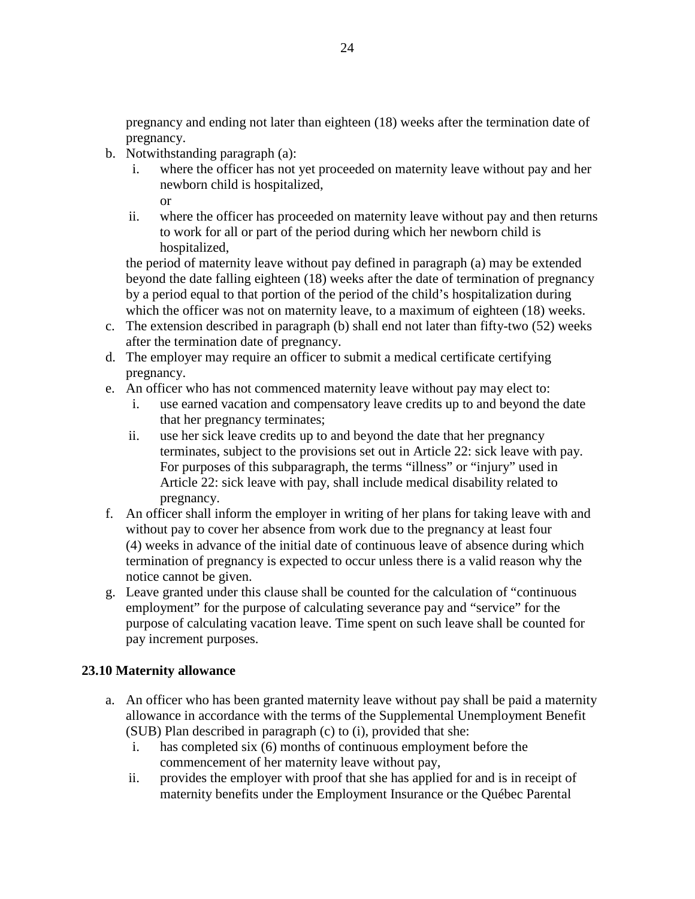pregnancy and ending not later than eighteen (18) weeks after the termination date of pregnancy.

- b. Notwithstanding paragraph (a):
	- i. where the officer has not yet proceeded on maternity leave without pay and her newborn child is hospitalized,
		- or
	- ii. where the officer has proceeded on maternity leave without pay and then returns to work for all or part of the period during which her newborn child is hospitalized,

the period of maternity leave without pay defined in paragraph (a) may be extended beyond the date falling eighteen (18) weeks after the date of termination of pregnancy by a period equal to that portion of the period of the child's hospitalization during which the officer was not on maternity leave, to a maximum of eighteen (18) weeks.

- c. The extension described in paragraph (b) shall end not later than fifty-two (52) weeks after the termination date of pregnancy.
- d. The employer may require an officer to submit a medical certificate certifying pregnancy.
- e. An officer who has not commenced maternity leave without pay may elect to:
	- i. use earned vacation and compensatory leave credits up to and beyond the date that her pregnancy terminates;
	- ii. use her sick leave credits up to and beyond the date that her pregnancy terminates, subject to the provisions set out in Article 22: sick leave with pay. For purposes of this subparagraph, the terms "illness" or "injury" used in Article 22: sick leave with pay, shall include medical disability related to pregnancy.
- f. An officer shall inform the employer in writing of her plans for taking leave with and without pay to cover her absence from work due to the pregnancy at least four (4) weeks in advance of the initial date of continuous leave of absence during which termination of pregnancy is expected to occur unless there is a valid reason why the notice cannot be given.
- g. Leave granted under this clause shall be counted for the calculation of "continuous employment" for the purpose of calculating severance pay and "service" for the purpose of calculating vacation leave. Time spent on such leave shall be counted for pay increment purposes.

#### **23.10 Maternity allowance**

- a. An officer who has been granted maternity leave without pay shall be paid a maternity allowance in accordance with the terms of the Supplemental Unemployment Benefit (SUB) Plan described in paragraph (c) to (i), provided that she:
	- i. has completed six (6) months of continuous employment before the commencement of her maternity leave without pay,
	- ii. provides the employer with proof that she has applied for and is in receipt of maternity benefits under the Employment Insurance or the Québec Parental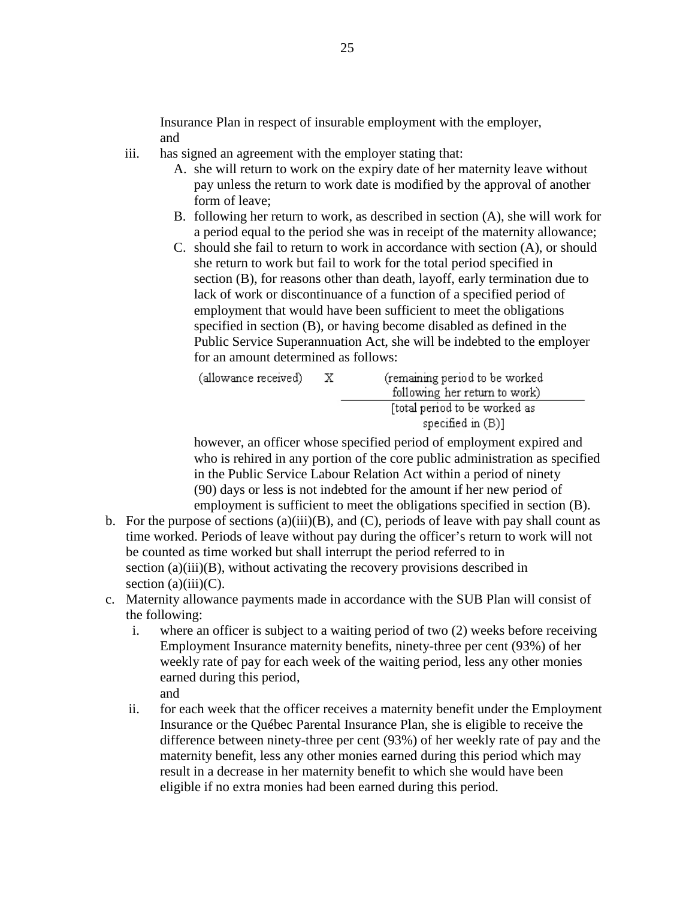Insurance Plan in respect of insurable employment with the employer, and

- iii. has signed an agreement with the employer stating that:
	- A. she will return to work on the expiry date of her maternity leave without pay unless the return to work date is modified by the approval of another form of leave;
	- B. following her return to work, as described in section (A), she will work for a period equal to the period she was in receipt of the maternity allowance;
	- C. should she fail to return to work in accordance with section (A), or should she return to work but fail to work for the total period specified in section (B), for reasons other than death, layoff, early termination due to lack of work or discontinuance of a function of a specified period of employment that would have been sufficient to meet the obligations specified in section (B), or having become disabled as defined in the Public Service Superannuation Act, she will be indebted to the employer for an amount determined as follows:

| (allowance received) | (remaining period to be worked |
|----------------------|--------------------------------|
|                      | following her return to work)  |
|                      | [total period to be worked as  |
|                      | specified in $(B)$ ]           |

however, an officer whose specified period of employment expired and who is rehired in any portion of the core public administration as specified in the Public Service Labour Relation Act within a period of ninety (90) days or less is not indebted for the amount if her new period of employment is sufficient to meet the obligations specified in section (B).

- b. For the purpose of sections  $(a)(iii)(B)$ , and  $(C)$ , periods of leave with pay shall count as time worked. Periods of leave without pay during the officer's return to work will not be counted as time worked but shall interrupt the period referred to in section (a)(iii)(B), without activating the recovery provisions described in section  $(a)(iii)(C)$ .
- c. Maternity allowance payments made in accordance with the SUB Plan will consist of the following:
	- i. where an officer is subject to a waiting period of two (2) weeks before receiving Employment Insurance maternity benefits, ninety-three per cent (93%) of her weekly rate of pay for each week of the waiting period, less any other monies earned during this period, and
	- ii. for each week that the officer receives a maternity benefit under the Employment Insurance or the Québec Parental Insurance Plan, she is eligible to receive the difference between ninety-three per cent (93%) of her weekly rate of pay and the maternity benefit, less any other monies earned during this period which may result in a decrease in her maternity benefit to which she would have been eligible if no extra monies had been earned during this period.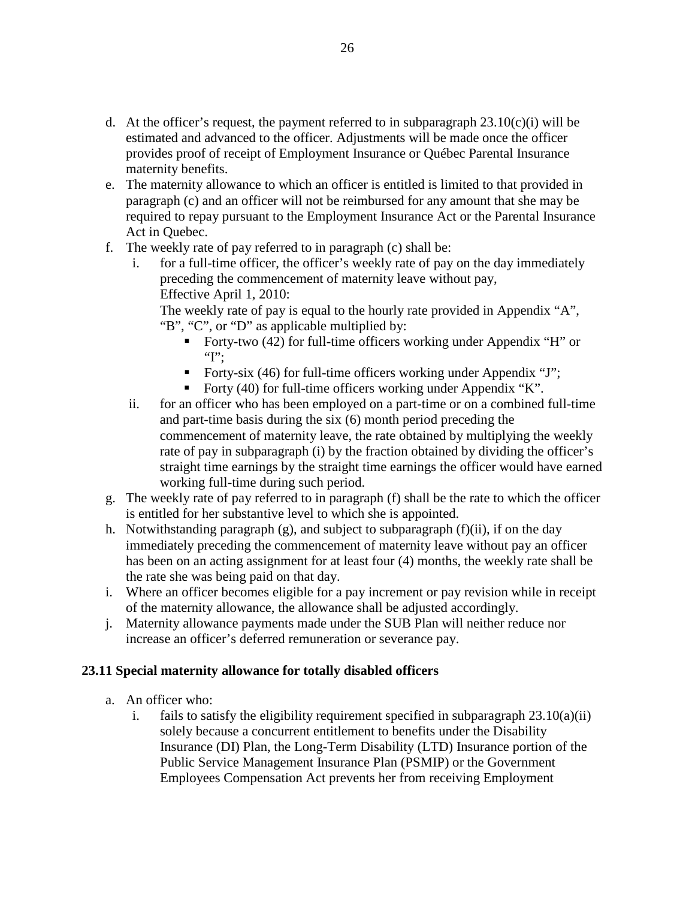- d. At the officer's request, the payment referred to in subparagraph  $23.10(c)(i)$  will be estimated and advanced to the officer. Adjustments will be made once the officer provides proof of receipt of Employment Insurance or Québec Parental Insurance maternity benefits.
- e. The maternity allowance to which an officer is entitled is limited to that provided in paragraph (c) and an officer will not be reimbursed for any amount that she may be required to repay pursuant to the Employment Insurance Act or the Parental Insurance Act in Quebec.
- f. The weekly rate of pay referred to in paragraph (c) shall be:
	- i. for a full-time officer, the officer's weekly rate of pay on the day immediately preceding the commencement of maternity leave without pay, Effective April 1, 2010:

The weekly rate of pay is equal to the hourly rate provided in Appendix "A", "B", "C", or "D" as applicable multiplied by:

- Forty-two (42) for full-time officers working under Appendix "H" or " $T$ :
- Forty-six (46) for full-time officers working under Appendix "J";
- Forty (40) for full-time officers working under Appendix "K".
- ii. for an officer who has been employed on a part-time or on a combined full-time and part-time basis during the six (6) month period preceding the commencement of maternity leave, the rate obtained by multiplying the weekly rate of pay in subparagraph (i) by the fraction obtained by dividing the officer's straight time earnings by the straight time earnings the officer would have earned working full-time during such period.
- g. The weekly rate of pay referred to in paragraph (f) shall be the rate to which the officer is entitled for her substantive level to which she is appointed.
- h. Notwithstanding paragraph (g), and subject to subparagraph (f)(ii), if on the day immediately preceding the commencement of maternity leave without pay an officer has been on an acting assignment for at least four (4) months, the weekly rate shall be the rate she was being paid on that day.
- i. Where an officer becomes eligible for a pay increment or pay revision while in receipt of the maternity allowance, the allowance shall be adjusted accordingly.
- j. Maternity allowance payments made under the SUB Plan will neither reduce nor increase an officer's deferred remuneration or severance pay.

#### **23.11 Special maternity allowance for totally disabled officers**

- a. An officer who:
	- i. fails to satisfy the eligibility requirement specified in subparagraph  $23.10(a)(ii)$ solely because a concurrent entitlement to benefits under the Disability Insurance (DI) Plan, the Long-Term Disability (LTD) Insurance portion of the Public Service Management Insurance Plan (PSMIP) or the Government Employees Compensation Act prevents her from receiving Employment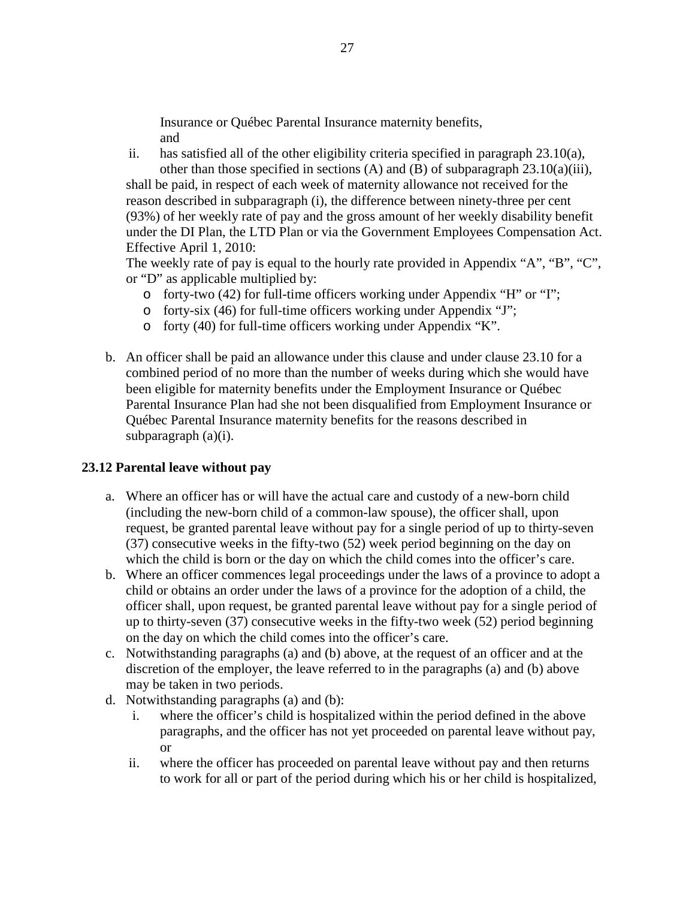Insurance or Québec Parental Insurance maternity benefits, and

ii. has satisfied all of the other eligibility criteria specified in paragraph  $23.10(a)$ ,

other than those specified in sections (A) and (B) of subparagraph  $23.10(a)(iii)$ , shall be paid, in respect of each week of maternity allowance not received for the reason described in subparagraph (i), the difference between ninety-three per cent (93%) of her weekly rate of pay and the gross amount of her weekly disability benefit under the DI Plan, the LTD Plan or via the Government Employees Compensation Act. Effective April 1, 2010:

The weekly rate of pay is equal to the hourly rate provided in Appendix "A", "B", "C", or "D" as applicable multiplied by:

- o forty-two (42) for full-time officers working under Appendix "H" or "I";
- o forty-six (46) for full-time officers working under Appendix "J";
- o forty (40) for full-time officers working under Appendix "K".
- b. An officer shall be paid an allowance under this clause and under clause 23.10 for a combined period of no more than the number of weeks during which she would have been eligible for maternity benefits under the Employment Insurance or Québec Parental Insurance Plan had she not been disqualified from Employment Insurance or Québec Parental Insurance maternity benefits for the reasons described in subparagraph (a)(i).

#### **23.12 Parental leave without pay**

- a. Where an officer has or will have the actual care and custody of a new-born child (including the new-born child of a common-law spouse), the officer shall, upon request, be granted parental leave without pay for a single period of up to thirty-seven (37) consecutive weeks in the fifty-two (52) week period beginning on the day on which the child is born or the day on which the child comes into the officer's care.
- b. Where an officer commences legal proceedings under the laws of a province to adopt a child or obtains an order under the laws of a province for the adoption of a child, the officer shall, upon request, be granted parental leave without pay for a single period of up to thirty-seven (37) consecutive weeks in the fifty-two week (52) period beginning on the day on which the child comes into the officer's care.
- c. Notwithstanding paragraphs (a) and (b) above, at the request of an officer and at the discretion of the employer, the leave referred to in the paragraphs (a) and (b) above may be taken in two periods.
- d. Notwithstanding paragraphs (a) and (b):
	- i. where the officer's child is hospitalized within the period defined in the above paragraphs, and the officer has not yet proceeded on parental leave without pay, or
	- ii. where the officer has proceeded on parental leave without pay and then returns to work for all or part of the period during which his or her child is hospitalized,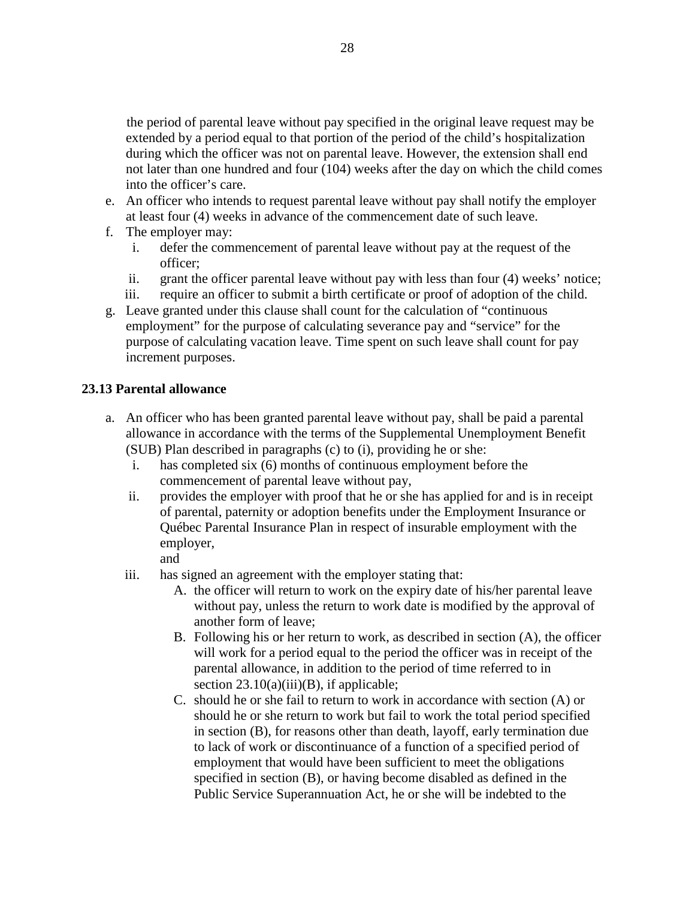the period of parental leave without pay specified in the original leave request may be extended by a period equal to that portion of the period of the child's hospitalization during which the officer was not on parental leave. However, the extension shall end not later than one hundred and four (104) weeks after the day on which the child comes into the officer's care.

- e. An officer who intends to request parental leave without pay shall notify the employer at least four (4) weeks in advance of the commencement date of such leave.
- f. The employer may:
	- i. defer the commencement of parental leave without pay at the request of the officer;
	- ii. grant the officer parental leave without pay with less than four (4) weeks' notice;
	- iii. require an officer to submit a birth certificate or proof of adoption of the child.
- g. Leave granted under this clause shall count for the calculation of "continuous employment" for the purpose of calculating severance pay and "service" for the purpose of calculating vacation leave. Time spent on such leave shall count for pay increment purposes.

#### **23.13 Parental allowance**

- a. An officer who has been granted parental leave without pay, shall be paid a parental allowance in accordance with the terms of the Supplemental Unemployment Benefit (SUB) Plan described in paragraphs (c) to (i), providing he or she:
	- i. has completed six (6) months of continuous employment before the commencement of parental leave without pay,
	- ii. provides the employer with proof that he or she has applied for and is in receipt of parental, paternity or adoption benefits under the Employment Insurance or Québec Parental Insurance Plan in respect of insurable employment with the employer,
		- and
	- iii. has signed an agreement with the employer stating that:
		- A. the officer will return to work on the expiry date of his/her parental leave without pay, unless the return to work date is modified by the approval of another form of leave;
		- B. Following his or her return to work, as described in section (A), the officer will work for a period equal to the period the officer was in receipt of the parental allowance, in addition to the period of time referred to in section  $23.10(a)(iii)(B)$ , if applicable;
		- C. should he or she fail to return to work in accordance with section (A) or should he or she return to work but fail to work the total period specified in section (B), for reasons other than death, layoff, early termination due to lack of work or discontinuance of a function of a specified period of employment that would have been sufficient to meet the obligations specified in section (B), or having become disabled as defined in the Public Service Superannuation Act, he or she will be indebted to the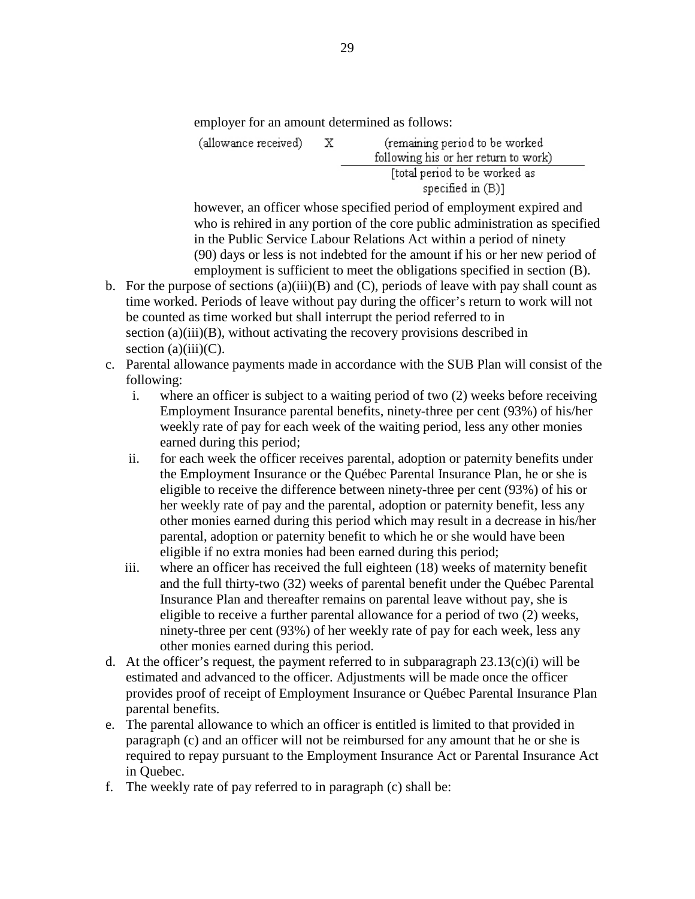employer for an amount determined as follows:

 $\mathbf{X}$ (remaining period to be worked (allowance received) following his or her return to work) [total period to be worked as specified in (B)]

however, an officer whose specified period of employment expired and who is rehired in any portion of the core public administration as specified in the Public Service Labour Relations Act within a period of ninety (90) days or less is not indebted for the amount if his or her new period of employment is sufficient to meet the obligations specified in section (B).

- b. For the purpose of sections (a)(iii)(B) and (C), periods of leave with pay shall count as time worked. Periods of leave without pay during the officer's return to work will not be counted as time worked but shall interrupt the period referred to in section (a)(iii)(B), without activating the recovery provisions described in section  $(a)(iii)(C)$ .
- c. Parental allowance payments made in accordance with the SUB Plan will consist of the following:
	- i. where an officer is subject to a waiting period of two (2) weeks before receiving Employment Insurance parental benefits, ninety-three per cent (93%) of his/her weekly rate of pay for each week of the waiting period, less any other monies earned during this period;
	- ii. for each week the officer receives parental, adoption or paternity benefits under the Employment Insurance or the Québec Parental Insurance Plan, he or she is eligible to receive the difference between ninety-three per cent (93%) of his or her weekly rate of pay and the parental, adoption or paternity benefit, less any other monies earned during this period which may result in a decrease in his/her parental, adoption or paternity benefit to which he or she would have been eligible if no extra monies had been earned during this period;
	- iii. where an officer has received the full eighteen (18) weeks of maternity benefit and the full thirty-two (32) weeks of parental benefit under the Québec Parental Insurance Plan and thereafter remains on parental leave without pay, she is eligible to receive a further parental allowance for a period of two (2) weeks, ninety-three per cent (93%) of her weekly rate of pay for each week, less any other monies earned during this period.
- d. At the officer's request, the payment referred to in subparagraph  $23.13(c)(i)$  will be estimated and advanced to the officer. Adjustments will be made once the officer provides proof of receipt of Employment Insurance or Québec Parental Insurance Plan parental benefits.
- e. The parental allowance to which an officer is entitled is limited to that provided in paragraph (c) and an officer will not be reimbursed for any amount that he or she is required to repay pursuant to the Employment Insurance Act or Parental Insurance Act in Quebec.
- f. The weekly rate of pay referred to in paragraph (c) shall be: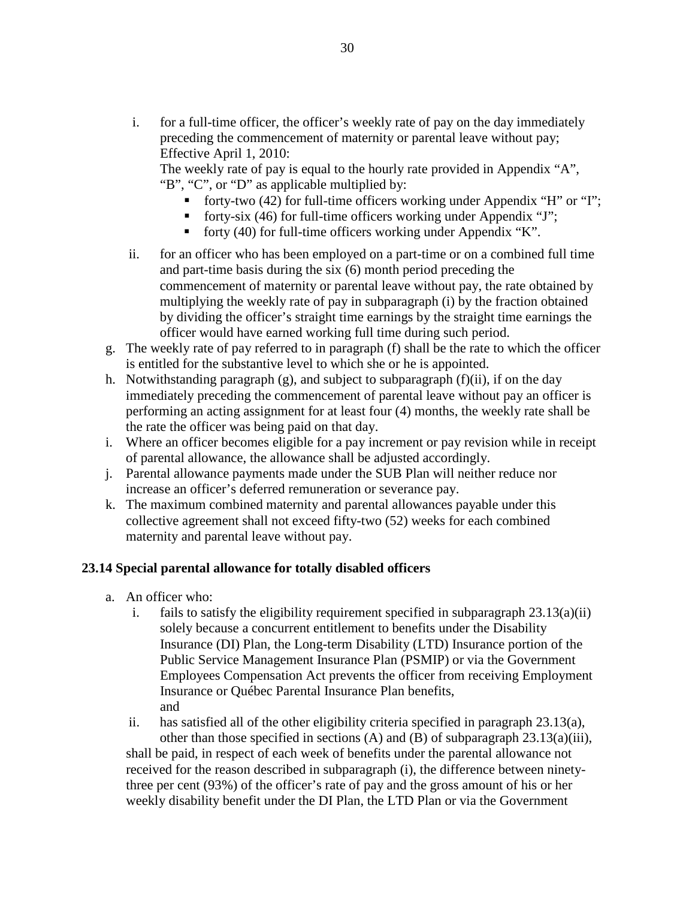i. for a full-time officer, the officer's weekly rate of pay on the day immediately preceding the commencement of maternity or parental leave without pay; Effective April 1, 2010:

The weekly rate of pay is equal to the hourly rate provided in Appendix "A", "B", "C", or "D" as applicable multiplied by:

- forty-two  $(42)$  for full-time officers working under Appendix "H" or "I";
- forty-six (46) for full-time officers working under Appendix "J";
- forty (40) for full-time officers working under Appendix "K".
- ii. for an officer who has been employed on a part-time or on a combined full time and part-time basis during the six (6) month period preceding the commencement of maternity or parental leave without pay, the rate obtained by multiplying the weekly rate of pay in subparagraph (i) by the fraction obtained by dividing the officer's straight time earnings by the straight time earnings the officer would have earned working full time during such period.
- g. The weekly rate of pay referred to in paragraph (f) shall be the rate to which the officer is entitled for the substantive level to which she or he is appointed.
- h. Notwithstanding paragraph (g), and subject to subparagraph (f)(ii), if on the day immediately preceding the commencement of parental leave without pay an officer is performing an acting assignment for at least four (4) months, the weekly rate shall be the rate the officer was being paid on that day.
- i. Where an officer becomes eligible for a pay increment or pay revision while in receipt of parental allowance, the allowance shall be adjusted accordingly.
- j. Parental allowance payments made under the SUB Plan will neither reduce nor increase an officer's deferred remuneration or severance pay.
- k. The maximum combined maternity and parental allowances payable under this collective agreement shall not exceed fifty-two (52) weeks for each combined maternity and parental leave without pay.

#### **23.14 Special parental allowance for totally disabled officers**

- a. An officer who:
	- i. fails to satisfy the eligibility requirement specified in subparagraph  $23.13(a)(ii)$ solely because a concurrent entitlement to benefits under the Disability Insurance (DI) Plan, the Long-term Disability (LTD) Insurance portion of the Public Service Management Insurance Plan (PSMIP) or via the Government Employees Compensation Act prevents the officer from receiving Employment Insurance or Québec Parental Insurance Plan benefits, and

ii. has satisfied all of the other eligibility criteria specified in paragraph  $23.13(a)$ , other than those specified in sections  $(A)$  and  $(B)$  of subparagraph 23.13(a)(iii), shall be paid, in respect of each week of benefits under the parental allowance not received for the reason described in subparagraph (i), the difference between ninetythree per cent (93%) of the officer's rate of pay and the gross amount of his or her weekly disability benefit under the DI Plan, the LTD Plan or via the Government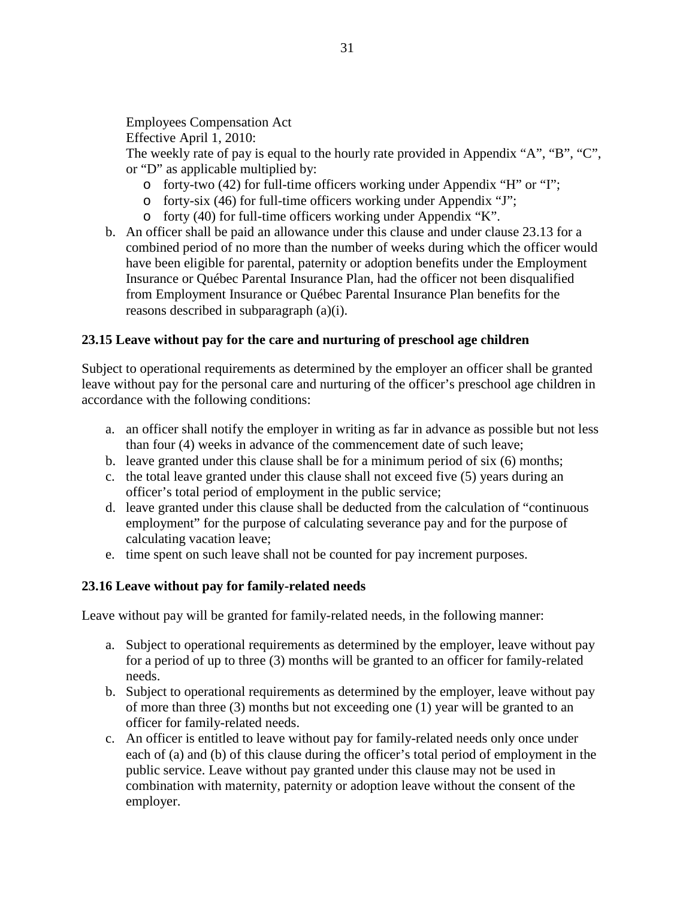Employees Compensation Act

Effective April 1, 2010:

The weekly rate of pay is equal to the hourly rate provided in Appendix "A", "B", "C", or "D" as applicable multiplied by:

- o forty-two (42) for full-time officers working under Appendix "H" or "I";
- o forty-six (46) for full-time officers working under Appendix "J";
- o forty (40) for full-time officers working under Appendix "K".
- b. An officer shall be paid an allowance under this clause and under clause 23.13 for a combined period of no more than the number of weeks during which the officer would have been eligible for parental, paternity or adoption benefits under the Employment Insurance or Québec Parental Insurance Plan, had the officer not been disqualified from Employment Insurance or Québec Parental Insurance Plan benefits for the reasons described in subparagraph (a)(i).

### **23.15 Leave without pay for the care and nurturing of preschool age children**

Subject to operational requirements as determined by the employer an officer shall be granted leave without pay for the personal care and nurturing of the officer's preschool age children in accordance with the following conditions:

- a. an officer shall notify the employer in writing as far in advance as possible but not less than four (4) weeks in advance of the commencement date of such leave;
- b. leave granted under this clause shall be for a minimum period of six (6) months;
- c. the total leave granted under this clause shall not exceed five (5) years during an officer's total period of employment in the public service;
- d. leave granted under this clause shall be deducted from the calculation of "continuous employment" for the purpose of calculating severance pay and for the purpose of calculating vacation leave;
- e. time spent on such leave shall not be counted for pay increment purposes.

### **23.16 Leave without pay for family-related needs**

Leave without pay will be granted for family-related needs, in the following manner:

- a. Subject to operational requirements as determined by the employer, leave without pay for a period of up to three (3) months will be granted to an officer for family-related needs.
- b. Subject to operational requirements as determined by the employer, leave without pay of more than three (3) months but not exceeding one (1) year will be granted to an officer for family-related needs.
- c. An officer is entitled to leave without pay for family-related needs only once under each of (a) and (b) of this clause during the officer's total period of employment in the public service. Leave without pay granted under this clause may not be used in combination with maternity, paternity or adoption leave without the consent of the employer.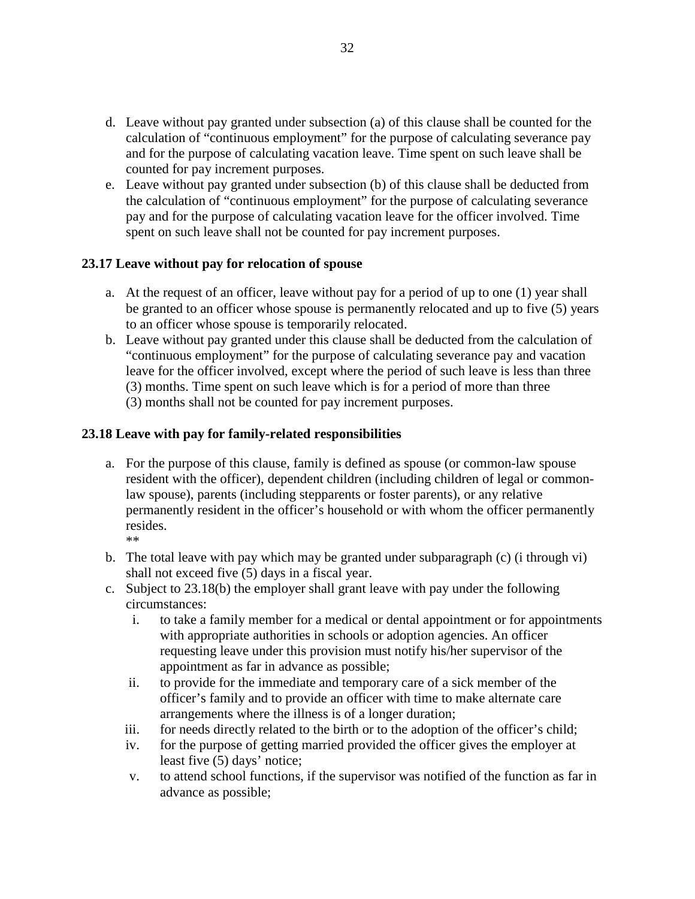- d. Leave without pay granted under subsection (a) of this clause shall be counted for the calculation of "continuous employment" for the purpose of calculating severance pay and for the purpose of calculating vacation leave. Time spent on such leave shall be counted for pay increment purposes.
- e. Leave without pay granted under subsection (b) of this clause shall be deducted from the calculation of "continuous employment" for the purpose of calculating severance pay and for the purpose of calculating vacation leave for the officer involved. Time spent on such leave shall not be counted for pay increment purposes.

### **23.17 Leave without pay for relocation of spouse**

- a. At the request of an officer, leave without pay for a period of up to one (1) year shall be granted to an officer whose spouse is permanently relocated and up to five (5) years to an officer whose spouse is temporarily relocated.
- b. Leave without pay granted under this clause shall be deducted from the calculation of "continuous employment" for the purpose of calculating severance pay and vacation leave for the officer involved, except where the period of such leave is less than three (3) months. Time spent on such leave which is for a period of more than three (3) months shall not be counted for pay increment purposes.

### **23.18 Leave with pay for family-related responsibilities**

- a. For the purpose of this clause, family is defined as spouse (or common-law spouse resident with the officer), dependent children (including children of legal or commonlaw spouse), parents (including stepparents or foster parents), or any relative permanently resident in the officer's household or with whom the officer permanently resides. \*\*
- b. The total leave with pay which may be granted under subparagraph (c) (i through vi) shall not exceed five (5) days in a fiscal year.
- c. Subject to 23.18(b) the employer shall grant leave with pay under the following circumstances:
	- i. to take a family member for a medical or dental appointment or for appointments with appropriate authorities in schools or adoption agencies. An officer requesting leave under this provision must notify his/her supervisor of the appointment as far in advance as possible;
	- ii. to provide for the immediate and temporary care of a sick member of the officer's family and to provide an officer with time to make alternate care arrangements where the illness is of a longer duration;
	- iii. for needs directly related to the birth or to the adoption of the officer's child;
	- iv. for the purpose of getting married provided the officer gives the employer at least five (5) days' notice;
	- v. to attend school functions, if the supervisor was notified of the function as far in advance as possible;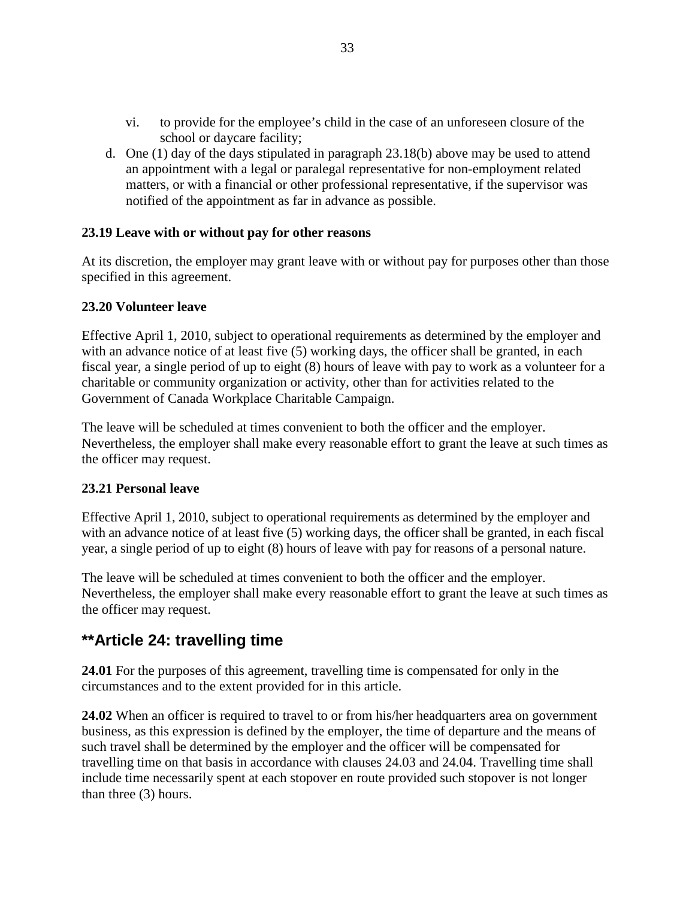- vi. to provide for the employee's child in the case of an unforeseen closure of the school or daycare facility;
- d. One (1) day of the days stipulated in paragraph 23.18(b) above may be used to attend an appointment with a legal or paralegal representative for non-employment related matters, or with a financial or other professional representative, if the supervisor was notified of the appointment as far in advance as possible.

### **23.19 Leave with or without pay for other reasons**

At its discretion, the employer may grant leave with or without pay for purposes other than those specified in this agreement.

### **23.20 Volunteer leave**

Effective April 1, 2010, subject to operational requirements as determined by the employer and with an advance notice of at least five (5) working days, the officer shall be granted, in each fiscal year, a single period of up to eight (8) hours of leave with pay to work as a volunteer for a charitable or community organization or activity, other than for activities related to the Government of Canada Workplace Charitable Campaign.

The leave will be scheduled at times convenient to both the officer and the employer. Nevertheless, the employer shall make every reasonable effort to grant the leave at such times as the officer may request.

### **23.21 Personal leave**

Effective April 1, 2010, subject to operational requirements as determined by the employer and with an advance notice of at least five (5) working days, the officer shall be granted, in each fiscal year, a single period of up to eight (8) hours of leave with pay for reasons of a personal nature.

The leave will be scheduled at times convenient to both the officer and the employer. Nevertheless, the employer shall make every reasonable effort to grant the leave at such times as the officer may request.

### **\*\*Article 24: travelling time**

**24.01** For the purposes of this agreement, travelling time is compensated for only in the circumstances and to the extent provided for in this article.

**24.02** When an officer is required to travel to or from his/her headquarters area on government business, as this expression is defined by the employer, the time of departure and the means of such travel shall be determined by the employer and the officer will be compensated for travelling time on that basis in accordance with clauses 24.03 and 24.04. Travelling time shall include time necessarily spent at each stopover en route provided such stopover is not longer than three (3) hours.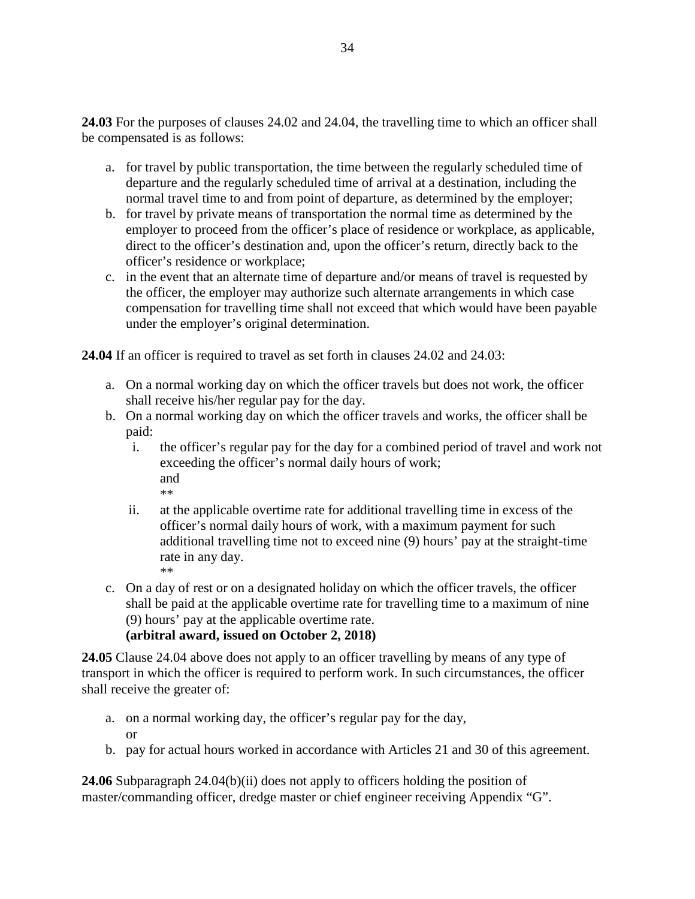**24.03** For the purposes of clauses 24.02 and 24.04, the travelling time to which an officer shall be compensated is as follows:

- a. for travel by public transportation, the time between the regularly scheduled time of departure and the regularly scheduled time of arrival at a destination, including the normal travel time to and from point of departure, as determined by the employer;
- b. for travel by private means of transportation the normal time as determined by the employer to proceed from the officer's place of residence or workplace, as applicable, direct to the officer's destination and, upon the officer's return, directly back to the officer's residence or workplace;
- c. in the event that an alternate time of departure and/or means of travel is requested by the officer, the employer may authorize such alternate arrangements in which case compensation for travelling time shall not exceed that which would have been payable under the employer's original determination.

**24.04** If an officer is required to travel as set forth in clauses 24.02 and 24.03:

- a. On a normal working day on which the officer travels but does not work, the officer shall receive his/her regular pay for the day.
- b. On a normal working day on which the officer travels and works, the officer shall be paid:
	- i. the officer's regular pay for the day for a combined period of travel and work not exceeding the officer's normal daily hours of work; and \*\*
	- ii. at the applicable overtime rate for additional travelling time in excess of the officer's normal daily hours of work, with a maximum payment for such additional travelling time not to exceed nine (9) hours' pay at the straight-time rate in any day. \*\*
- c. On a day of rest or on a designated holiday on which the officer travels, the officer shall be paid at the applicable overtime rate for travelling time to a maximum of nine (9) hours' pay at the applicable overtime rate.

**(arbitral award, issued on October 2, 2018)**

**24.05** Clause 24.04 above does not apply to an officer travelling by means of any type of transport in which the officer is required to perform work. In such circumstances, the officer shall receive the greater of:

- a. on a normal working day, the officer's regular pay for the day, or
- b. pay for actual hours worked in accordance with Articles 21 and 30 of this agreement.

**24.06** Subparagraph 24.04(b)(ii) does not apply to officers holding the position of master/commanding officer, dredge master or chief engineer receiving Appendix "G".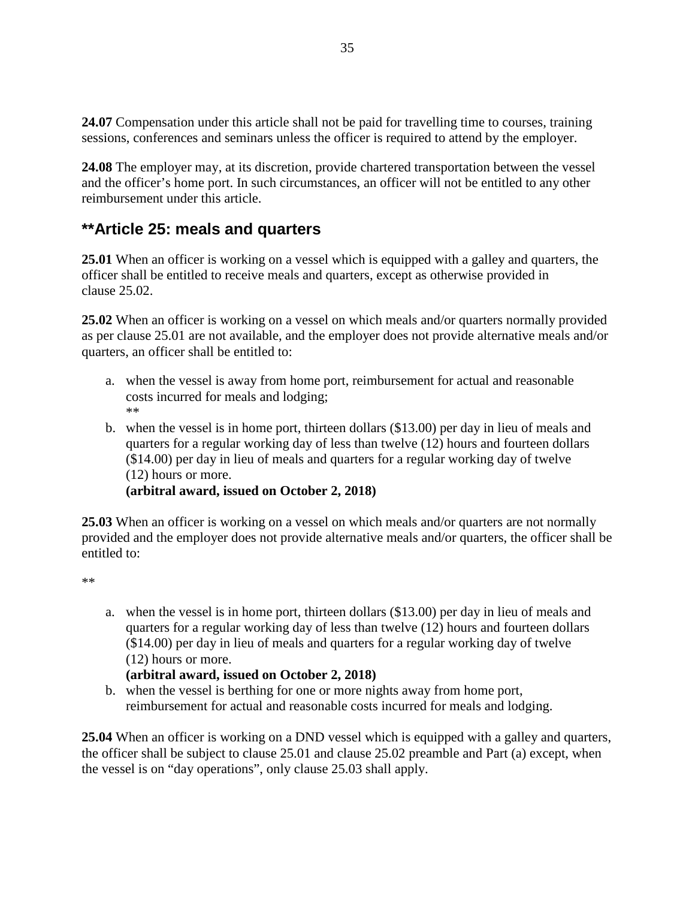**24.07** Compensation under this article shall not be paid for travelling time to courses, training sessions, conferences and seminars unless the officer is required to attend by the employer.

**24.08** The employer may, at its discretion, provide chartered transportation between the vessel and the officer's home port. In such circumstances, an officer will not be entitled to any other reimbursement under this article.

# **\*\*Article 25: meals and quarters**

**25.01** When an officer is working on a vessel which is equipped with a galley and quarters, the officer shall be entitled to receive meals and quarters, except as otherwise provided in clause 25.02.

**25.02** When an officer is working on a vessel on which meals and/or quarters normally provided as per clause 25.01 are not available, and the employer does not provide alternative meals and/or quarters, an officer shall be entitled to:

- a. when the vessel is away from home port, reimbursement for actual and reasonable costs incurred for meals and lodging; \*\*
- b. when the vessel is in home port, thirteen dollars (\$13.00) per day in lieu of meals and quarters for a regular working day of less than twelve (12) hours and fourteen dollars (\$14.00) per day in lieu of meals and quarters for a regular working day of twelve (12) hours or more.

**(arbitral award, issued on October 2, 2018)**

**25.03** When an officer is working on a vessel on which meals and/or quarters are not normally provided and the employer does not provide alternative meals and/or quarters, the officer shall be entitled to:

\*\*

a. when the vessel is in home port, thirteen dollars (\$13.00) per day in lieu of meals and quarters for a regular working day of less than twelve (12) hours and fourteen dollars (\$14.00) per day in lieu of meals and quarters for a regular working day of twelve (12) hours or more.

### **(arbitral award, issued on October 2, 2018)**

b. when the vessel is berthing for one or more nights away from home port, reimbursement for actual and reasonable costs incurred for meals and lodging.

**25.04** When an officer is working on a DND vessel which is equipped with a galley and quarters, the officer shall be subject to clause 25.01 and clause 25.02 preamble and Part (a) except, when the vessel is on "day operations", only clause 25.03 shall apply.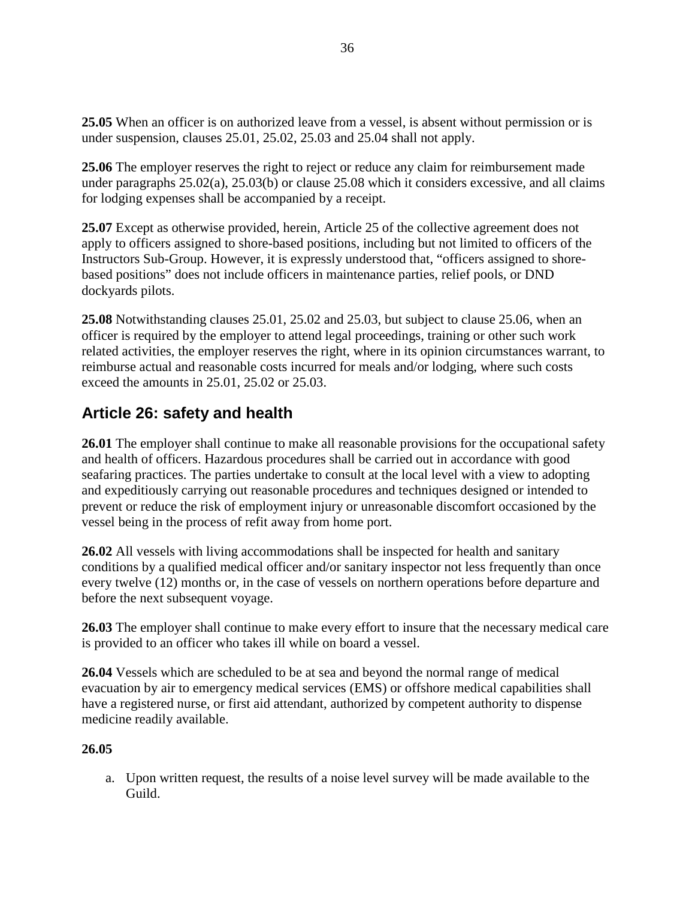**25.05** When an officer is on authorized leave from a vessel, is absent without permission or is under suspension, clauses 25.01, 25.02, 25.03 and 25.04 shall not apply.

**25.06** The employer reserves the right to reject or reduce any claim for reimbursement made under paragraphs 25.02(a), 25.03(b) or clause 25.08 which it considers excessive, and all claims for lodging expenses shall be accompanied by a receipt.

**25.07** Except as otherwise provided, herein, Article 25 of the collective agreement does not apply to officers assigned to shore-based positions, including but not limited to officers of the Instructors Sub-Group. However, it is expressly understood that, "officers assigned to shorebased positions" does not include officers in maintenance parties, relief pools, or DND dockyards pilots.

**25.08** Notwithstanding clauses 25.01, 25.02 and 25.03, but subject to clause 25.06, when an officer is required by the employer to attend legal proceedings, training or other such work related activities, the employer reserves the right, where in its opinion circumstances warrant, to reimburse actual and reasonable costs incurred for meals and/or lodging, where such costs exceed the amounts in 25.01, 25.02 or 25.03.

# **Article 26: safety and health**

**26.01** The employer shall continue to make all reasonable provisions for the occupational safety and health of officers. Hazardous procedures shall be carried out in accordance with good seafaring practices. The parties undertake to consult at the local level with a view to adopting and expeditiously carrying out reasonable procedures and techniques designed or intended to prevent or reduce the risk of employment injury or unreasonable discomfort occasioned by the vessel being in the process of refit away from home port.

**26.02** All vessels with living accommodations shall be inspected for health and sanitary conditions by a qualified medical officer and/or sanitary inspector not less frequently than once every twelve (12) months or, in the case of vessels on northern operations before departure and before the next subsequent voyage.

**26.03** The employer shall continue to make every effort to insure that the necessary medical care is provided to an officer who takes ill while on board a vessel.

**26.04** Vessels which are scheduled to be at sea and beyond the normal range of medical evacuation by air to emergency medical services (EMS) or offshore medical capabilities shall have a registered nurse, or first aid attendant, authorized by competent authority to dispense medicine readily available.

### **26.05**

a. Upon written request, the results of a noise level survey will be made available to the Guild.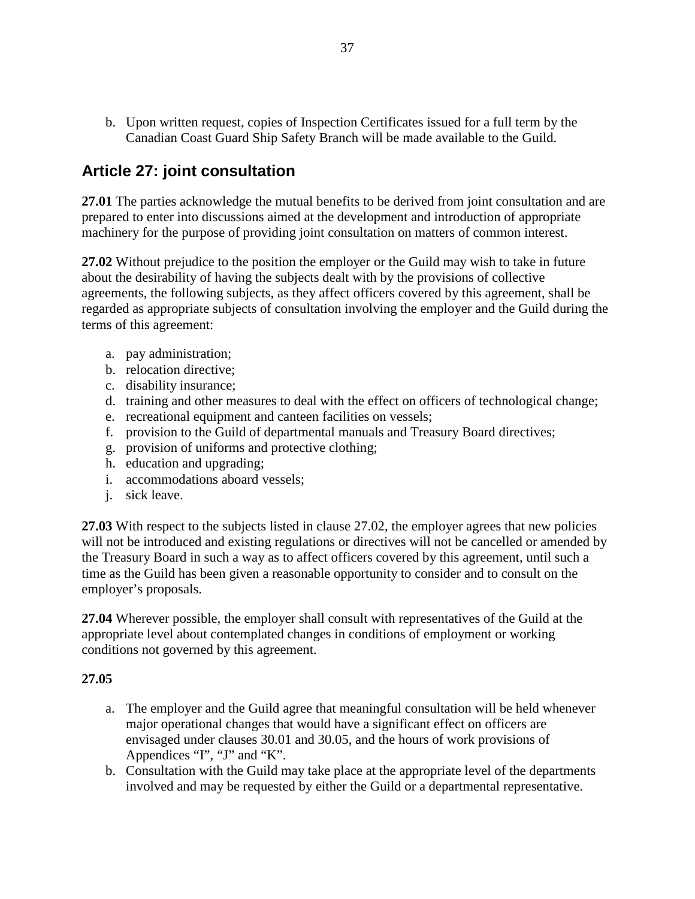b. Upon written request, copies of Inspection Certificates issued for a full term by the Canadian Coast Guard Ship Safety Branch will be made available to the Guild.

## **Article 27: joint consultation**

**27.01** The parties acknowledge the mutual benefits to be derived from joint consultation and are prepared to enter into discussions aimed at the development and introduction of appropriate machinery for the purpose of providing joint consultation on matters of common interest.

**27.02** Without prejudice to the position the employer or the Guild may wish to take in future about the desirability of having the subjects dealt with by the provisions of collective agreements, the following subjects, as they affect officers covered by this agreement, shall be regarded as appropriate subjects of consultation involving the employer and the Guild during the terms of this agreement:

- a. pay administration;
- b. relocation directive;
- c. disability insurance;
- d. training and other measures to deal with the effect on officers of technological change;
- e. recreational equipment and canteen facilities on vessels;
- f. provision to the Guild of departmental manuals and Treasury Board directives;
- g. provision of uniforms and protective clothing;
- h. education and upgrading;
- i. accommodations aboard vessels;
- j. sick leave.

**27.03** With respect to the subjects listed in clause 27.02, the employer agrees that new policies will not be introduced and existing regulations or directives will not be cancelled or amended by the Treasury Board in such a way as to affect officers covered by this agreement, until such a time as the Guild has been given a reasonable opportunity to consider and to consult on the employer's proposals.

**27.04** Wherever possible, the employer shall consult with representatives of the Guild at the appropriate level about contemplated changes in conditions of employment or working conditions not governed by this agreement.

#### **27.05**

- a. The employer and the Guild agree that meaningful consultation will be held whenever major operational changes that would have a significant effect on officers are envisaged under clauses 30.01 and 30.05, and the hours of work provisions of Appendices "I", "J" and "K".
- b. Consultation with the Guild may take place at the appropriate level of the departments involved and may be requested by either the Guild or a departmental representative.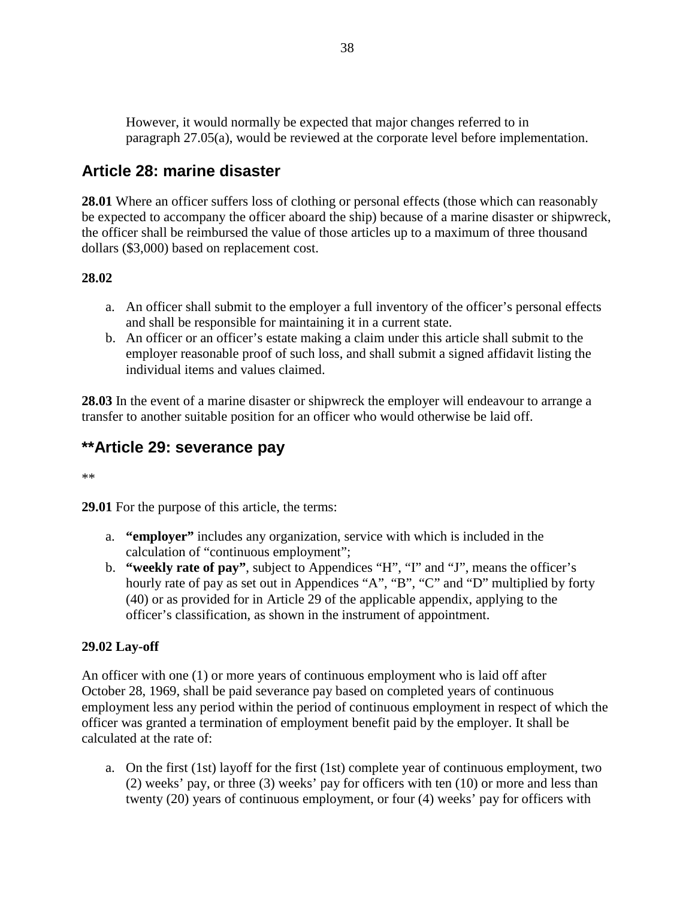However, it would normally be expected that major changes referred to in paragraph 27.05(a), would be reviewed at the corporate level before implementation.

## **Article 28: marine disaster**

**28.01** Where an officer suffers loss of clothing or personal effects (those which can reasonably be expected to accompany the officer aboard the ship) because of a marine disaster or shipwreck, the officer shall be reimbursed the value of those articles up to a maximum of three thousand dollars (\$3,000) based on replacement cost.

### **28.02**

- a. An officer shall submit to the employer a full inventory of the officer's personal effects and shall be responsible for maintaining it in a current state.
- b. An officer or an officer's estate making a claim under this article shall submit to the employer reasonable proof of such loss, and shall submit a signed affidavit listing the individual items and values claimed.

**28.03** In the event of a marine disaster or shipwreck the employer will endeavour to arrange a transfer to another suitable position for an officer who would otherwise be laid off.

# **\*\*Article 29: severance pay**

\*\*

**29.01** For the purpose of this article, the terms:

- a. **"employer"** includes any organization, service with which is included in the calculation of "continuous employment";
- b. **"weekly rate of pay"**, subject to Appendices "H", "I" and "J", means the officer's hourly rate of pay as set out in Appendices "A", "B", "C" and "D" multiplied by forty (40) or as provided for in Article 29 of the applicable appendix, applying to the officer's classification, as shown in the instrument of appointment.

### **29.02 Lay-off**

An officer with one (1) or more years of continuous employment who is laid off after October 28, 1969, shall be paid severance pay based on completed years of continuous employment less any period within the period of continuous employment in respect of which the officer was granted a termination of employment benefit paid by the employer. It shall be calculated at the rate of:

a. On the first (1st) layoff for the first (1st) complete year of continuous employment, two (2) weeks' pay, or three (3) weeks' pay for officers with ten (10) or more and less than twenty (20) years of continuous employment, or four (4) weeks' pay for officers with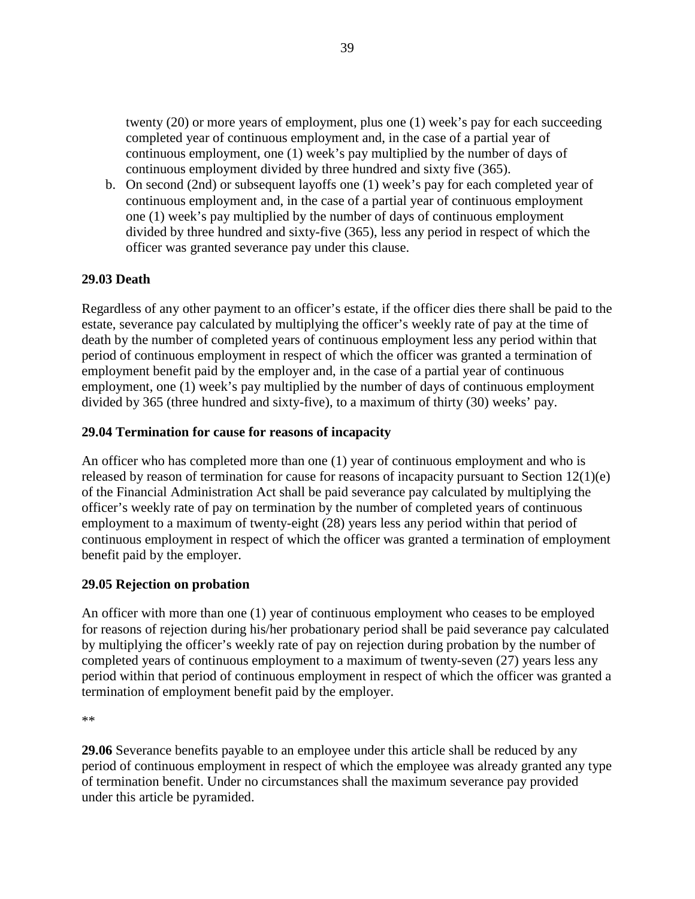twenty (20) or more years of employment, plus one (1) week's pay for each succeeding completed year of continuous employment and, in the case of a partial year of continuous employment, one (1) week's pay multiplied by the number of days of continuous employment divided by three hundred and sixty five (365).

b. On second (2nd) or subsequent layoffs one (1) week's pay for each completed year of continuous employment and, in the case of a partial year of continuous employment one (1) week's pay multiplied by the number of days of continuous employment divided by three hundred and sixty-five (365), less any period in respect of which the officer was granted severance pay under this clause.

### **29.03 Death**

Regardless of any other payment to an officer's estate, if the officer dies there shall be paid to the estate, severance pay calculated by multiplying the officer's weekly rate of pay at the time of death by the number of completed years of continuous employment less any period within that period of continuous employment in respect of which the officer was granted a termination of employment benefit paid by the employer and, in the case of a partial year of continuous employment, one (1) week's pay multiplied by the number of days of continuous employment divided by 365 (three hundred and sixty-five), to a maximum of thirty (30) weeks' pay.

#### **29.04 Termination for cause for reasons of incapacity**

An officer who has completed more than one (1) year of continuous employment and who is released by reason of termination for cause for reasons of incapacity pursuant to Section 12(1)(e) of the Financial Administration Act shall be paid severance pay calculated by multiplying the officer's weekly rate of pay on termination by the number of completed years of continuous employment to a maximum of twenty-eight (28) years less any period within that period of continuous employment in respect of which the officer was granted a termination of employment benefit paid by the employer.

#### **29.05 Rejection on probation**

An officer with more than one (1) year of continuous employment who ceases to be employed for reasons of rejection during his/her probationary period shall be paid severance pay calculated by multiplying the officer's weekly rate of pay on rejection during probation by the number of completed years of continuous employment to a maximum of twenty-seven (27) years less any period within that period of continuous employment in respect of which the officer was granted a termination of employment benefit paid by the employer.

**29.06** Severance benefits payable to an employee under this article shall be reduced by any period of continuous employment in respect of which the employee was already granted any type of termination benefit. Under no circumstances shall the maximum severance pay provided under this article be pyramided.

<sup>\*\*</sup>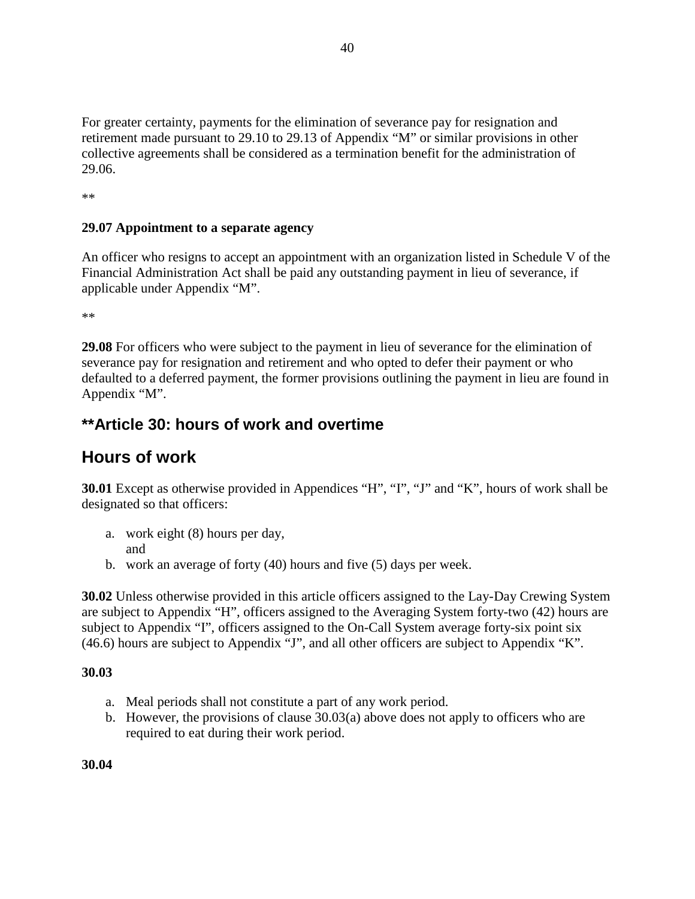For greater certainty, payments for the elimination of severance pay for resignation and retirement made pursuant to 29.10 to 29.13 of Appendix "M" or similar provisions in other collective agreements shall be considered as a termination benefit for the administration of 29.06.

\*\*

### **29.07 Appointment to a separate agency**

An officer who resigns to accept an appointment with an organization listed in Schedule V of the Financial Administration Act shall be paid any outstanding payment in lieu of severance, if applicable under Appendix "M".

\*\*

**29.08** For officers who were subject to the payment in lieu of severance for the elimination of severance pay for resignation and retirement and who opted to defer their payment or who defaulted to a deferred payment, the former provisions outlining the payment in lieu are found in Appendix "M".

## **\*\*Article 30: hours of work and overtime**

# **Hours of work**

**30.01** Except as otherwise provided in Appendices "H", "I", "J" and "K", hours of work shall be designated so that officers:

- a. work eight (8) hours per day, and
- b. work an average of forty (40) hours and five (5) days per week.

**30.02** Unless otherwise provided in this article officers assigned to the Lay-Day Crewing System are subject to Appendix "H", officers assigned to the Averaging System forty-two (42) hours are subject to Appendix "I", officers assigned to the On-Call System average forty-six point six (46.6) hours are subject to Appendix "J", and all other officers are subject to Appendix "K".

### **30.03**

- a. Meal periods shall not constitute a part of any work period.
- b. However, the provisions of clause 30.03(a) above does not apply to officers who are required to eat during their work period.

**30.04**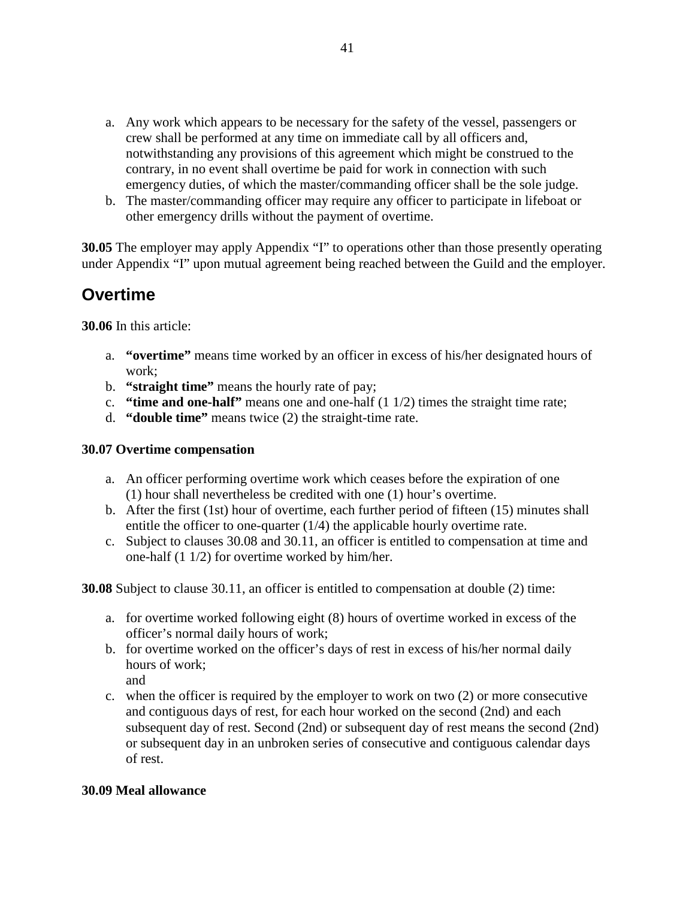- a. Any work which appears to be necessary for the safety of the vessel, passengers or crew shall be performed at any time on immediate call by all officers and, notwithstanding any provisions of this agreement which might be construed to the contrary, in no event shall overtime be paid for work in connection with such emergency duties, of which the master/commanding officer shall be the sole judge.
- b. The master/commanding officer may require any officer to participate in lifeboat or other emergency drills without the payment of overtime.

**30.05** The employer may apply Appendix "I" to operations other than those presently operating under Appendix "I" upon mutual agreement being reached between the Guild and the employer.

# **Overtime**

**30.06** In this article:

- a. **"overtime"** means time worked by an officer in excess of his/her designated hours of work;
- b. **"straight time"** means the hourly rate of pay;
- c. **"time and one-half"** means one and one-half (1 1/2) times the straight time rate;
- d. **"double time"** means twice (2) the straight-time rate.

### **30.07 Overtime compensation**

- a. An officer performing overtime work which ceases before the expiration of one (1) hour shall nevertheless be credited with one (1) hour's overtime.
- b. After the first (1st) hour of overtime, each further period of fifteen (15) minutes shall entitle the officer to one-quarter (1/4) the applicable hourly overtime rate.
- c. Subject to clauses 30.08 and 30.11, an officer is entitled to compensation at time and one-half (1 1/2) for overtime worked by him/her.

**30.08** Subject to clause 30.11, an officer is entitled to compensation at double (2) time:

- a. for overtime worked following eight (8) hours of overtime worked in excess of the officer's normal daily hours of work;
- b. for overtime worked on the officer's days of rest in excess of his/her normal daily hours of work; and
- c. when the officer is required by the employer to work on two (2) or more consecutive
- and contiguous days of rest, for each hour worked on the second (2nd) and each subsequent day of rest. Second (2nd) or subsequent day of rest means the second (2nd) or subsequent day in an unbroken series of consecutive and contiguous calendar days of rest.

### **30.09 Meal allowance**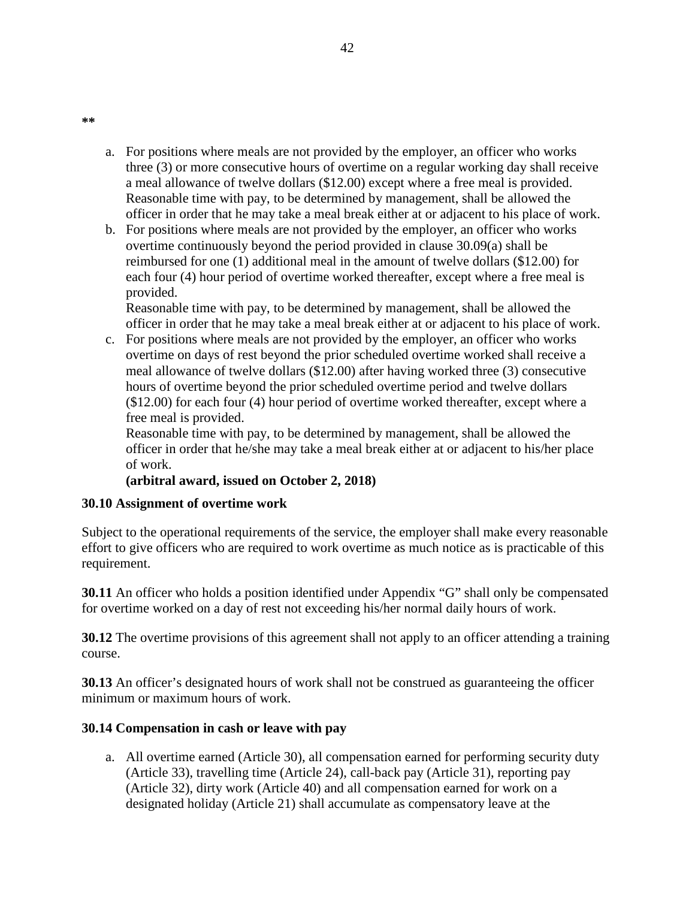- a. For positions where meals are not provided by the employer, an officer who works three (3) or more consecutive hours of overtime on a regular working day shall receive a meal allowance of twelve dollars (\$12.00) except where a free meal is provided. Reasonable time with pay, to be determined by management, shall be allowed the officer in order that he may take a meal break either at or adjacent to his place of work.
- b. For positions where meals are not provided by the employer, an officer who works overtime continuously beyond the period provided in clause 30.09(a) shall be reimbursed for one (1) additional meal in the amount of twelve dollars (\$12.00) for each four (4) hour period of overtime worked thereafter, except where a free meal is provided.

Reasonable time with pay, to be determined by management, shall be allowed the officer in order that he may take a meal break either at or adjacent to his place of work.

c. For positions where meals are not provided by the employer, an officer who works overtime on days of rest beyond the prior scheduled overtime worked shall receive a meal allowance of twelve dollars (\$12.00) after having worked three (3) consecutive hours of overtime beyond the prior scheduled overtime period and twelve dollars (\$12.00) for each four (4) hour period of overtime worked thereafter, except where a free meal is provided.

Reasonable time with pay, to be determined by management, shall be allowed the officer in order that he/she may take a meal break either at or adjacent to his/her place of work.

### **(arbitral award, issued on October 2, 2018)**

### **30.10 Assignment of overtime work**

Subject to the operational requirements of the service, the employer shall make every reasonable effort to give officers who are required to work overtime as much notice as is practicable of this requirement.

**30.11** An officer who holds a position identified under Appendix "G" shall only be compensated for overtime worked on a day of rest not exceeding his/her normal daily hours of work.

**30.12** The overtime provisions of this agreement shall not apply to an officer attending a training course.

**30.13** An officer's designated hours of work shall not be construed as guaranteeing the officer minimum or maximum hours of work.

### **30.14 Compensation in cash or leave with pay**

a. All overtime earned (Article 30), all compensation earned for performing security duty (Article 33), travelling time (Article 24), call-back pay (Article 31), reporting pay (Article 32), dirty work (Article 40) and all compensation earned for work on a designated holiday (Article 21) shall accumulate as compensatory leave at the

42

**\*\***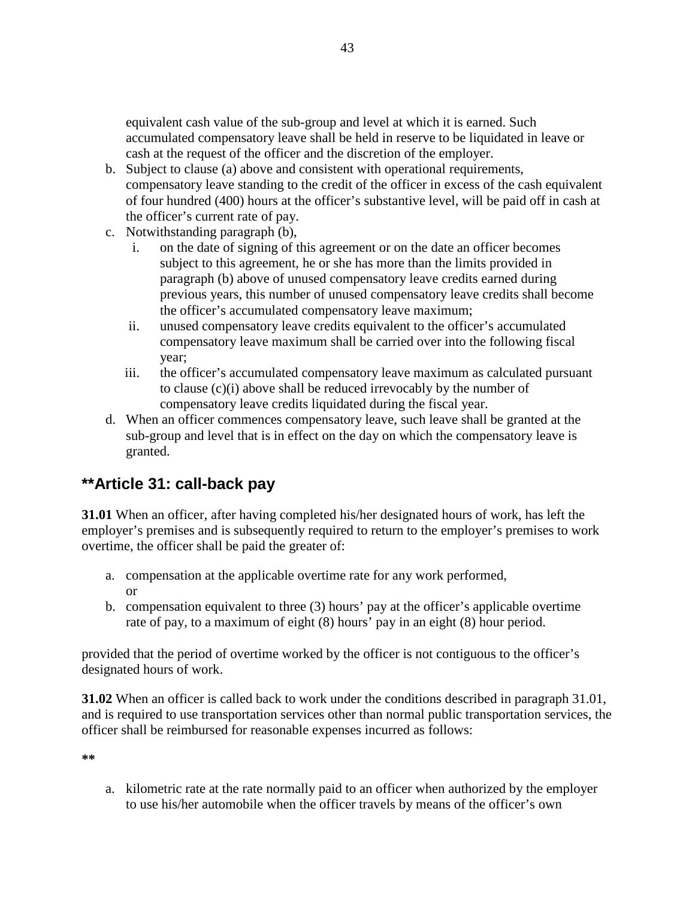equivalent cash value of the sub-group and level at which it is earned. Such accumulated compensatory leave shall be held in reserve to be liquidated in leave or cash at the request of the officer and the discretion of the employer.

- b. Subject to clause (a) above and consistent with operational requirements, compensatory leave standing to the credit of the officer in excess of the cash equivalent of four hundred (400) hours at the officer's substantive level, will be paid off in cash at the officer's current rate of pay.
- c. Notwithstanding paragraph (b),
	- i. on the date of signing of this agreement or on the date an officer becomes subject to this agreement, he or she has more than the limits provided in paragraph (b) above of unused compensatory leave credits earned during previous years, this number of unused compensatory leave credits shall become the officer's accumulated compensatory leave maximum;
	- ii. unused compensatory leave credits equivalent to the officer's accumulated compensatory leave maximum shall be carried over into the following fiscal year;
	- iii. the officer's accumulated compensatory leave maximum as calculated pursuant to clause (c)(i) above shall be reduced irrevocably by the number of compensatory leave credits liquidated during the fiscal year.
- d. When an officer commences compensatory leave, such leave shall be granted at the sub-group and level that is in effect on the day on which the compensatory leave is granted.

## **\*\*Article 31: call-back pay**

**31.01** When an officer, after having completed his/her designated hours of work, has left the employer's premises and is subsequently required to return to the employer's premises to work overtime, the officer shall be paid the greater of:

- a. compensation at the applicable overtime rate for any work performed, or
- b. compensation equivalent to three (3) hours' pay at the officer's applicable overtime rate of pay, to a maximum of eight (8) hours' pay in an eight (8) hour period.

provided that the period of overtime worked by the officer is not contiguous to the officer's designated hours of work.

**31.02** When an officer is called back to work under the conditions described in paragraph 31.01, and is required to use transportation services other than normal public transportation services, the officer shall be reimbursed for reasonable expenses incurred as follows:

**\*\***

a. kilometric rate at the rate normally paid to an officer when authorized by the employer to use his/her automobile when the officer travels by means of the officer's own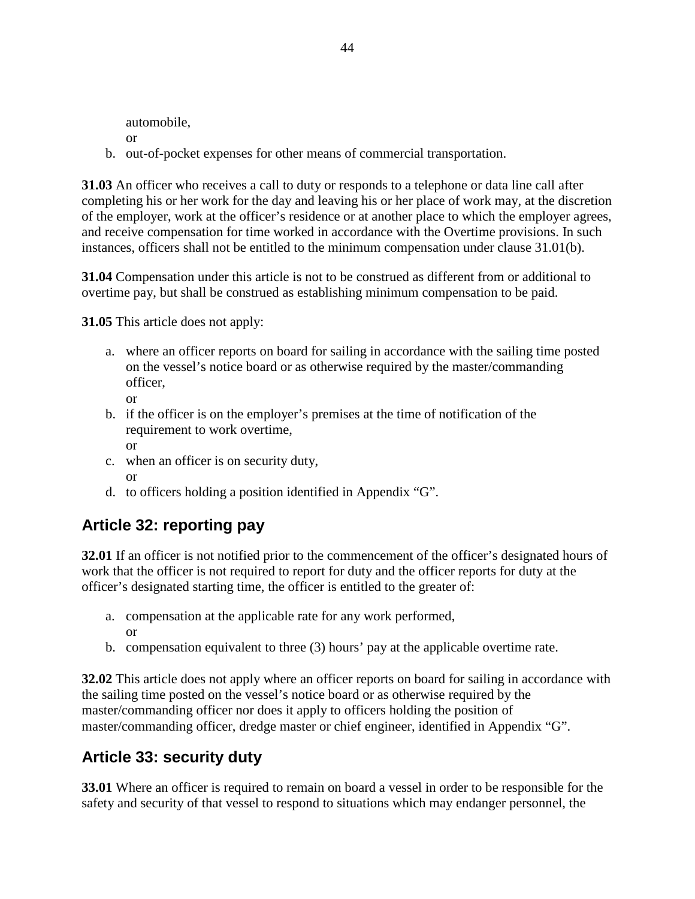automobile,

- or
- b. out-of-pocket expenses for other means of commercial transportation.

**31.03** An officer who receives a call to duty or responds to a telephone or data line call after completing his or her work for the day and leaving his or her place of work may, at the discretion of the employer, work at the officer's residence or at another place to which the employer agrees, and receive compensation for time worked in accordance with the Overtime provisions. In such instances, officers shall not be entitled to the minimum compensation under clause 31.01(b).

**31.04** Compensation under this article is not to be construed as different from or additional to overtime pay, but shall be construed as establishing minimum compensation to be paid.

**31.05** This article does not apply:

a. where an officer reports on board for sailing in accordance with the sailing time posted on the vessel's notice board or as otherwise required by the master/commanding officer,

or

- b. if the officer is on the employer's premises at the time of notification of the requirement to work overtime, or
- c. when an officer is on security duty, or
- d. to officers holding a position identified in Appendix "G".

# **Article 32: reporting pay**

**32.01** If an officer is not notified prior to the commencement of the officer's designated hours of work that the officer is not required to report for duty and the officer reports for duty at the officer's designated starting time, the officer is entitled to the greater of:

- a. compensation at the applicable rate for any work performed, or
- b. compensation equivalent to three (3) hours' pay at the applicable overtime rate.

**32.02** This article does not apply where an officer reports on board for sailing in accordance with the sailing time posted on the vessel's notice board or as otherwise required by the master/commanding officer nor does it apply to officers holding the position of master/commanding officer, dredge master or chief engineer, identified in Appendix "G".

# **Article 33: security duty**

**33.01** Where an officer is required to remain on board a vessel in order to be responsible for the safety and security of that vessel to respond to situations which may endanger personnel, the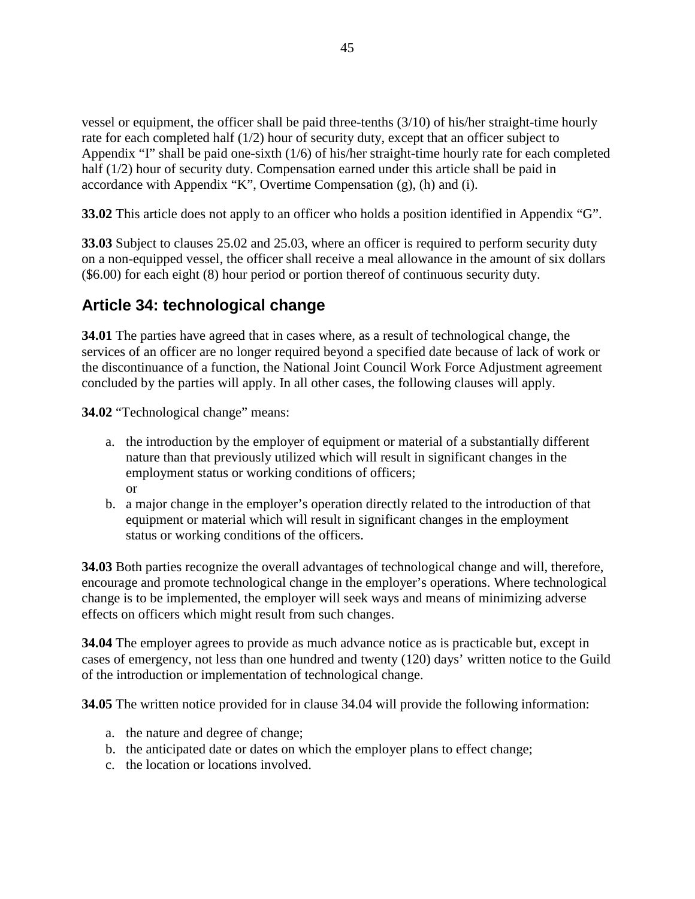vessel or equipment, the officer shall be paid three-tenths (3/10) of his/her straight-time hourly rate for each completed half (1/2) hour of security duty, except that an officer subject to Appendix "I" shall be paid one-sixth (1/6) of his/her straight-time hourly rate for each completed half (1/2) hour of security duty. Compensation earned under this article shall be paid in accordance with Appendix "K", Overtime Compensation (g), (h) and (i).

**33.02** This article does not apply to an officer who holds a position identified in Appendix "G".

**33.03** Subject to clauses 25.02 and 25.03, where an officer is required to perform security duty on a non-equipped vessel, the officer shall receive a meal allowance in the amount of six dollars (\$6.00) for each eight (8) hour period or portion thereof of continuous security duty.

# **Article 34: technological change**

**34.01** The parties have agreed that in cases where, as a result of technological change, the services of an officer are no longer required beyond a specified date because of lack of work or the discontinuance of a function, the National Joint Council Work Force Adjustment agreement concluded by the parties will apply. In all other cases, the following clauses will apply.

**34.02** "Technological change" means:

- a. the introduction by the employer of equipment or material of a substantially different nature than that previously utilized which will result in significant changes in the employment status or working conditions of officers; or
- b. a major change in the employer's operation directly related to the introduction of that equipment or material which will result in significant changes in the employment status or working conditions of the officers.

**34.03** Both parties recognize the overall advantages of technological change and will, therefore, encourage and promote technological change in the employer's operations. Where technological change is to be implemented, the employer will seek ways and means of minimizing adverse effects on officers which might result from such changes.

**34.04** The employer agrees to provide as much advance notice as is practicable but, except in cases of emergency, not less than one hundred and twenty (120) days' written notice to the Guild of the introduction or implementation of technological change.

**34.05** The written notice provided for in clause 34.04 will provide the following information:

- a. the nature and degree of change;
- b. the anticipated date or dates on which the employer plans to effect change;
- c. the location or locations involved.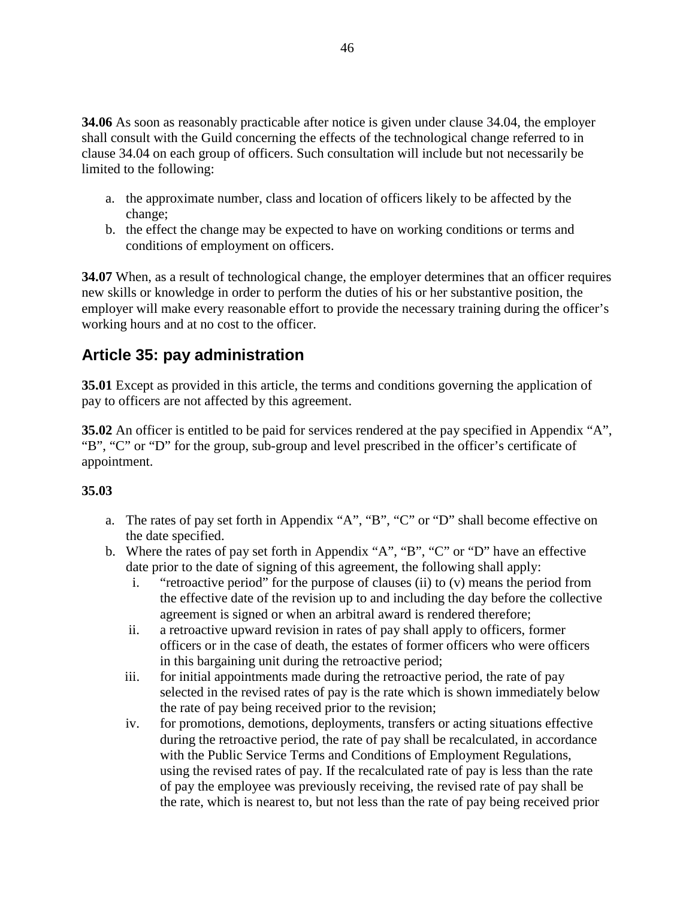**34.06** As soon as reasonably practicable after notice is given under clause 34.04, the employer shall consult with the Guild concerning the effects of the technological change referred to in clause 34.04 on each group of officers. Such consultation will include but not necessarily be limited to the following:

- a. the approximate number, class and location of officers likely to be affected by the change;
- b. the effect the change may be expected to have on working conditions or terms and conditions of employment on officers.

**34.07** When, as a result of technological change, the employer determines that an officer requires new skills or knowledge in order to perform the duties of his or her substantive position, the employer will make every reasonable effort to provide the necessary training during the officer's working hours and at no cost to the officer.

# **Article 35: pay administration**

**35.01** Except as provided in this article, the terms and conditions governing the application of pay to officers are not affected by this agreement.

**35.02** An officer is entitled to be paid for services rendered at the pay specified in Appendix "A", "B", "C" or "D" for the group, sub-group and level prescribed in the officer's certificate of appointment.

### **35.03**

- a. The rates of pay set forth in Appendix "A", "B", "C" or "D" shall become effective on the date specified.
- b. Where the rates of pay set forth in Appendix "A", "B", "C" or "D" have an effective date prior to the date of signing of this agreement, the following shall apply:
	- i. "retroactive period" for the purpose of clauses (ii) to (v) means the period from the effective date of the revision up to and including the day before the collective agreement is signed or when an arbitral award is rendered therefore;
	- ii. a retroactive upward revision in rates of pay shall apply to officers, former officers or in the case of death, the estates of former officers who were officers in this bargaining unit during the retroactive period;
	- iii. for initial appointments made during the retroactive period, the rate of pay selected in the revised rates of pay is the rate which is shown immediately below the rate of pay being received prior to the revision;
	- iv. for promotions, demotions, deployments, transfers or acting situations effective during the retroactive period, the rate of pay shall be recalculated, in accordance with the Public Service Terms and Conditions of Employment Regulations, using the revised rates of pay. If the recalculated rate of pay is less than the rate of pay the employee was previously receiving, the revised rate of pay shall be the rate, which is nearest to, but not less than the rate of pay being received prior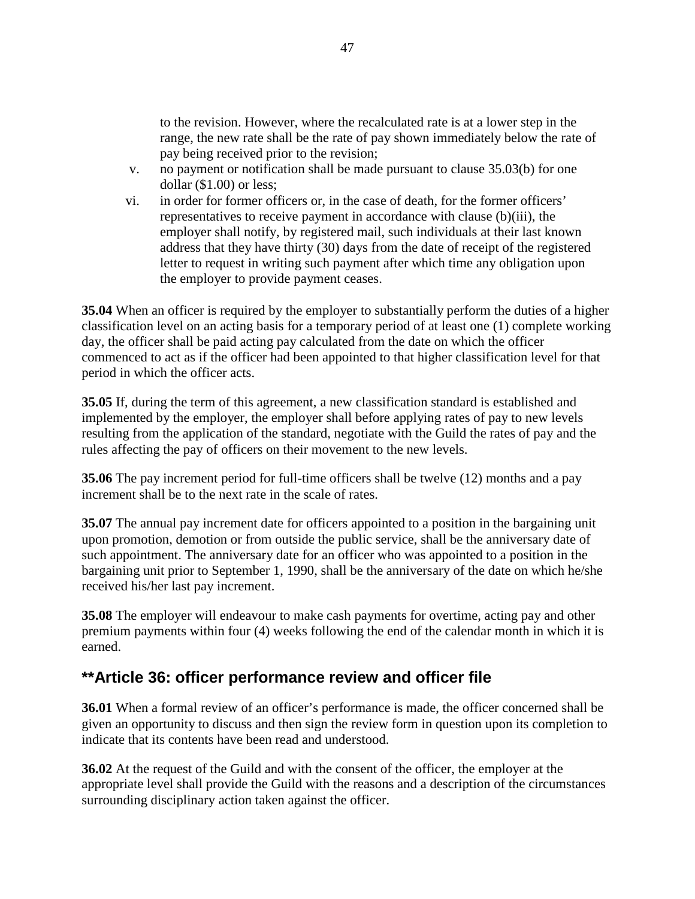to the revision. However, where the recalculated rate is at a lower step in the range, the new rate shall be the rate of pay shown immediately below the rate of pay being received prior to the revision;

- v. no payment or notification shall be made pursuant to clause 35.03(b) for one dollar (\$1.00) or less;
- vi. in order for former officers or, in the case of death, for the former officers' representatives to receive payment in accordance with clause (b)(iii), the employer shall notify, by registered mail, such individuals at their last known address that they have thirty (30) days from the date of receipt of the registered letter to request in writing such payment after which time any obligation upon the employer to provide payment ceases.

**35.04** When an officer is required by the employer to substantially perform the duties of a higher classification level on an acting basis for a temporary period of at least one (1) complete working day, the officer shall be paid acting pay calculated from the date on which the officer commenced to act as if the officer had been appointed to that higher classification level for that period in which the officer acts.

**35.05** If, during the term of this agreement, a new classification standard is established and implemented by the employer, the employer shall before applying rates of pay to new levels resulting from the application of the standard, negotiate with the Guild the rates of pay and the rules affecting the pay of officers on their movement to the new levels.

**35.06** The pay increment period for full-time officers shall be twelve (12) months and a pay increment shall be to the next rate in the scale of rates.

**35.07** The annual pay increment date for officers appointed to a position in the bargaining unit upon promotion, demotion or from outside the public service, shall be the anniversary date of such appointment. The anniversary date for an officer who was appointed to a position in the bargaining unit prior to September 1, 1990, shall be the anniversary of the date on which he/she received his/her last pay increment.

**35.08** The employer will endeavour to make cash payments for overtime, acting pay and other premium payments within four (4) weeks following the end of the calendar month in which it is earned.

## **\*\*Article 36: officer performance review and officer file**

**36.01** When a formal review of an officer's performance is made, the officer concerned shall be given an opportunity to discuss and then sign the review form in question upon its completion to indicate that its contents have been read and understood.

**36.02** At the request of the Guild and with the consent of the officer, the employer at the appropriate level shall provide the Guild with the reasons and a description of the circumstances surrounding disciplinary action taken against the officer.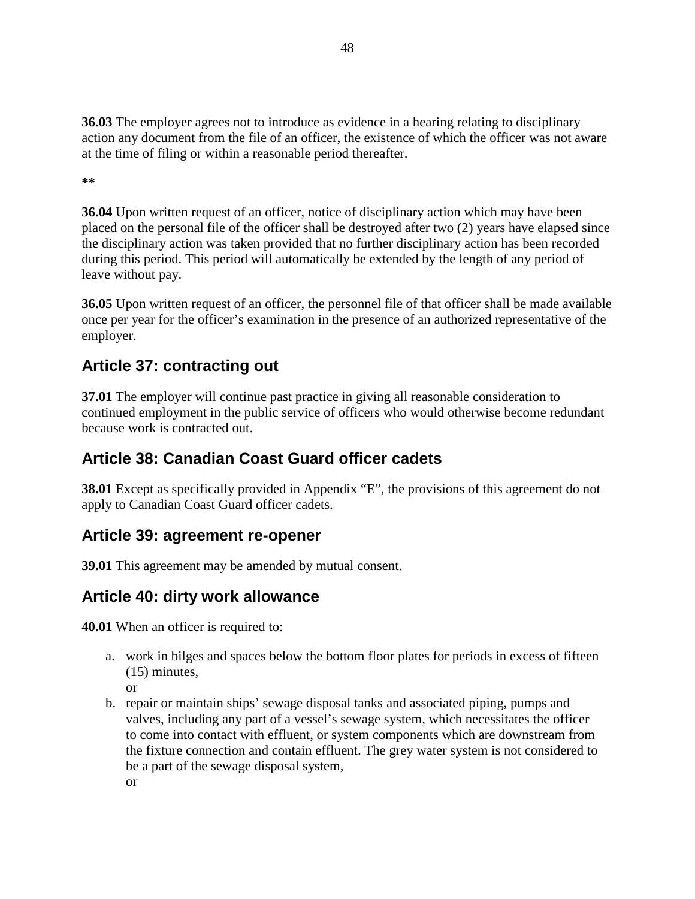**36.03** The employer agrees not to introduce as evidence in a hearing relating to disciplinary action any document from the file of an officer, the existence of which the officer was not aware at the time of filing or within a reasonable period thereafter.

**\*\***

**36.04** Upon written request of an officer, notice of disciplinary action which may have been placed on the personal file of the officer shall be destroyed after two (2) years have elapsed since the disciplinary action was taken provided that no further disciplinary action has been recorded during this period. This period will automatically be extended by the length of any period of leave without pay.

**36.05** Upon written request of an officer, the personnel file of that officer shall be made available once per year for the officer's examination in the presence of an authorized representative of the employer.

# **Article 37: contracting out**

**37.01** The employer will continue past practice in giving all reasonable consideration to continued employment in the public service of officers who would otherwise become redundant because work is contracted out.

# **Article 38: Canadian Coast Guard officer cadets**

**38.01** Except as specifically provided in Appendix "E", the provisions of this agreement do not apply to Canadian Coast Guard officer cadets.

# **Article 39: agreement re-opener**

**39.01** This agreement may be amended by mutual consent.

# **Article 40: dirty work allowance**

**40.01** When an officer is required to:

- a. work in bilges and spaces below the bottom floor plates for periods in excess of fifteen (15) minutes,
	- or
- b. repair or maintain ships' sewage disposal tanks and associated piping, pumps and valves, including any part of a vessel's sewage system, which necessitates the officer to come into contact with effluent, or system components which are downstream from the fixture connection and contain effluent. The grey water system is not considered to be a part of the sewage disposal system, or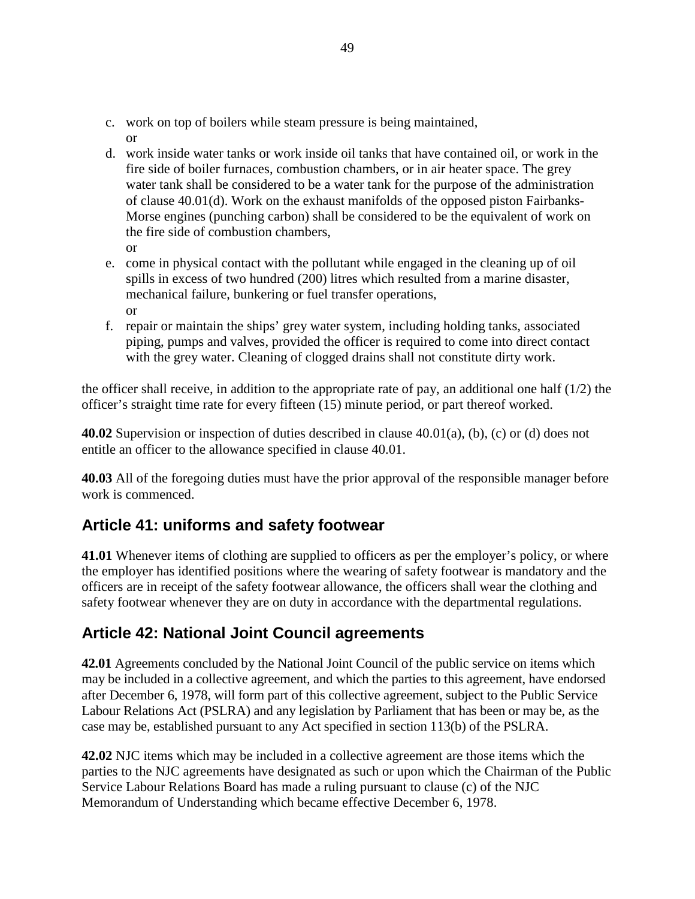- c. work on top of boilers while steam pressure is being maintained, or
- d. work inside water tanks or work inside oil tanks that have contained oil, or work in the fire side of boiler furnaces, combustion chambers, or in air heater space. The grey water tank shall be considered to be a water tank for the purpose of the administration of clause 40.01(d). Work on the exhaust manifolds of the opposed piston Fairbanks-Morse engines (punching carbon) shall be considered to be the equivalent of work on the fire side of combustion chambers, or
- e. come in physical contact with the pollutant while engaged in the cleaning up of oil spills in excess of two hundred (200) litres which resulted from a marine disaster, mechanical failure, bunkering or fuel transfer operations, or
- f. repair or maintain the ships' grey water system, including holding tanks, associated piping, pumps and valves, provided the officer is required to come into direct contact with the grey water. Cleaning of clogged drains shall not constitute dirty work.

the officer shall receive, in addition to the appropriate rate of pay, an additional one half  $(1/2)$  the officer's straight time rate for every fifteen (15) minute period, or part thereof worked.

**40.02** Supervision or inspection of duties described in clause 40.01(a), (b), (c) or (d) does not entitle an officer to the allowance specified in clause 40.01.

**40.03** All of the foregoing duties must have the prior approval of the responsible manager before work is commenced.

## **Article 41: uniforms and safety footwear**

**41.01** Whenever items of clothing are supplied to officers as per the employer's policy, or where the employer has identified positions where the wearing of safety footwear is mandatory and the officers are in receipt of the safety footwear allowance, the officers shall wear the clothing and safety footwear whenever they are on duty in accordance with the departmental regulations.

## **Article 42: National Joint Council agreements**

**42.01** Agreements concluded by the National Joint Council of the public service on items which may be included in a collective agreement, and which the parties to this agreement, have endorsed after December 6, 1978, will form part of this collective agreement, subject to the Public Service Labour Relations Act (PSLRA) and any legislation by Parliament that has been or may be, as the case may be, established pursuant to any Act specified in section 113(b) of the PSLRA.

**42.02** NJC items which may be included in a collective agreement are those items which the parties to the NJC agreements have designated as such or upon which the Chairman of the Public Service Labour Relations Board has made a ruling pursuant to clause (c) of the NJC Memorandum of Understanding which became effective December 6, 1978.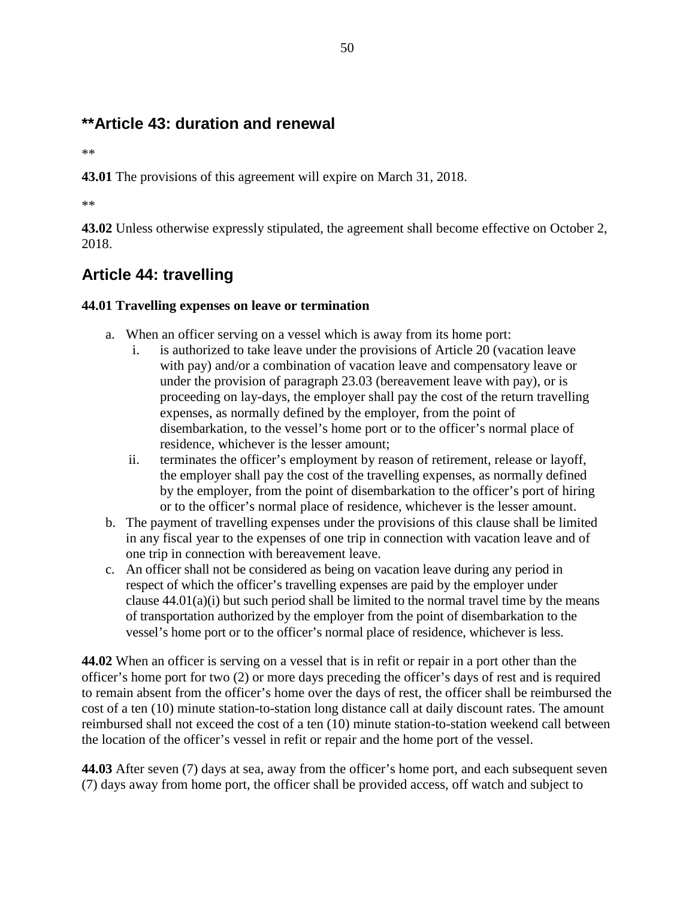# **\*\*Article 43: duration and renewal**

\*\*

**43.01** The provisions of this agreement will expire on March 31, 2018.

\*\*

**43.02** Unless otherwise expressly stipulated, the agreement shall become effective on October 2, 2018.

# **Article 44: travelling**

### **44.01 Travelling expenses on leave or termination**

- a. When an officer serving on a vessel which is away from its home port:
	- i. is authorized to take leave under the provisions of Article 20 (vacation leave with pay) and/or a combination of vacation leave and compensatory leave or under the provision of paragraph 23.03 (bereavement leave with pay), or is proceeding on lay-days, the employer shall pay the cost of the return travelling expenses, as normally defined by the employer, from the point of disembarkation, to the vessel's home port or to the officer's normal place of residence, whichever is the lesser amount;
	- ii. terminates the officer's employment by reason of retirement, release or layoff, the employer shall pay the cost of the travelling expenses, as normally defined by the employer, from the point of disembarkation to the officer's port of hiring or to the officer's normal place of residence, whichever is the lesser amount.
- b. The payment of travelling expenses under the provisions of this clause shall be limited in any fiscal year to the expenses of one trip in connection with vacation leave and of one trip in connection with bereavement leave.
- c. An officer shall not be considered as being on vacation leave during any period in respect of which the officer's travelling expenses are paid by the employer under clause  $44.01(a)(i)$  but such period shall be limited to the normal travel time by the means of transportation authorized by the employer from the point of disembarkation to the vessel's home port or to the officer's normal place of residence, whichever is less.

**44.02** When an officer is serving on a vessel that is in refit or repair in a port other than the officer's home port for two (2) or more days preceding the officer's days of rest and is required to remain absent from the officer's home over the days of rest, the officer shall be reimbursed the cost of a ten (10) minute station-to-station long distance call at daily discount rates. The amount reimbursed shall not exceed the cost of a ten (10) minute station-to-station weekend call between the location of the officer's vessel in refit or repair and the home port of the vessel.

**44.03** After seven (7) days at sea, away from the officer's home port, and each subsequent seven (7) days away from home port, the officer shall be provided access, off watch and subject to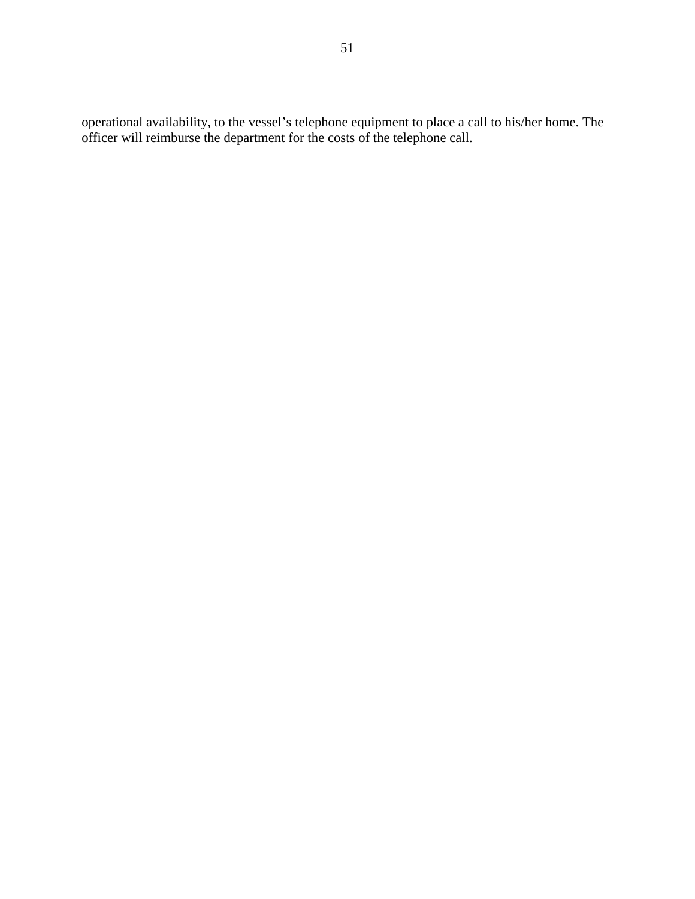operational availability, to the vessel's telephone equipment to place a call to his/her home. The officer will reimburse the department for the costs of the telephone call.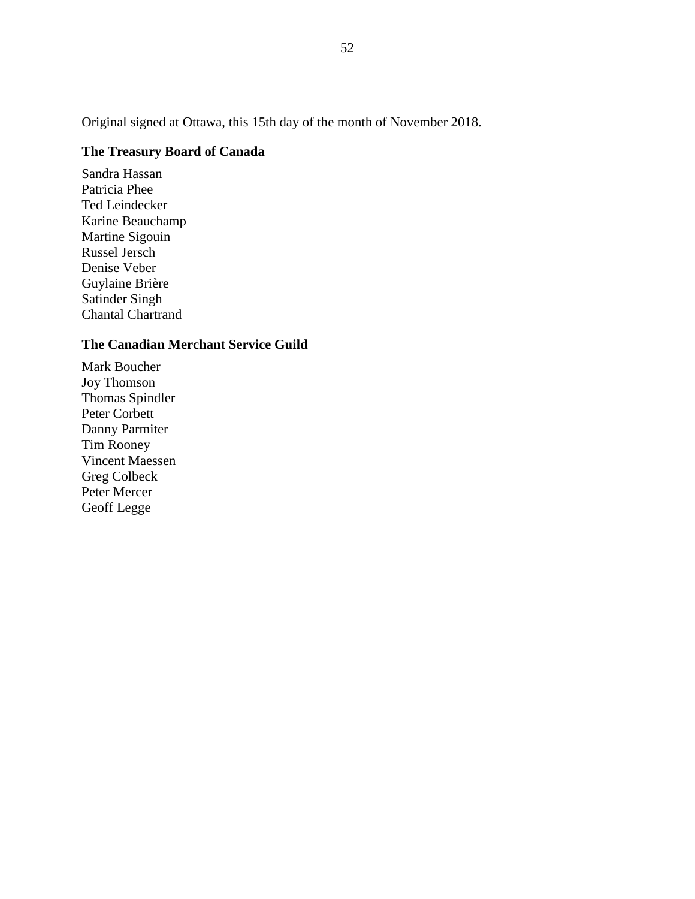Original signed at Ottawa, this 15th day of the month of November 2018.

### **The Treasury Board of Canada**

Sandra Hassan Patricia Phee Ted Leindecker Karine Beauchamp Martine Sigouin Russel Jersch Denise Veber Guylaine Brière Satinder Singh Chantal Chartrand

### **The Canadian Merchant Service Guild**

Mark Boucher Joy Thomson Thomas Spindler Peter Corbett Danny Parmiter Tim Rooney Vincent Maessen Greg Colbeck Peter Mercer Geoff Legge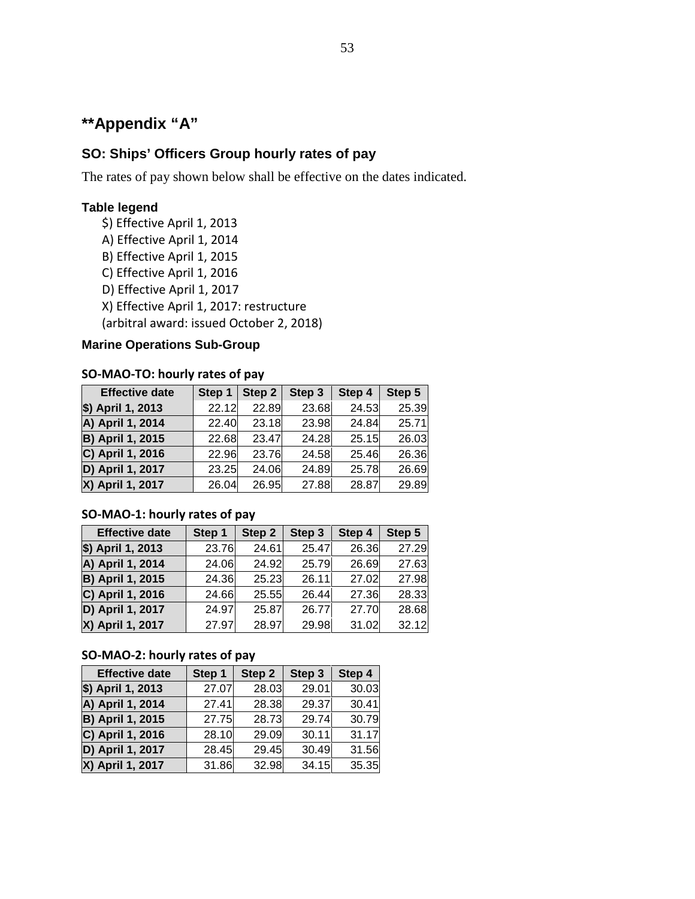# **\*\*Appendix "A"**

### **SO: Ships' Officers Group hourly rates of pay**

The rates of pay shown below shall be effective on the dates indicated.

### **Table legend**

- \$) Effective April 1, 2013
- A) Effective April 1, 2014
- B) Effective April 1, 2015
- C) Effective April 1, 2016
- D) Effective April 1, 2017
- X) Effective April 1, 2017: restructure

(arbitral award: issued October 2, 2018)

#### **Marine Operations Sub-Group**

#### **SO-MAO-TO: hourly rates of pay**

| <b>Effective date</b>   | Step 1 | Step 2 | Step 3 | Step 4 | Step 5 |
|-------------------------|--------|--------|--------|--------|--------|
| \$) April 1, 2013       | 22.12  | 22.89  | 23.68  | 24.53  | 25.39  |
| A) April 1, 2014        | 22.40  | 23.18  | 23.98  | 24.84  | 25.71  |
| <b>B) April 1, 2015</b> | 22.68  | 23.47  | 24.28  | 25.15  | 26.03  |
| C) April 1, 2016        | 22.96  | 23.76  | 24.58  | 25.46  | 26.36  |
| D) April 1, 2017        | 23.25  | 24.06  | 24.89  | 25.78  | 26.69  |
| X) April 1, 2017        | 26.04  | 26.95  | 27.88  | 28.87  | 29.89  |

### **SO-MAO-1: hourly rates of pay**

| <b>Effective date</b>   | Step 1 | Step 2 | Step 3 | Step 4 | Step 5 |
|-------------------------|--------|--------|--------|--------|--------|
| \$) April 1, 2013       | 23.76  | 24.61  | 25.47  | 26.36  | 27.29  |
| A) April 1, 2014        | 24.06  | 24.92  | 25.79  | 26.69  | 27.63  |
| <b>B) April 1, 2015</b> | 24.36  | 25.23  | 26.11  | 27.02  | 27.98  |
| C) April 1, 2016        | 24.66  | 25.55  | 26.44  | 27.36  | 28.33  |
| D) April 1, 2017        | 24.97  | 25.87  | 26.77  | 27.70  | 28.68  |
| X) April 1, 2017        | 27.97  | 28.97  | 29.98  | 31.02  | 32.12  |

#### **SO-MAO-2: hourly rates of pay**

| <b>Effective date</b>   | Step 1 | Step 2 | Step 3 | Step 4 |
|-------------------------|--------|--------|--------|--------|
| \$) April 1, 2013       | 27.07  | 28.03  | 29.01  | 30.03  |
| A) April 1, 2014        | 27.41  | 28.38  | 29.37  | 30.41  |
| <b>B) April 1, 2015</b> | 27.75  | 28.73  | 29.74  | 30.79  |
| C) April 1, 2016        | 28.10  | 29.09  | 30.11  | 31.17  |
| D) April 1, 2017        | 28.45  | 29.45  | 30.49  | 31.56  |
| X) April 1, 2017        | 31.86  | 32.98  | 34.15  | 35.35  |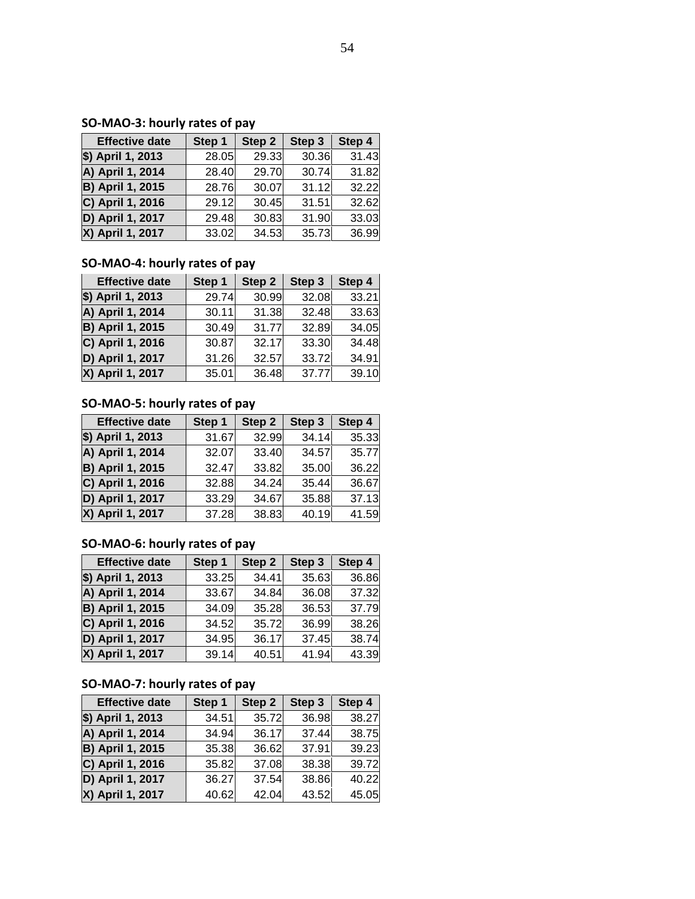### **SO-MAO-3: hourly rates of pay**

| <b>Effective date</b>   | Step 1 | Step 2 | Step 3 | Step 4 |
|-------------------------|--------|--------|--------|--------|
| \$) April 1, 2013       | 28.05  | 29.33  | 30.36  | 31.43  |
| A) April 1, 2014        | 28.40  | 29.70  | 30.74  | 31.82  |
| <b>B) April 1, 2015</b> | 28.76  | 30.07  | 31.12  | 32.22  |
| C) April 1, 2016        | 29.12  | 30.45  | 31.51  | 32.62  |
| D) April 1, 2017        | 29.48  | 30.83  | 31.90  | 33.03  |
| X) April 1, 2017        | 33.02  | 34.53  | 35.73  | 36.99  |

### **SO-MAO-4: hourly rates of pay**

| <b>Effective date</b>   | Step 1 | Step 2 | Step 3 | Step 4 |
|-------------------------|--------|--------|--------|--------|
| \$) April 1, 2013       | 29.74  | 30.99  | 32.08  | 33.21  |
| A) April 1, 2014        | 30.11  | 31.38  | 32.48  | 33.63  |
| <b>B) April 1, 2015</b> | 30.49  | 31.77  | 32.89  | 34.05  |
| C) April 1, 2016        | 30.87  | 32.17  | 33.30  | 34.48  |
| D) April 1, 2017        | 31.26  | 32.57  | 33.72  | 34.91  |
| X) April 1, 2017        | 35.01  | 36.48  | 37.77  | 39.10  |

### **SO-MAO-5: hourly rates of pay**

| <b>Effective date</b>   | Step 1 | Step 2 | Step 3 | Step 4 |
|-------------------------|--------|--------|--------|--------|
| \$) April 1, 2013       | 31.67  | 32.99  | 34.14  | 35.33  |
| A) April 1, 2014        | 32.07  | 33.40  | 34.57  | 35.77  |
| <b>B) April 1, 2015</b> | 32.47  | 33.82  | 35.00  | 36.22  |
| C) April 1, 2016        | 32.88  | 34.24  | 35.44  | 36.67  |
| D) April 1, 2017        | 33.29  | 34.67  | 35.88  | 37.13  |
| X) April 1, 2017        | 37.28  | 38.83  | 40.19  | 41.59  |

### **SO-MAO-6: hourly rates of pay**

| <b>Effective date</b>   | Step 1 | Step 2 | Step 3 | Step 4 |
|-------------------------|--------|--------|--------|--------|
| \$) April 1, 2013       | 33.25  | 34.41  | 35.63  | 36.86  |
| A) April 1, 2014        | 33.67  | 34.84  | 36.08  | 37.32  |
| <b>B) April 1, 2015</b> | 34.09  | 35.28  | 36.53  | 37.79  |
| C) April 1, 2016        | 34.52  | 35.72  | 36.99  | 38.26  |
| D) April 1, 2017        | 34.95  | 36.17  | 37.45  | 38.74  |
| X) April 1, 2017        | 39.14  | 40.51  | 41.94  | 43.39  |

### **SO-MAO-7: hourly rates of pay**

| <b>Effective date</b>   | Step 1 | Step 2 | Step 3 | Step 4 |
|-------------------------|--------|--------|--------|--------|
| \$) April 1, 2013       | 34.51  | 35.72  | 36.98  | 38.27  |
| A) April 1, 2014        | 34.94  | 36.17  | 37.44  | 38.75  |
| <b>B) April 1, 2015</b> | 35.38  | 36.62  | 37.91  | 39.23  |
| C) April 1, 2016        | 35.82  | 37.08  | 38.38  | 39.72  |
| D) April 1, 2017        | 36.27  | 37.54  | 38.86  | 40.22  |
| X) April 1, 2017        | 40.62  | 42.04  | 43.52  | 45.05  |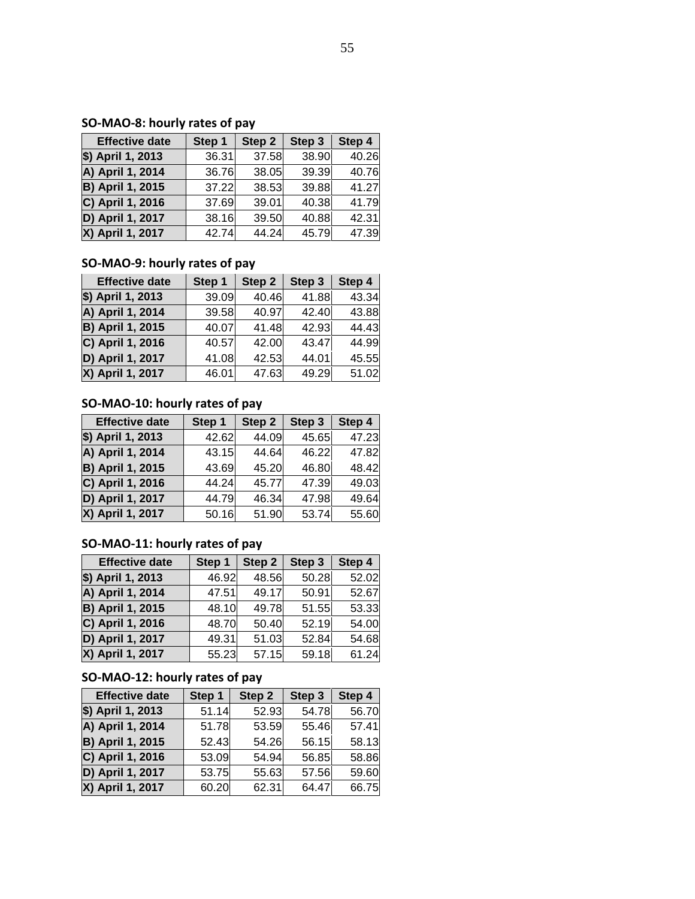### **SO-MAO-8: hourly rates of pay**

| <b>Effective date</b>   | Step 1 | Step 2 | Step 3 | Step 4 |
|-------------------------|--------|--------|--------|--------|
| \$) April 1, 2013       | 36.31  | 37.58  | 38.90  | 40.26  |
| A) April 1, 2014        | 36.76  | 38.05  | 39.39  | 40.76  |
| <b>B) April 1, 2015</b> | 37.22  | 38.53  | 39.88  | 41.27  |
| C) April 1, 2016        | 37.69  | 39.01  | 40.38  | 41.79  |
| D) April 1, 2017        | 38.16  | 39.50  | 40.88  | 42.31  |
| X) April 1, 2017        | 42.74  | 44.24  | 45.79  | 47.39  |

### **SO-MAO-9: hourly rates of pay**

| <b>Effective date</b>   | Step 1 | Step 2 | Step 3 | Step 4 |
|-------------------------|--------|--------|--------|--------|
| \$) April 1, 2013       | 39.09  | 40.46  | 41.88  | 43.34  |
| A) April 1, 2014        | 39.58  | 40.97  | 42.40  | 43.88  |
| <b>B) April 1, 2015</b> | 40.07  | 41.48  | 42.93  | 44.43  |
| C) April 1, 2016        | 40.57  | 42.00  | 43.47  | 44.99  |
| D) April 1, 2017        | 41.08  | 42.53  | 44.01  | 45.55  |
| X) April 1, 2017        | 46.01  | 47.63  | 49.29  | 51.02  |

### **SO-MAO-10: hourly rates of pay**

| <b>Effective date</b>   | Step 1 | Step 2 | Step 3 | Step 4 |
|-------------------------|--------|--------|--------|--------|
| \$) April 1, 2013       | 42.62  | 44.09  | 45.65  | 47.23  |
| A) April 1, 2014        | 43.15  | 44.64  | 46.22  | 47.82  |
| <b>B) April 1, 2015</b> | 43.69  | 45.20  | 46.80  | 48.42  |
| C) April 1, 2016        | 44.24  | 45.77  | 47.39  | 49.03  |
| D) April 1, 2017        | 44.79  | 46.34  | 47.98  | 49.64  |
| X) April 1, 2017        | 50.16  | 51.90  | 53.74  | 55.60  |

### **SO-MAO-11: hourly rates of pay**

| <b>Effective date</b>   | Step 1 | Step 2 | Step 3 | Step 4 |
|-------------------------|--------|--------|--------|--------|
| \$) April 1, 2013       | 46.92  | 48.56  | 50.28  | 52.02  |
| A) April 1, 2014        | 47.51  | 49.17  | 50.91  | 52.67  |
| <b>B) April 1, 2015</b> | 48.10  | 49.78  | 51.55  | 53.33  |
| C) April 1, 2016        | 48.70  | 50.40  | 52.19  | 54.00  |
| D) April 1, 2017        | 49.31  | 51.03  | 52.84  | 54.68  |
| X) April 1, 2017        | 55.23  | 57.15  | 59.18  | 61.24  |

### **SO-MAO-12: hourly rates of pay**

| <b>Effective date</b>   | Step 1 | Step 2 |       | Step 4 |  |
|-------------------------|--------|--------|-------|--------|--|
| \$) April 1, 2013       | 51.14  | 52.93  | 54.78 | 56.70  |  |
| A) April 1, 2014        | 51.78  | 53.59  | 55.46 | 57.41  |  |
| <b>B) April 1, 2015</b> | 52.43  | 54.26  | 56.15 | 58.13  |  |
| C) April 1, 2016        | 53.09  | 54.94  | 56.85 | 58.86  |  |
| D) April 1, 2017        | 53.75  | 55.63  | 57.56 | 59.60  |  |
| X) April 1, 2017        | 60.20  | 62.31  | 64.47 | 66.75  |  |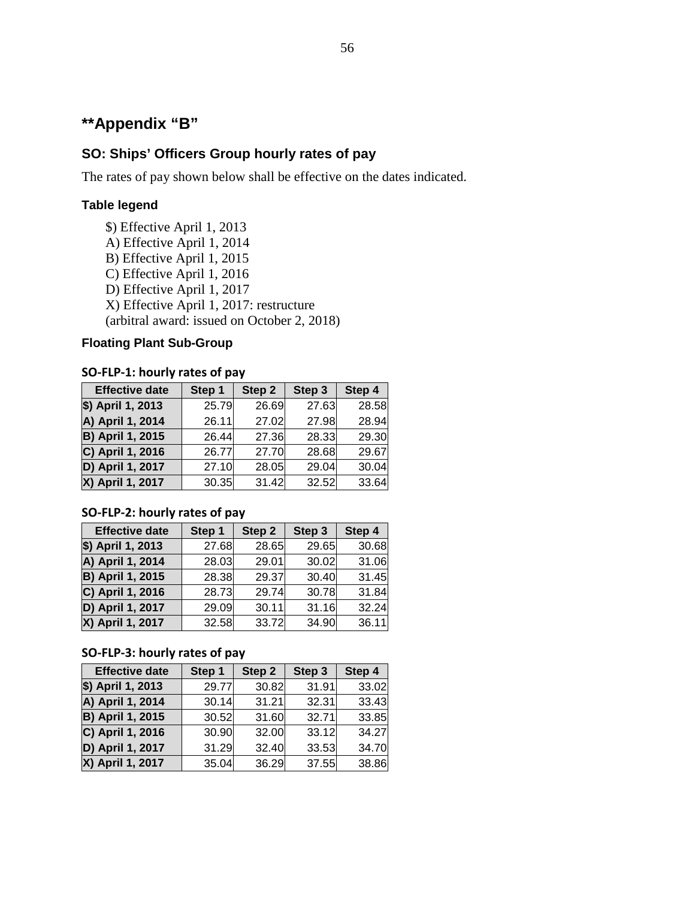# **\*\*Appendix "B"**

### **SO: Ships' Officers Group hourly rates of pay**

The rates of pay shown below shall be effective on the dates indicated.

### **Table legend**

- \$) Effective April 1, 2013
- A) Effective April 1, 2014
- B) Effective April 1, 2015
- C) Effective April 1, 2016
- D) Effective April 1, 2017
- X) Effective April 1, 2017: restructure

(arbitral award: issued on October 2, 2018)

#### **Floating Plant Sub-Group**

### **SO-FLP-1: hourly rates of pay**

| <b>Effective date</b>   | Step 1 | Step 2 | Step 3 | Step 4 |
|-------------------------|--------|--------|--------|--------|
| \$) April 1, 2013       | 25.79  | 26.69  | 27.63  | 28.58  |
| A) April 1, 2014        | 26.11  | 27.02  | 27.98  | 28.94  |
| <b>B) April 1, 2015</b> | 26.44  | 27.36  | 28.33  | 29.30  |
| C) April 1, 2016        | 26.77  | 27.70  | 28.68  | 29.67  |
| D) April 1, 2017        | 27.10  | 28.05  | 29.04  | 30.04  |
| X) April 1, 2017        | 30.35  | 31.42  | 32.52  | 33.64  |

#### **SO-FLP-2: hourly rates of pay**

| <b>Effective date</b>   | Step 1 | Step 2 | Step 3 | Step 4 |
|-------------------------|--------|--------|--------|--------|
| \$) April 1, 2013       | 27.68  | 28.65  | 29.65  | 30.68  |
| A) April 1, 2014        | 28.03  | 29.01  | 30.02  | 31.06  |
| <b>B) April 1, 2015</b> | 28.38  | 29.37  | 30.40  | 31.45  |
| C) April 1, 2016        | 28.73  | 29.74  | 30.78  | 31.84  |
| D) April 1, 2017        | 29.09  | 30.11  | 31.16  | 32.24  |
| X) April 1, 2017        | 32.58  | 33.72  | 34.90  | 36.11  |

#### **SO-FLP-3: hourly rates of pay**

| <b>Effective date</b>   | Step 1 | Step 2 | Step 3 | Step 4 |
|-------------------------|--------|--------|--------|--------|
| \$) April 1, 2013       | 29.77  | 30.82  | 31.91  | 33.02  |
| A) April 1, 2014        | 30.14  | 31.21  | 32.31  | 33.43  |
| <b>B) April 1, 2015</b> | 30.52  | 31.60  | 32.71  | 33.85  |
| C) April 1, 2016        | 30.90  | 32.00  | 33.12  | 34.27  |
| D) April 1, 2017        | 31.29  | 32.40  | 33.53  | 34.70  |
| X) April 1, 2017        | 35.04  | 36.29  | 37.55  | 38.86  |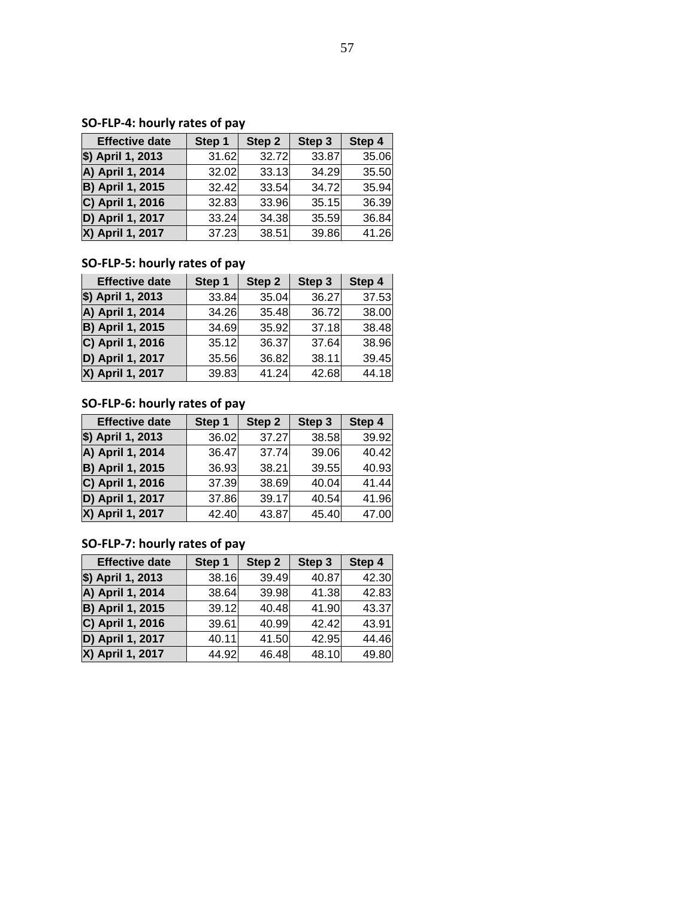### **SO-FLP-4: hourly rates of pay**

| <b>Effective date</b>   | Step 1 | Step 2 | Step 3 | Step 4 |  |
|-------------------------|--------|--------|--------|--------|--|
| \$) April 1, 2013       | 31.62  | 32.72  | 33.87  | 35.06  |  |
| A) April 1, 2014        | 32.02  | 33.13  | 34.29  | 35.50  |  |
| <b>B) April 1, 2015</b> | 32.42  | 33.54  | 34.72  | 35.94  |  |
| C) April 1, 2016        | 32.83  | 33.96  | 35.15  | 36.39  |  |
| D) April 1, 2017        | 33.24  | 34.38  | 35.59  | 36.84  |  |
| X) April 1, 2017        | 37.23  | 38.51  | 39.86  | 41.26  |  |

### **SO-FLP-5: hourly rates of pay**

| <b>Effective date</b>   | Step 1 | Step 2 | Step 3 | Step 4 |
|-------------------------|--------|--------|--------|--------|
| \$) April 1, 2013       | 33.84  | 35.04  | 36.27  | 37.53  |
| A) April 1, 2014        | 34.26  | 35.48  | 36.72  | 38.00  |
| <b>B) April 1, 2015</b> | 34.69  | 35.92  | 37.18  | 38.48  |
| C) April 1, 2016        | 35.12  | 36.37  | 37.64  | 38.96  |
| D) April 1, 2017        | 35.56  | 36.82  | 38.11  | 39.45  |
| X) April 1, 2017        | 39.83  | 41.24  | 42.68  | 44.18  |

### **SO-FLP-6: hourly rates of pay**

| <b>Effective date</b>   | Step 1<br>Step 2 |       | Step 3 | Step 4 |  |
|-------------------------|------------------|-------|--------|--------|--|
| \$) April 1, 2013       | 36.02            | 37.27 | 38.58  | 39.92  |  |
| A) April 1, 2014        | 36.47            | 37.74 | 39.06  | 40.42  |  |
| <b>B) April 1, 2015</b> | 36.93            | 38.21 | 39.55  | 40.93  |  |
| C) April 1, 2016        | 37.39            | 38.69 | 40.04  | 41.44  |  |
| D) April 1, 2017        | 37.86            | 39.17 | 40.54  | 41.96  |  |
| X) April 1, 2017        | 42.40            | 43.87 | 45.40  | 47.00  |  |

### **SO-FLP-7: hourly rates of pay**

| <b>Effective date</b>   | Step 1<br>Step 2 |       | Step 3 | Step 4 |  |
|-------------------------|------------------|-------|--------|--------|--|
| \$) April 1, 2013       | 38.16            | 39.49 | 40.87  | 42.30  |  |
| A) April 1, 2014        | 38.64            | 39.98 | 41.38  | 42.83  |  |
| <b>B) April 1, 2015</b> | 39.12            | 40.48 | 41.90  | 43.37  |  |
| C) April 1, 2016        | 39.61            | 40.99 | 42.42  | 43.91  |  |
| D) April 1, 2017        | 40.11            | 41.50 | 42.95  | 44.46  |  |
| X) April 1, 2017        | 44.92            | 46.48 | 48.10  | 49.80  |  |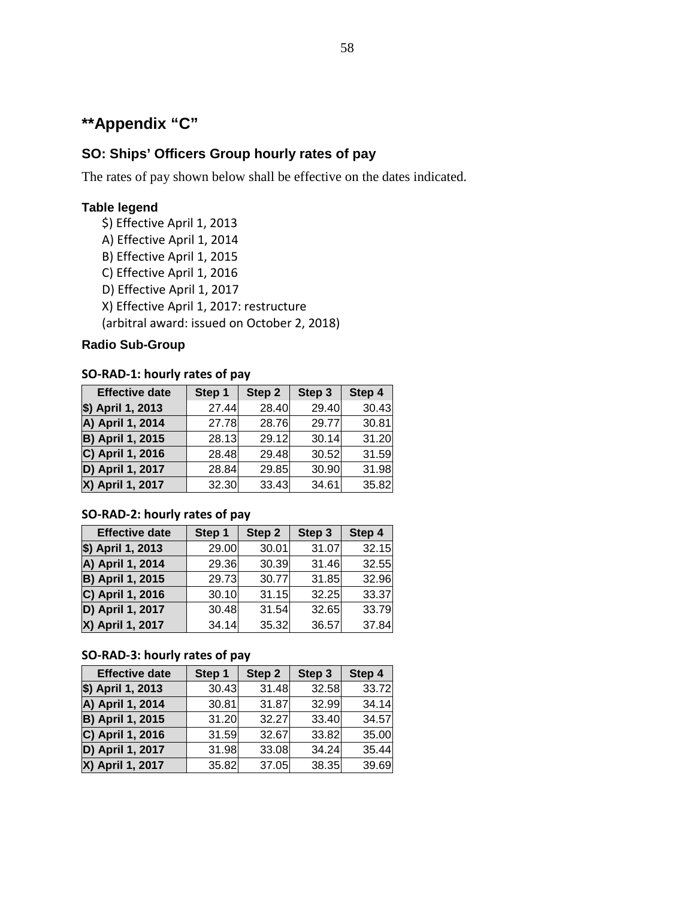# **\*\*Appendix "C"**

### **SO: Ships' Officers Group hourly rates of pay**

The rates of pay shown below shall be effective on the dates indicated.

### **Table legend**

- \$) Effective April 1, 2013
- A) Effective April 1, 2014
- B) Effective April 1, 2015
- C) Effective April 1, 2016
- D) Effective April 1, 2017
- X) Effective April 1, 2017: restructure
- (arbitral award: issued on October 2, 2018)

#### **Radio Sub-Group**

#### **SO-RAD-1: hourly rates of pay**

| <b>Effective date</b>   | Step 1<br>Step 2 |       | Step 3 | Step 4 |  |
|-------------------------|------------------|-------|--------|--------|--|
| \$) April 1, 2013       | 27.44            | 28.40 | 29.40  | 30.43  |  |
| A) April 1, 2014        | 27.78            | 28.76 | 29.77  | 30.81  |  |
| <b>B) April 1, 2015</b> | 28.13            | 29.12 | 30.14  | 31.20  |  |
| C) April 1, 2016        | 28.48            | 29.48 | 30.52  | 31.59  |  |
| D) April 1, 2017        | 28.84            | 29.85 | 30.90  | 31.98  |  |
| X) April 1, 2017        | 32.30            | 33.43 | 34.61  | 35.82  |  |

### **SO-RAD-2: hourly rates of pay**

| <b>Effective date</b>   | Step 1 | Step 2 | Step 3 | Step 4 |
|-------------------------|--------|--------|--------|--------|
| \$) April 1, 2013       | 29.00  | 30.01  | 31.07  | 32.15  |
| A) April 1, 2014        | 29.36  | 30.39  | 31.46  | 32.55  |
| <b>B) April 1, 2015</b> | 29.73  | 30.77  | 31.85  | 32.96  |
| C) April 1, 2016        | 30.10  | 31.15  | 32.25  | 33.37  |
| D) April 1, 2017        | 30.48  | 31.54  | 32.65  | 33.79  |
| X) April 1, 2017        | 34.14  | 35.32  | 36.57  | 37.84  |

### **SO-RAD-3: hourly rates of pay**

| <b>Effective date</b>   | Step 1<br>Step 2 |       | Step 3 | Step 4 |  |
|-------------------------|------------------|-------|--------|--------|--|
| \$) April 1, 2013       | 30.43            | 31.48 | 32.58  | 33.72  |  |
| A) April 1, 2014        | 30.81            | 31.87 | 32.99  | 34.14  |  |
| <b>B) April 1, 2015</b> | 31.20            | 32.27 | 33.40  | 34.57  |  |
| C) April 1, 2016        | 31.59            | 32.67 | 33.82  | 35.00  |  |
| D) April 1, 2017        | 31.98            | 33.08 | 34.24  | 35.44  |  |
| X) April 1, 2017        | 35.82            | 37.05 | 38.35  | 39.69  |  |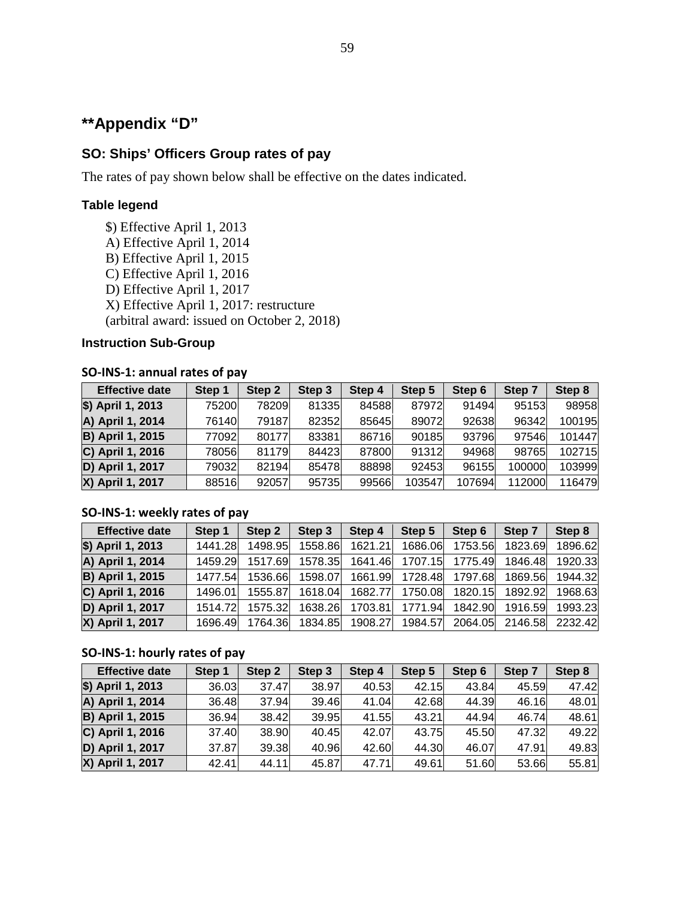# **\*\*Appendix "D"**

### **SO: Ships' Officers Group rates of pay**

The rates of pay shown below shall be effective on the dates indicated.

### **Table legend**

- \$) Effective April 1, 2013
- A) Effective April 1, 2014
- B) Effective April 1, 2015
- C) Effective April 1, 2016
- D) Effective April 1, 2017
- X) Effective April 1, 2017: restructure

(arbitral award: issued on October 2, 2018)

#### **Instruction Sub-Group**

#### **SO-INS-1: annual rates of pay**

| <b>Effective date</b>   | Step 1 | Step 2 | Step 3 | Step 4 | Step 5 | Step 6 | Step 7 | Step 8 |
|-------------------------|--------|--------|--------|--------|--------|--------|--------|--------|
| \$) April 1, 2013       | 75200  | 78209  | 81335  | 84588  | 87972  | 91494  | 95153  | 98958  |
| A) April 1, 2014        | 76140  | 79187  | 82352  | 85645  | 89072  | 92638  | 96342  | 100195 |
| <b>B) April 1, 2015</b> | 77092  | 80177  | 83381  | 86716  | 90185  | 93796  | 97546  | 101447 |
| C) April 1, 2016        | 78056  | 81179  | 84423  | 87800  | 91312  | 94968  | 98765  | 102715 |
| D) April 1, 2017        | 79032  | 82194  | 85478  | 88898  | 92453  | 96155  | 100000 | 103999 |
| X) April 1, 2017        | 88516  | 92057  | 95735  | 99566  | 103547 | 107694 | 112000 | 116479 |

#### **SO-INS-1: weekly rates of pay**

| <b>Effective date</b>   | Step 1  | Step 2  | Step 3  | Step 4  | Step 5  | Step 6  | Step 7  | Step 8  |
|-------------------------|---------|---------|---------|---------|---------|---------|---------|---------|
| \$) April 1, 2013       | 1441.28 | 1498.95 | 1558.86 | 1621.21 | 1686.06 | 1753.56 | 1823.69 | 1896.62 |
| A) April 1, 2014        | 1459.29 | 1517.69 | 1578.35 | 1641.46 | 1707.15 | 1775.49 | 1846.48 | 1920.33 |
| <b>B) April 1, 2015</b> | 1477.54 | 1536.66 | 1598.07 | 1661.99 | 1728.48 | 1797.68 | 1869.56 | 1944.32 |
| C) April 1, 2016        | 1496.01 | 1555.87 | 1618.04 | 1682.77 | 1750.08 | 1820.15 | 1892.92 | 1968.63 |
| D) April 1, 2017        | 1514 72 | 1575.32 | 1638.26 | 1703.81 | 1771.94 | 1842.90 | 1916.59 | 1993.23 |
| X) April 1, 2017        | 1696.49 | 1764.36 | 1834.85 | 1908.27 | 1984.57 | 2064.05 | 2146.58 | 2232.42 |

#### **SO-INS-1: hourly rates of pay**

| <b>Effective date</b>   | Step 1 | Step 2 | Step 3 | Step 4 | Step 5 | Step 6 | Step 7 | Step 8 |
|-------------------------|--------|--------|--------|--------|--------|--------|--------|--------|
| \$) April 1, 2013       | 36.03  | 37.47  | 38.97  | 40.53  | 42.15  | 43.84  | 45.59  | 47.42  |
| A) April 1, 2014        | 36.48  | 37.94  | 39.46  | 41.04  | 42.68  | 44.39  | 46.16  | 48.01  |
| <b>B) April 1, 2015</b> | 36.94  | 38.42  | 39.95  | 41.55  | 43.21  | 44.94  | 46.74  | 48.61  |
| C) April 1, 2016        | 37.40  | 38.90  | 40.45  | 42.07  | 43.75  | 45.50  | 47.32  | 49.22  |
| D) April 1, 2017        | 37.87  | 39.38  | 40.96  | 42.60  | 44.30  | 46.07  | 47.91  | 49.83  |
| X) April 1, 2017        | 42.41  | 44.11  | 45.87  | 47.71  | 49.61  | 51.60  | 53.66  | 55.81  |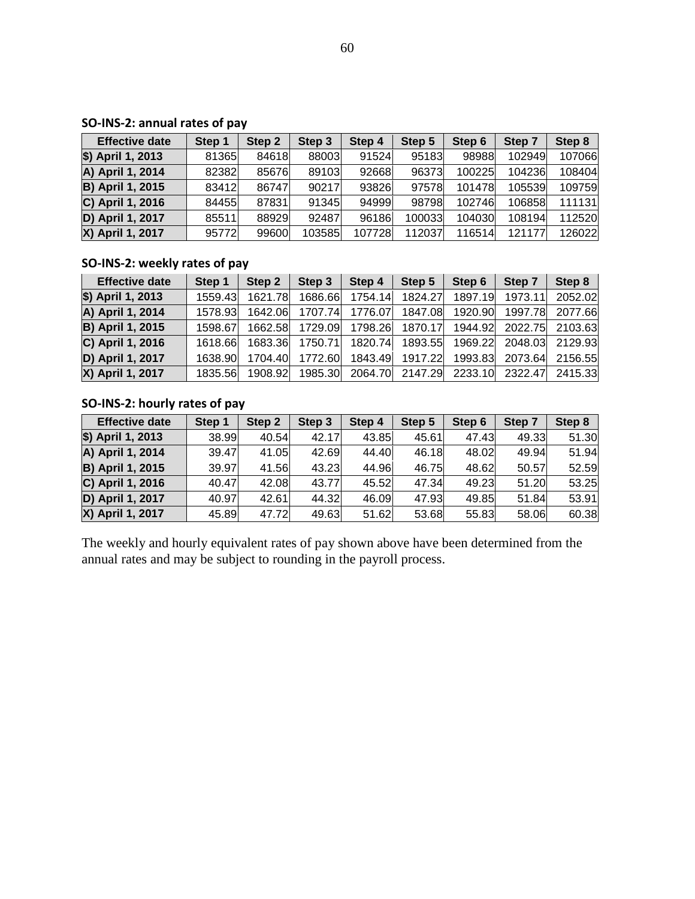### **SO-INS-2: annual rates of pay**

| <b>Effective date</b>   | Step 1 | Step 2 | Step <sub>3</sub> | Step 4 | Step 5 | Step 6 | Step 7 | Step 8 |
|-------------------------|--------|--------|-------------------|--------|--------|--------|--------|--------|
| \$) April 1, 2013       | 81365  | 84618  | 88003             | 91524  | 95183  | 98988  | 102949 | 107066 |
| A) April 1, 2014        | 82382  | 85676  | 89103             | 92668  | 96373  | 100225 | 104236 | 108404 |
| <b>B) April 1, 2015</b> | 83412  | 86747  | 90217             | 93826  | 97578  | 101478 | 105539 | 109759 |
| C) April 1, 2016        | 84455  | 87831  | 91345             | 94999  | 98798  | 102746 | 106858 | 111131 |
| D) April 1, 2017        | 85511  | 88929  | 92487             | 96186  | 100033 | 104030 | 108194 | 112520 |
| X) April 1, 2017        | 95772  | 99600  | 103585            | 107728 | 112037 | 116514 | 121177 | 126022 |

### **SO-INS-2: weekly rates of pay**

| <b>Effective date</b>   | Step 1  | Step 2  | Step 3          | Step 4                                                  | Step 5          | Step 6  | Step 7  | Step 8          |
|-------------------------|---------|---------|-----------------|---------------------------------------------------------|-----------------|---------|---------|-----------------|
| \$) April 1, 2013       | 1559.43 | 1621.78 | 1686.66         | 1754.14                                                 | 1824.27         | 1897.19 | 1973.11 | 2052.02         |
| A) April 1, 2014        | 1578.93 |         |                 | 1642.06 1707.74 1776.07                                 | 1847.08         | 1920.90 | 1997.78 | 2077.66         |
| <b>B) April 1, 2015</b> | 1598.67 |         |                 | 1662.58 1729.09 1798.26 1870.17                         |                 | 1944.92 |         | 2022.75 2103.63 |
| C) April 1, 2016        | 1618.66 |         | 1683.36 1750.71 |                                                         | 1820.74 1893.55 | 1969.22 | 2048.03 | 2129.93         |
| D) April 1, 2017        | 1638.90 |         | 1704.40 1772.60 |                                                         | 1843.49 1917.22 | 1993.83 | 2073.64 | 2156.55         |
| X) April 1, 2017        | 1835.56 |         |                 | 1908.92 1985.30 2064.70 2147.29 2233.10 2322.47 2415.33 |                 |         |         |                 |

### **SO-INS-2: hourly rates of pay**

| <b>Effective date</b>   | Step 1 | Step 2 | Step <sub>3</sub> | Step 4 | Step 5 | Step 6 | Step 7 | Step 8 |
|-------------------------|--------|--------|-------------------|--------|--------|--------|--------|--------|
| \$) April 1, 2013       | 38.99  | 40.54  | 42.17             | 43.85  | 45.61  | 47.43  | 49.33  | 51.30  |
| A) April 1, 2014        | 39.47  | 41.05  | 42.69             | 44.40  | 46.18  | 48.02  | 49.94  | 51.94  |
| <b>B) April 1, 2015</b> | 39.97  | 41.56  | 43.23             | 44.96  | 46.75  | 48.62  | 50.57  | 52.59  |
| C) April 1, 2016        | 40.47  | 42.08  | 43.77             | 45.52  | 47.34  | 49.23  | 51.20  | 53.25  |
| D) April 1, 2017        | 40.97  | 42.61  | 44.32             | 46.09  | 47.93  | 49.85  | 51.84  | 53.91  |
| X) April 1, 2017        | 45.89  | 47.72  | 49.63             | 51.62  | 53.68  | 55.83  | 58.06  | 60.38  |

The weekly and hourly equivalent rates of pay shown above have been determined from the annual rates and may be subject to rounding in the payroll process.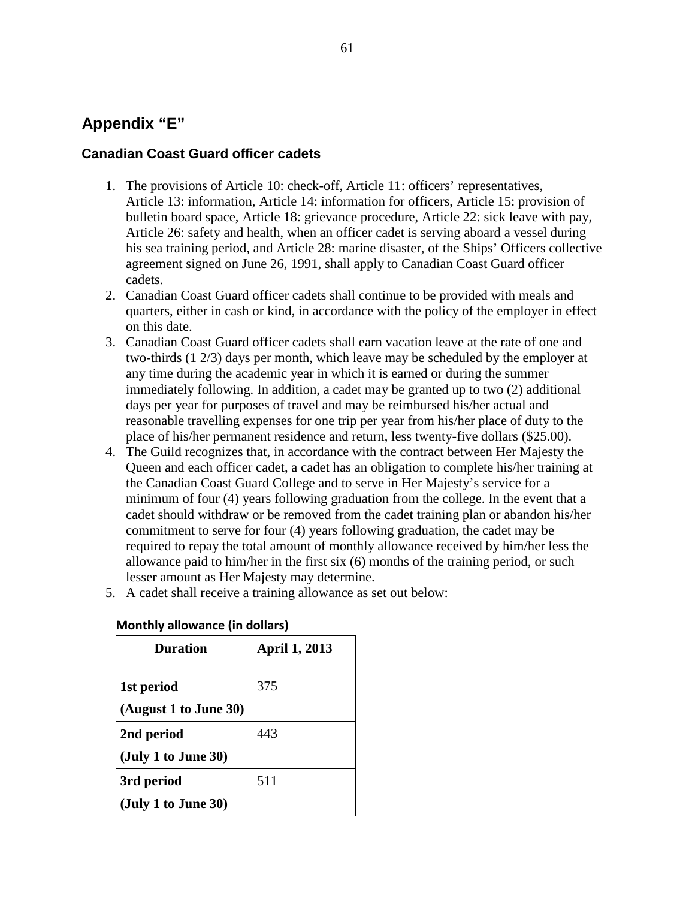## **Appendix "E"**

### **Canadian Coast Guard officer cadets**

- 1. The provisions of Article 10: check-off, Article 11: officers' representatives, Article 13: information, Article 14: information for officers, Article 15: provision of bulletin board space, Article 18: grievance procedure, Article 22: sick leave with pay, Article 26: safety and health, when an officer cadet is serving aboard a vessel during his sea training period, and Article 28: marine disaster, of the Ships' Officers collective agreement signed on June 26, 1991, shall apply to Canadian Coast Guard officer cadets.
- 2. Canadian Coast Guard officer cadets shall continue to be provided with meals and quarters, either in cash or kind, in accordance with the policy of the employer in effect on this date.
- 3. Canadian Coast Guard officer cadets shall earn vacation leave at the rate of one and two-thirds (1 2/3) days per month, which leave may be scheduled by the employer at any time during the academic year in which it is earned or during the summer immediately following. In addition, a cadet may be granted up to two (2) additional days per year for purposes of travel and may be reimbursed his/her actual and reasonable travelling expenses for one trip per year from his/her place of duty to the place of his/her permanent residence and return, less twenty-five dollars (\$25.00).
- 4. The Guild recognizes that, in accordance with the contract between Her Majesty the Queen and each officer cadet, a cadet has an obligation to complete his/her training at the Canadian Coast Guard College and to serve in Her Majesty's service for a minimum of four (4) years following graduation from the college. In the event that a cadet should withdraw or be removed from the cadet training plan or abandon his/her commitment to serve for four (4) years following graduation, the cadet may be required to repay the total amount of monthly allowance received by him/her less the allowance paid to him/her in the first six (6) months of the training period, or such lesser amount as Her Majesty may determine.
- 5. A cadet shall receive a training allowance as set out below:

| Duration                           | <b>April 1, 2013</b> |
|------------------------------------|----------------------|
| 1st period                         | 375                  |
| (August 1 to June 30)              |                      |
| 2nd period                         | 443                  |
| $(\mathrm{July\ 1\ to\ June\ 30})$ |                      |
| 3rd period                         | 511                  |
| (July 1 to June 30)                |                      |

### **Monthly allowance (in dollars)**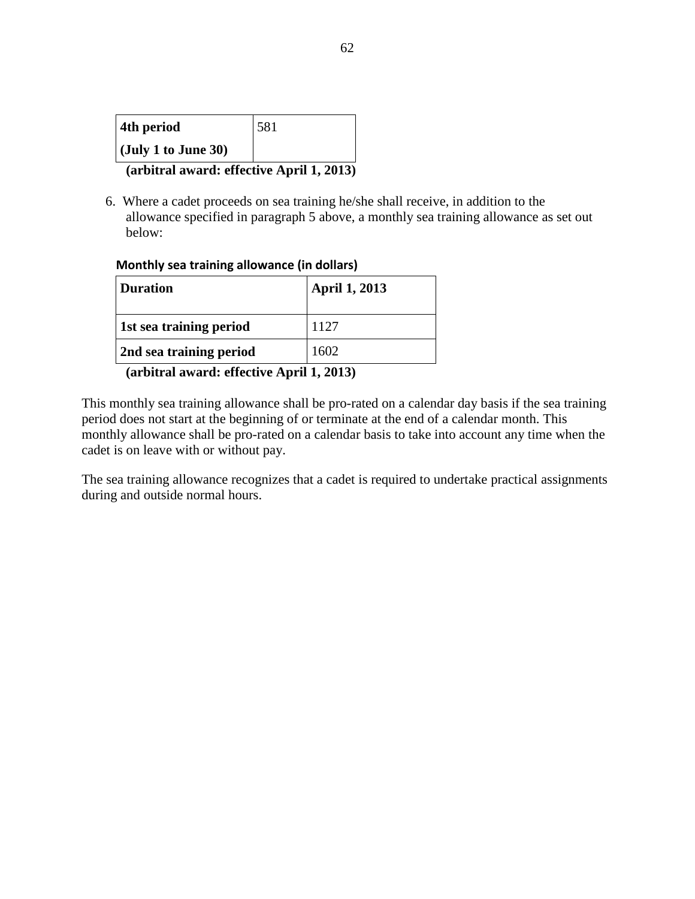| 4th period                         | 581 |
|------------------------------------|-----|
| $(\mathrm{July\ 1\ to\ June\ 30})$ |     |

**(arbitral award: effective April 1, 2013)**

6. Where a cadet proceeds on sea training he/she shall receive, in addition to the allowance specified in paragraph 5 above, a monthly sea training allowance as set out below:

#### **Monthly sea training allowance (in dollars)**

| <b>Duration</b>                           | <b>April 1, 2013</b> |  |  |  |  |
|-------------------------------------------|----------------------|--|--|--|--|
| 1st sea training period                   | 1127                 |  |  |  |  |
| 2nd sea training period                   | 1602                 |  |  |  |  |
| (arbitral award: effective April 1, 2013) |                      |  |  |  |  |

This monthly sea training allowance shall be pro-rated on a calendar day basis if the sea training period does not start at the beginning of or terminate at the end of a calendar month. This monthly allowance shall be pro-rated on a calendar basis to take into account any time when the cadet is on leave with or without pay.

The sea training allowance recognizes that a cadet is required to undertake practical assignments during and outside normal hours.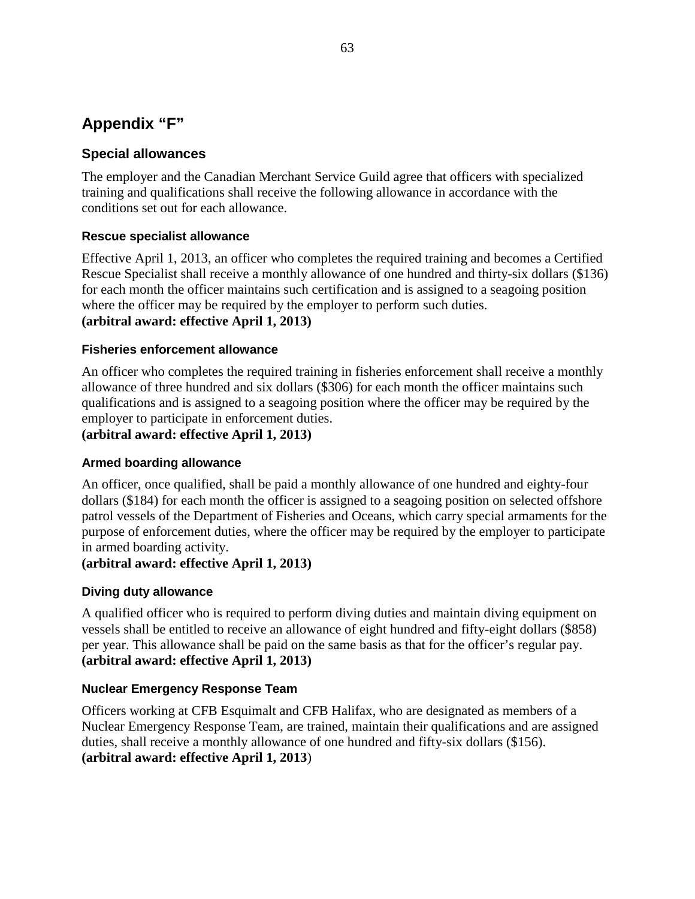# **Appendix "F"**

### **Special allowances**

The employer and the Canadian Merchant Service Guild agree that officers with specialized training and qualifications shall receive the following allowance in accordance with the conditions set out for each allowance.

### **Rescue specialist allowance**

Effective April 1, 2013, an officer who completes the required training and becomes a Certified Rescue Specialist shall receive a monthly allowance of one hundred and thirty-six dollars (\$136) for each month the officer maintains such certification and is assigned to a seagoing position where the officer may be required by the employer to perform such duties. **(arbitral award: effective April 1, 2013)**

### **Fisheries enforcement allowance**

An officer who completes the required training in fisheries enforcement shall receive a monthly allowance of three hundred and six dollars (\$306) for each month the officer maintains such qualifications and is assigned to a seagoing position where the officer may be required by the employer to participate in enforcement duties.

**(arbitral award: effective April 1, 2013)**

### **Armed boarding allowance**

An officer, once qualified, shall be paid a monthly allowance of one hundred and eighty-four dollars (\$184) for each month the officer is assigned to a seagoing position on selected offshore patrol vessels of the Department of Fisheries and Oceans, which carry special armaments for the purpose of enforcement duties, where the officer may be required by the employer to participate in armed boarding activity.

### **(arbitral award: effective April 1, 2013)**

#### **Diving duty allowance**

A qualified officer who is required to perform diving duties and maintain diving equipment on vessels shall be entitled to receive an allowance of eight hundred and fifty-eight dollars (\$858) per year. This allowance shall be paid on the same basis as that for the officer's regular pay. **(arbitral award: effective April 1, 2013)**

#### **Nuclear Emergency Response Team**

Officers working at CFB Esquimalt and CFB Halifax, who are designated as members of a Nuclear Emergency Response Team, are trained, maintain their qualifications and are assigned duties, shall receive a monthly allowance of one hundred and fifty-six dollars (\$156). **(arbitral award: effective April 1, 2013**)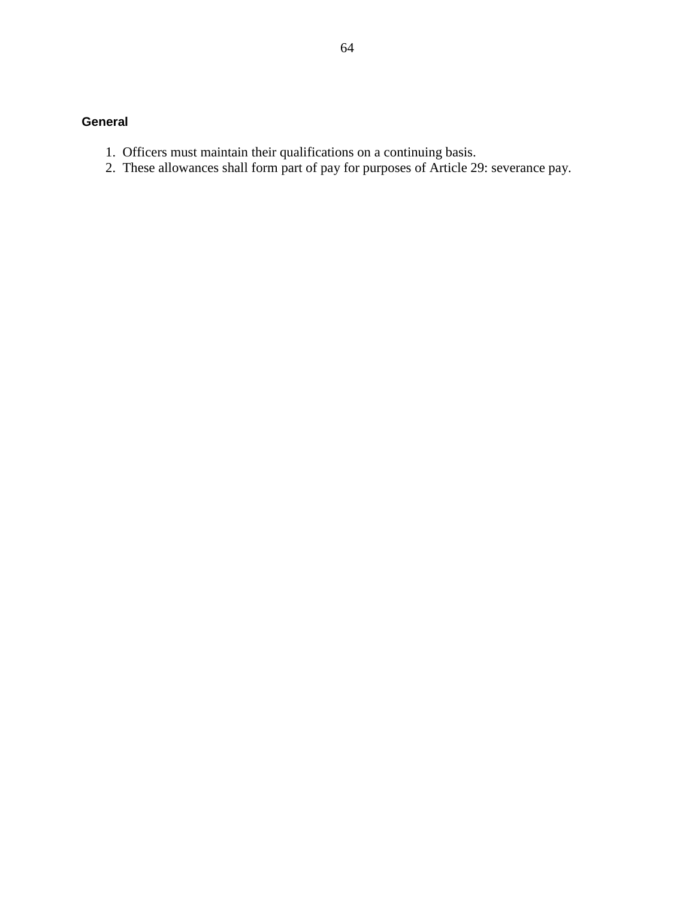### **General**

- 1. Officers must maintain their qualifications on a continuing basis.
- 2. These allowances shall form part of pay for purposes of Article 29: severance pay.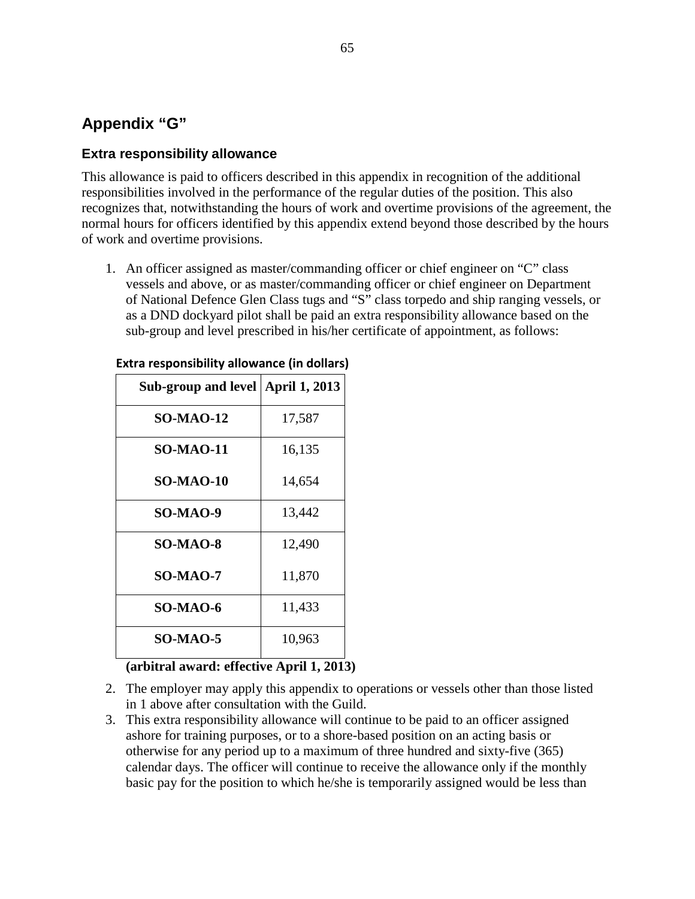# **Appendix "G"**

# **Extra responsibility allowance**

This allowance is paid to officers described in this appendix in recognition of the additional responsibilities involved in the performance of the regular duties of the position. This also recognizes that, notwithstanding the hours of work and overtime provisions of the agreement, the normal hours for officers identified by this appendix extend beyond those described by the hours of work and overtime provisions.

1. An officer assigned as master/commanding officer or chief engineer on "C" class vessels and above, or as master/commanding officer or chief engineer on Department of National Defence Glen Class tugs and "S" class torpedo and ship ranging vessels, or as a DND dockyard pilot shall be paid an extra responsibility allowance based on the sub-group and level prescribed in his/her certificate of appointment, as follows:

| Sub-group and level   April 1, 2013 |        |
|-------------------------------------|--------|
| <b>SO-MAO-12</b>                    | 17,587 |
| <b>SO-MAO-11</b>                    | 16,135 |
| <b>SO-MAO-10</b>                    | 14,654 |
| <b>SO-MAO-9</b>                     | 13,442 |
| <b>SO-MAO-8</b>                     | 12,490 |
| <b>SO-MAO-7</b>                     | 11,870 |
| <b>SO-MAO-6</b>                     | 11,433 |
| <b>SO-MAO-5</b>                     | 10,963 |

#### **Extra responsibility allowance (in dollars)**

### **(arbitral award: effective April 1, 2013)**

- 2. The employer may apply this appendix to operations or vessels other than those listed in 1 above after consultation with the Guild.
- 3. This extra responsibility allowance will continue to be paid to an officer assigned ashore for training purposes, or to a shore-based position on an acting basis or otherwise for any period up to a maximum of three hundred and sixty-five (365) calendar days. The officer will continue to receive the allowance only if the monthly basic pay for the position to which he/she is temporarily assigned would be less than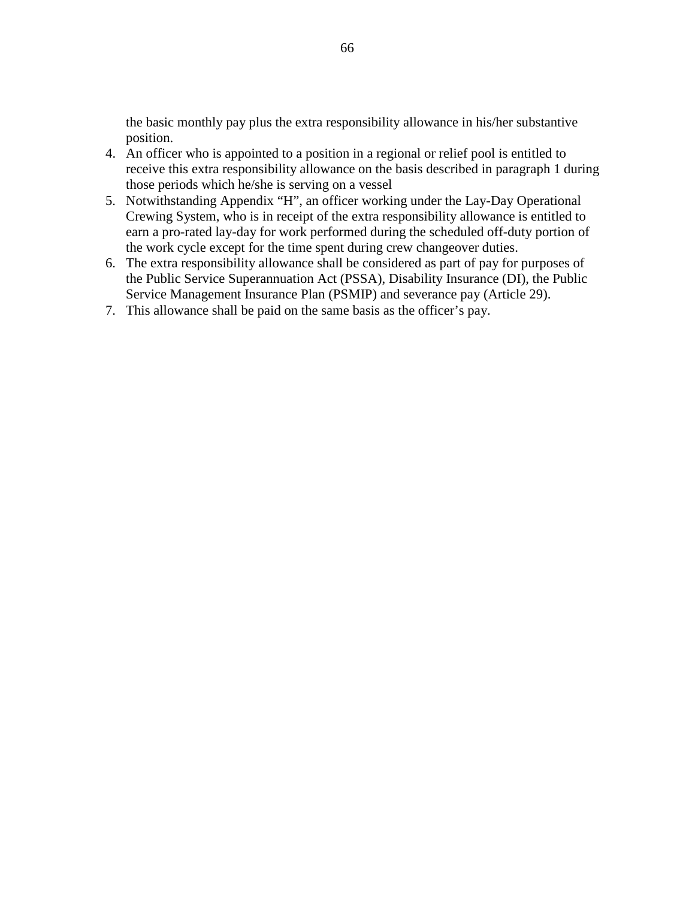the basic monthly pay plus the extra responsibility allowance in his/her substantive position.

- 4. An officer who is appointed to a position in a regional or relief pool is entitled to receive this extra responsibility allowance on the basis described in paragraph 1 during those periods which he/she is serving on a vessel
- 5. Notwithstanding Appendix "H", an officer working under the Lay-Day Operational Crewing System, who is in receipt of the extra responsibility allowance is entitled to earn a pro-rated lay-day for work performed during the scheduled off-duty portion of the work cycle except for the time spent during crew changeover duties.
- 6. The extra responsibility allowance shall be considered as part of pay for purposes of the Public Service Superannuation Act (PSSA), Disability Insurance (DI), the Public Service Management Insurance Plan (PSMIP) and severance pay (Article 29).
- 7. This allowance shall be paid on the same basis as the officer's pay.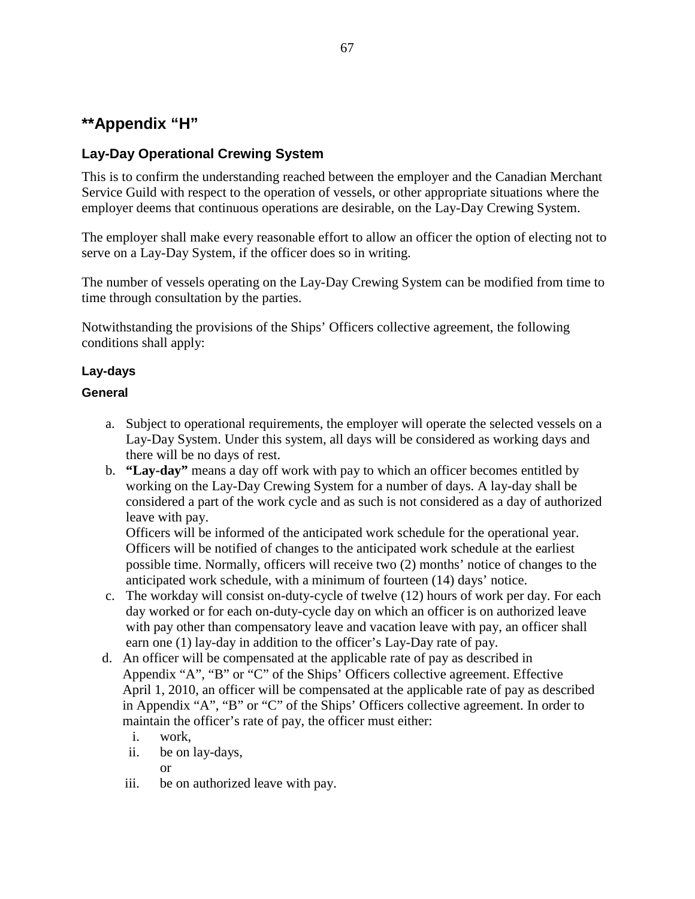# **\*\*Appendix "H"**

# **Lay-Day Operational Crewing System**

This is to confirm the understanding reached between the employer and the Canadian Merchant Service Guild with respect to the operation of vessels, or other appropriate situations where the employer deems that continuous operations are desirable, on the Lay-Day Crewing System.

The employer shall make every reasonable effort to allow an officer the option of electing not to serve on a Lay-Day System, if the officer does so in writing.

The number of vessels operating on the Lay-Day Crewing System can be modified from time to time through consultation by the parties.

Notwithstanding the provisions of the Ships' Officers collective agreement, the following conditions shall apply:

### **Lay-days**

### **General**

- a. Subject to operational requirements, the employer will operate the selected vessels on a Lay-Day System. Under this system, all days will be considered as working days and there will be no days of rest.
- b. **"Lay-day"** means a day off work with pay to which an officer becomes entitled by working on the Lay-Day Crewing System for a number of days. A lay-day shall be considered a part of the work cycle and as such is not considered as a day of authorized leave with pay.

Officers will be informed of the anticipated work schedule for the operational year. Officers will be notified of changes to the anticipated work schedule at the earliest possible time. Normally, officers will receive two (2) months' notice of changes to the anticipated work schedule, with a minimum of fourteen (14) days' notice.

- c. The workday will consist on-duty-cycle of twelve (12) hours of work per day. For each day worked or for each on-duty-cycle day on which an officer is on authorized leave with pay other than compensatory leave and vacation leave with pay, an officer shall earn one (1) lay-day in addition to the officer's Lay-Day rate of pay.
- d. An officer will be compensated at the applicable rate of pay as described in Appendix "A", "B" or "C" of the Ships' Officers collective agreement. Effective April 1, 2010, an officer will be compensated at the applicable rate of pay as described in Appendix "A", "B" or "C" of the Ships' Officers collective agreement. In order to maintain the officer's rate of pay, the officer must either:
	- i. work,
	- ii. be on lay-days,

or

iii. be on authorized leave with pay.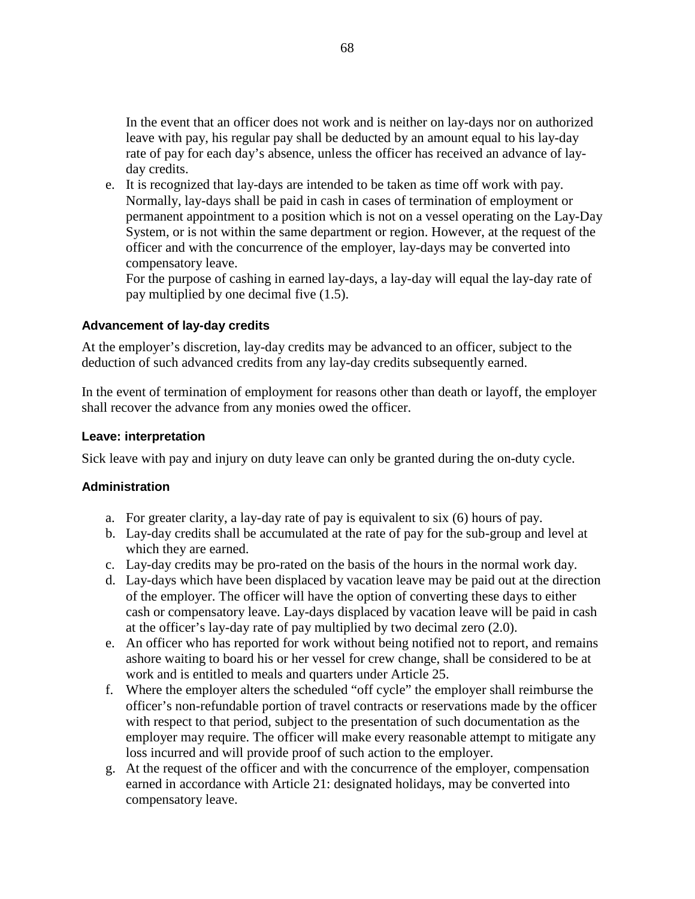In the event that an officer does not work and is neither on lay-days nor on authorized leave with pay, his regular pay shall be deducted by an amount equal to his lay-day rate of pay for each day's absence, unless the officer has received an advance of layday credits.

e. It is recognized that lay-days are intended to be taken as time off work with pay. Normally, lay-days shall be paid in cash in cases of termination of employment or permanent appointment to a position which is not on a vessel operating on the Lay-Day System, or is not within the same department or region. However, at the request of the officer and with the concurrence of the employer, lay-days may be converted into compensatory leave.

For the purpose of cashing in earned lay-days, a lay-day will equal the lay-day rate of pay multiplied by one decimal five (1.5).

#### **Advancement of lay-day credits**

At the employer's discretion, lay-day credits may be advanced to an officer, subject to the deduction of such advanced credits from any lay-day credits subsequently earned.

In the event of termination of employment for reasons other than death or layoff, the employer shall recover the advance from any monies owed the officer.

#### **Leave: interpretation**

Sick leave with pay and injury on duty leave can only be granted during the on-duty cycle.

### **Administration**

- a. For greater clarity, a lay-day rate of pay is equivalent to six (6) hours of pay.
- b. Lay-day credits shall be accumulated at the rate of pay for the sub-group and level at which they are earned.
- c. Lay-day credits may be pro-rated on the basis of the hours in the normal work day.
- d. Lay-days which have been displaced by vacation leave may be paid out at the direction of the employer. The officer will have the option of converting these days to either cash or compensatory leave. Lay-days displaced by vacation leave will be paid in cash at the officer's lay-day rate of pay multiplied by two decimal zero (2.0).
- e. An officer who has reported for work without being notified not to report, and remains ashore waiting to board his or her vessel for crew change, shall be considered to be at work and is entitled to meals and quarters under Article 25.
- f. Where the employer alters the scheduled "off cycle" the employer shall reimburse the officer's non-refundable portion of travel contracts or reservations made by the officer with respect to that period, subject to the presentation of such documentation as the employer may require. The officer will make every reasonable attempt to mitigate any loss incurred and will provide proof of such action to the employer.
- g. At the request of the officer and with the concurrence of the employer, compensation earned in accordance with Article 21: designated holidays, may be converted into compensatory leave.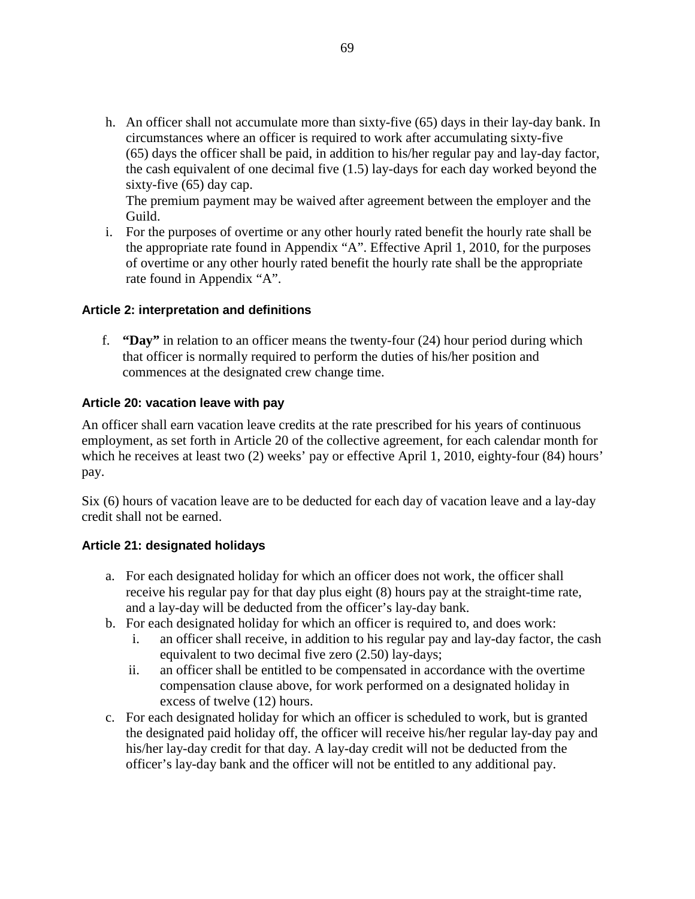h. An officer shall not accumulate more than sixty-five (65) days in their lay-day bank. In circumstances where an officer is required to work after accumulating sixty-five (65) days the officer shall be paid, in addition to his/her regular pay and lay-day factor, the cash equivalent of one decimal five (1.5) lay-days for each day worked beyond the sixty-five (65) day cap.

The premium payment may be waived after agreement between the employer and the Guild.

i. For the purposes of overtime or any other hourly rated benefit the hourly rate shall be the appropriate rate found in Appendix "A". Effective April 1, 2010, for the purposes of overtime or any other hourly rated benefit the hourly rate shall be the appropriate rate found in Appendix "A".

### **Article 2: interpretation and definitions**

f. **"Day"** in relation to an officer means the twenty-four (24) hour period during which that officer is normally required to perform the duties of his/her position and commences at the designated crew change time.

#### **Article 20: vacation leave with pay**

An officer shall earn vacation leave credits at the rate prescribed for his years of continuous employment, as set forth in Article 20 of the collective agreement, for each calendar month for which he receives at least two (2) weeks' pay or effective April 1, 2010, eighty-four (84) hours' pay.

Six (6) hours of vacation leave are to be deducted for each day of vacation leave and a lay-day credit shall not be earned.

### **Article 21: designated holidays**

- a. For each designated holiday for which an officer does not work, the officer shall receive his regular pay for that day plus eight (8) hours pay at the straight-time rate, and a lay-day will be deducted from the officer's lay-day bank.
- b. For each designated holiday for which an officer is required to, and does work:
	- i. an officer shall receive, in addition to his regular pay and lay-day factor, the cash equivalent to two decimal five zero (2.50) lay-days;
	- ii. an officer shall be entitled to be compensated in accordance with the overtime compensation clause above, for work performed on a designated holiday in excess of twelve (12) hours.
- c. For each designated holiday for which an officer is scheduled to work, but is granted the designated paid holiday off, the officer will receive his/her regular lay-day pay and his/her lay-day credit for that day. A lay-day credit will not be deducted from the officer's lay-day bank and the officer will not be entitled to any additional pay.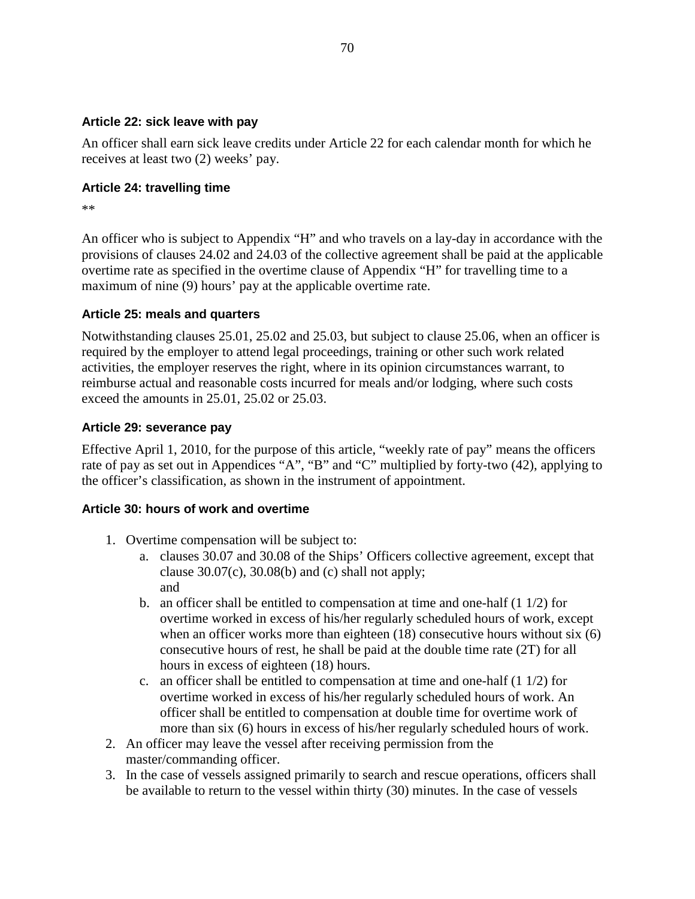### **Article 22: sick leave with pay**

An officer shall earn sick leave credits under Article 22 for each calendar month for which he receives at least two (2) weeks' pay.

### **Article 24: travelling time**

\*\*

An officer who is subject to Appendix "H" and who travels on a lay-day in accordance with the provisions of clauses 24.02 and 24.03 of the collective agreement shall be paid at the applicable overtime rate as specified in the overtime clause of Appendix "H" for travelling time to a maximum of nine (9) hours' pay at the applicable overtime rate.

### **Article 25: meals and quarters**

Notwithstanding clauses 25.01, 25.02 and 25.03, but subject to clause 25.06, when an officer is required by the employer to attend legal proceedings, training or other such work related activities, the employer reserves the right, where in its opinion circumstances warrant, to reimburse actual and reasonable costs incurred for meals and/or lodging, where such costs exceed the amounts in 25.01, 25.02 or 25.03.

### **Article 29: severance pay**

Effective April 1, 2010, for the purpose of this article, "weekly rate of pay" means the officers rate of pay as set out in Appendices "A", "B" and "C" multiplied by forty-two (42), applying to the officer's classification, as shown in the instrument of appointment.

# **Article 30: hours of work and overtime**

- 1. Overtime compensation will be subject to:
	- a. clauses 30.07 and 30.08 of the Ships' Officers collective agreement, except that clause  $30.07(c)$ ,  $30.08(b)$  and (c) shall not apply; and
	- b. an officer shall be entitled to compensation at time and one-half  $(1 1/2)$  for overtime worked in excess of his/her regularly scheduled hours of work, except when an officer works more than eighteen (18) consecutive hours without six (6) consecutive hours of rest, he shall be paid at the double time rate (2T) for all hours in excess of eighteen (18) hours.
	- c. an officer shall be entitled to compensation at time and one-half (1 1/2) for overtime worked in excess of his/her regularly scheduled hours of work. An officer shall be entitled to compensation at double time for overtime work of more than six (6) hours in excess of his/her regularly scheduled hours of work.
- 2. An officer may leave the vessel after receiving permission from the master/commanding officer.
- 3. In the case of vessels assigned primarily to search and rescue operations, officers shall be available to return to the vessel within thirty (30) minutes. In the case of vessels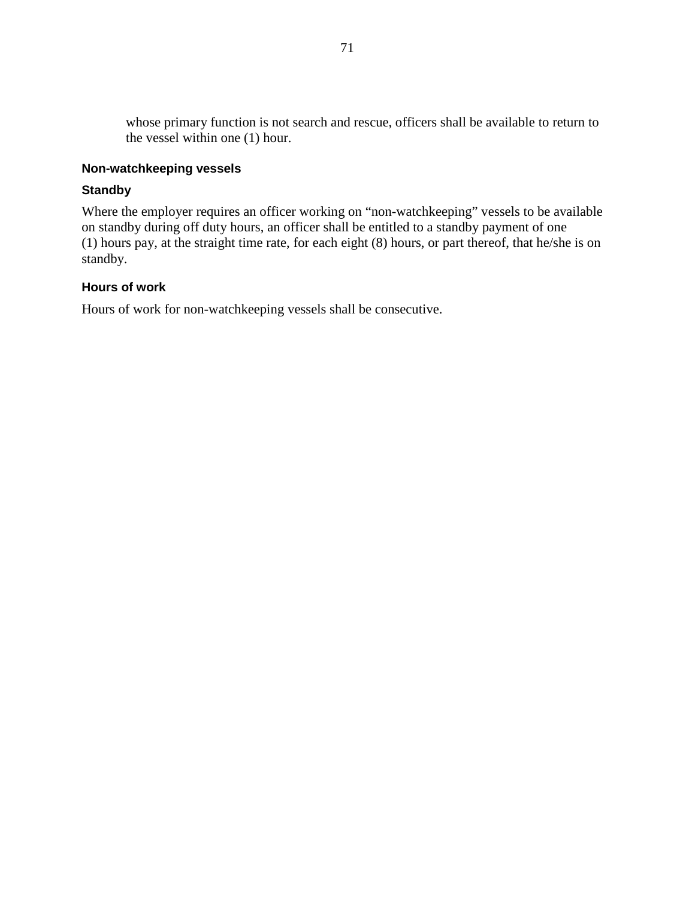whose primary function is not search and rescue, officers shall be available to return to the vessel within one (1) hour.

### **Non-watchkeeping vessels**

### **Standby**

Where the employer requires an officer working on "non-watchkeeping" vessels to be available on standby during off duty hours, an officer shall be entitled to a standby payment of one (1) hours pay, at the straight time rate, for each eight (8) hours, or part thereof, that he/she is on standby.

### **Hours of work**

Hours of work for non-watchkeeping vessels shall be consecutive.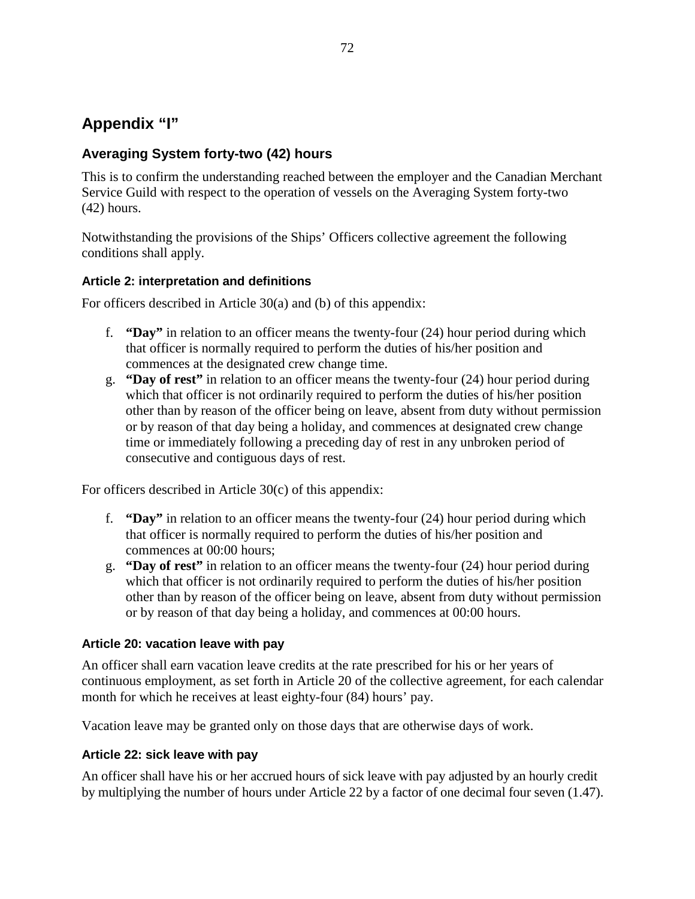# **Appendix "I"**

# **Averaging System forty-two (42) hours**

This is to confirm the understanding reached between the employer and the Canadian Merchant Service Guild with respect to the operation of vessels on the Averaging System forty-two (42) hours.

Notwithstanding the provisions of the Ships' Officers collective agreement the following conditions shall apply.

# **Article 2: interpretation and definitions**

For officers described in Article 30(a) and (b) of this appendix:

- f. **"Day"** in relation to an officer means the twenty-four (24) hour period during which that officer is normally required to perform the duties of his/her position and commences at the designated crew change time.
- g. **"Day of rest"** in relation to an officer means the twenty-four (24) hour period during which that officer is not ordinarily required to perform the duties of his/her position other than by reason of the officer being on leave, absent from duty without permission or by reason of that day being a holiday, and commences at designated crew change time or immediately following a preceding day of rest in any unbroken period of consecutive and contiguous days of rest.

For officers described in Article 30(c) of this appendix:

- f. **"Day"** in relation to an officer means the twenty-four (24) hour period during which that officer is normally required to perform the duties of his/her position and commences at 00:00 hours;
- g. **"Day of rest"** in relation to an officer means the twenty-four (24) hour period during which that officer is not ordinarily required to perform the duties of his/her position other than by reason of the officer being on leave, absent from duty without permission or by reason of that day being a holiday, and commences at 00:00 hours.

# **Article 20: vacation leave with pay**

An officer shall earn vacation leave credits at the rate prescribed for his or her years of continuous employment, as set forth in Article 20 of the collective agreement, for each calendar month for which he receives at least eighty-four (84) hours' pay.

Vacation leave may be granted only on those days that are otherwise days of work.

### **Article 22: sick leave with pay**

An officer shall have his or her accrued hours of sick leave with pay adjusted by an hourly credit by multiplying the number of hours under Article 22 by a factor of one decimal four seven (1.47).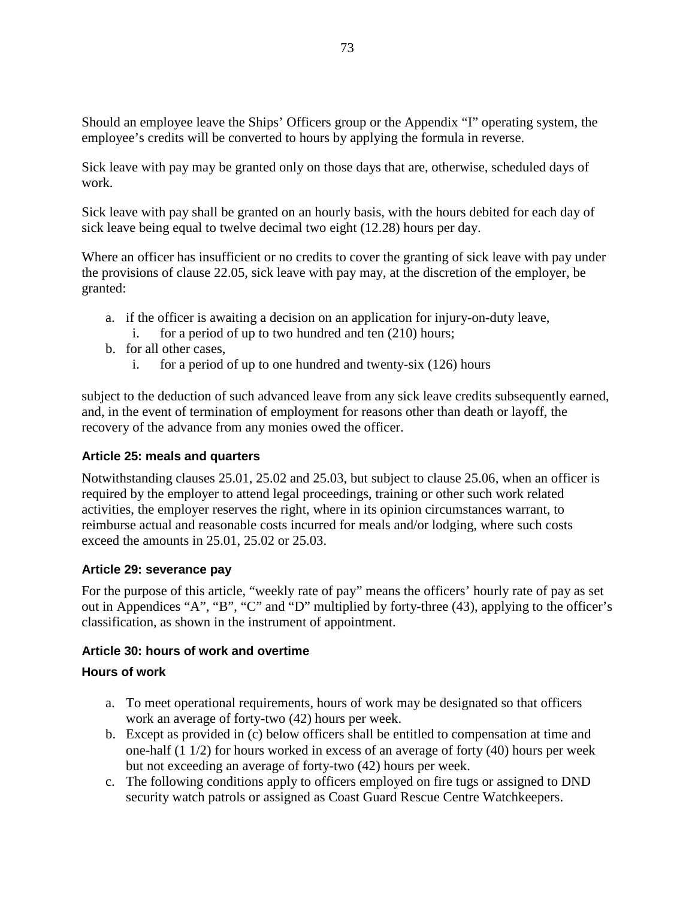Should an employee leave the Ships' Officers group or the Appendix "I" operating system, the employee's credits will be converted to hours by applying the formula in reverse.

Sick leave with pay may be granted only on those days that are, otherwise, scheduled days of work.

Sick leave with pay shall be granted on an hourly basis, with the hours debited for each day of sick leave being equal to twelve decimal two eight (12.28) hours per day.

Where an officer has insufficient or no credits to cover the granting of sick leave with pay under the provisions of clause 22.05, sick leave with pay may, at the discretion of the employer, be granted:

- a. if the officer is awaiting a decision on an application for injury-on-duty leave, i. for a period of up to two hundred and ten (210) hours;
- b. for all other cases,
- - i. for a period of up to one hundred and twenty-six (126) hours

subject to the deduction of such advanced leave from any sick leave credits subsequently earned, and, in the event of termination of employment for reasons other than death or layoff, the recovery of the advance from any monies owed the officer.

# **Article 25: meals and quarters**

Notwithstanding clauses 25.01, 25.02 and 25.03, but subject to clause 25.06, when an officer is required by the employer to attend legal proceedings, training or other such work related activities, the employer reserves the right, where in its opinion circumstances warrant, to reimburse actual and reasonable costs incurred for meals and/or lodging, where such costs exceed the amounts in 25.01, 25.02 or 25.03.

### **Article 29: severance pay**

For the purpose of this article, "weekly rate of pay" means the officers' hourly rate of pay as set out in Appendices "A", "B", "C" and "D" multiplied by forty-three (43), applying to the officer's classification, as shown in the instrument of appointment.

### **Article 30: hours of work and overtime**

# **Hours of work**

- a. To meet operational requirements, hours of work may be designated so that officers work an average of forty-two (42) hours per week.
- b. Except as provided in (c) below officers shall be entitled to compensation at time and one-half (1 1/2) for hours worked in excess of an average of forty (40) hours per week but not exceeding an average of forty-two (42) hours per week.
- c. The following conditions apply to officers employed on fire tugs or assigned to DND security watch patrols or assigned as Coast Guard Rescue Centre Watchkeepers.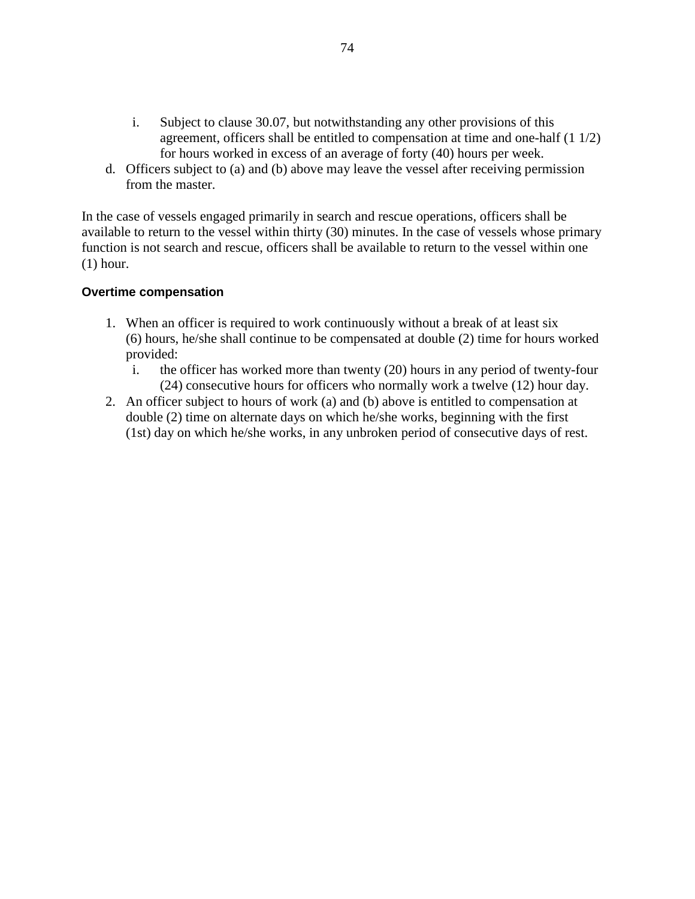- i. Subject to clause 30.07, but notwithstanding any other provisions of this agreement, officers shall be entitled to compensation at time and one-half (1 1/2) for hours worked in excess of an average of forty (40) hours per week.
- d. Officers subject to (a) and (b) above may leave the vessel after receiving permission from the master.

In the case of vessels engaged primarily in search and rescue operations, officers shall be available to return to the vessel within thirty (30) minutes. In the case of vessels whose primary function is not search and rescue, officers shall be available to return to the vessel within one (1) hour.

#### **Overtime compensation**

- 1. When an officer is required to work continuously without a break of at least six (6) hours, he/she shall continue to be compensated at double (2) time for hours worked provided:
	- i. the officer has worked more than twenty (20) hours in any period of twenty-four (24) consecutive hours for officers who normally work a twelve (12) hour day.
- 2. An officer subject to hours of work (a) and (b) above is entitled to compensation at double (2) time on alternate days on which he/she works, beginning with the first (1st) day on which he/she works, in any unbroken period of consecutive days of rest.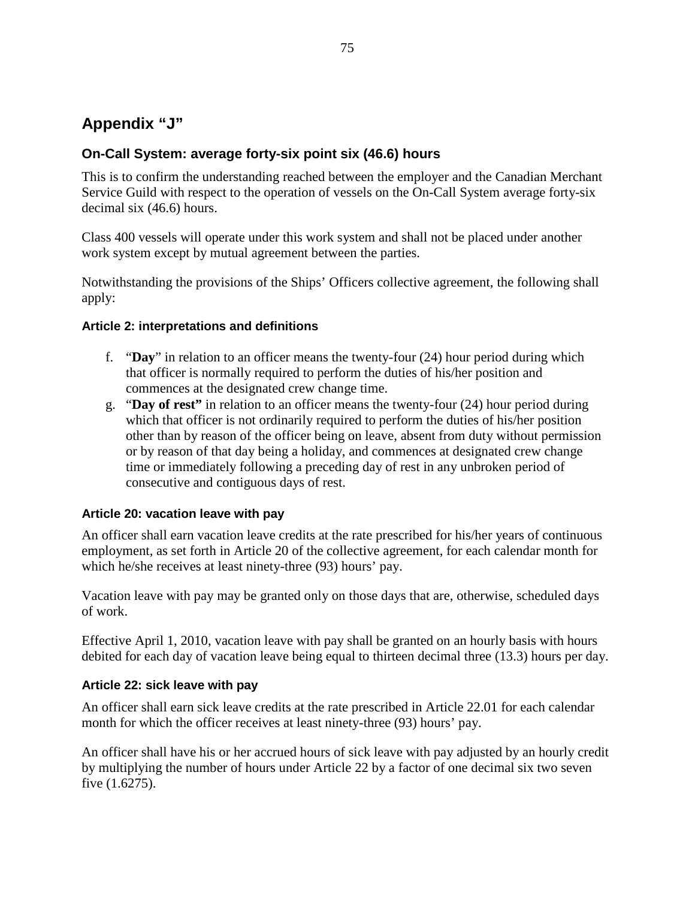# **Appendix "J"**

# **On-Call System: average forty-six point six (46.6) hours**

This is to confirm the understanding reached between the employer and the Canadian Merchant Service Guild with respect to the operation of vessels on the On-Call System average forty-six decimal six (46.6) hours.

Class 400 vessels will operate under this work system and shall not be placed under another work system except by mutual agreement between the parties.

Notwithstanding the provisions of the Ships' Officers collective agreement, the following shall apply:

### **Article 2: interpretations and definitions**

- f. "**Day**" in relation to an officer means the twenty-four (24) hour period during which that officer is normally required to perform the duties of his/her position and commences at the designated crew change time.
- g. "**Day of rest"** in relation to an officer means the twenty-four (24) hour period during which that officer is not ordinarily required to perform the duties of his/her position other than by reason of the officer being on leave, absent from duty without permission or by reason of that day being a holiday, and commences at designated crew change time or immediately following a preceding day of rest in any unbroken period of consecutive and contiguous days of rest.

### **Article 20: vacation leave with pay**

An officer shall earn vacation leave credits at the rate prescribed for his/her years of continuous employment, as set forth in Article 20 of the collective agreement, for each calendar month for which he/she receives at least ninety-three (93) hours' pay.

Vacation leave with pay may be granted only on those days that are, otherwise, scheduled days of work.

Effective April 1, 2010, vacation leave with pay shall be granted on an hourly basis with hours debited for each day of vacation leave being equal to thirteen decimal three (13.3) hours per day.

# **Article 22: sick leave with pay**

An officer shall earn sick leave credits at the rate prescribed in Article 22.01 for each calendar month for which the officer receives at least ninety-three (93) hours' pay.

An officer shall have his or her accrued hours of sick leave with pay adjusted by an hourly credit by multiplying the number of hours under Article 22 by a factor of one decimal six two seven five (1.6275).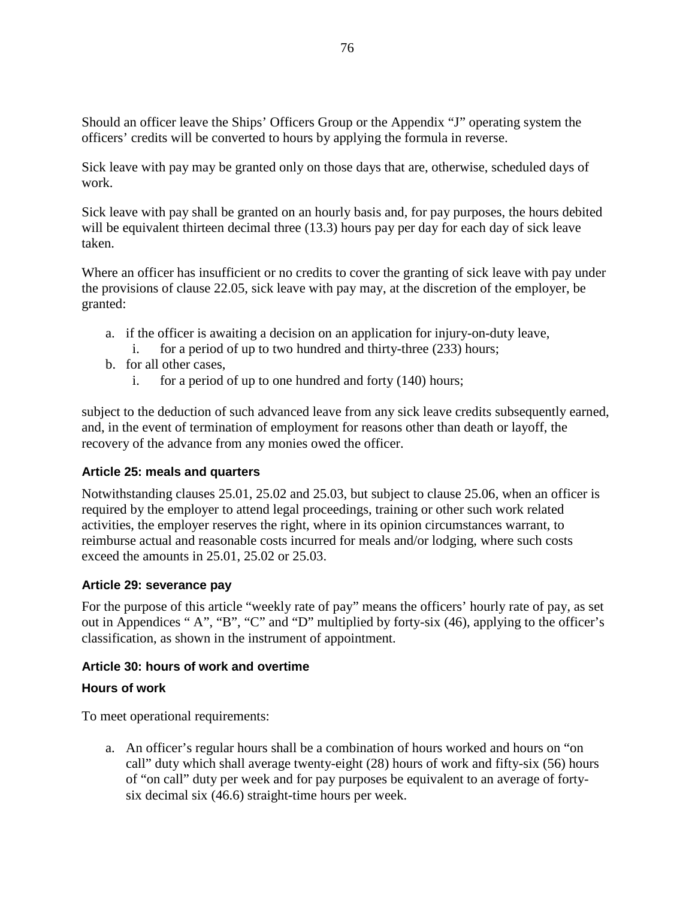Should an officer leave the Ships' Officers Group or the Appendix "J" operating system the officers' credits will be converted to hours by applying the formula in reverse.

Sick leave with pay may be granted only on those days that are, otherwise, scheduled days of work.

Sick leave with pay shall be granted on an hourly basis and, for pay purposes, the hours debited will be equivalent thirteen decimal three (13.3) hours pay per day for each day of sick leave taken.

Where an officer has insufficient or no credits to cover the granting of sick leave with pay under the provisions of clause 22.05, sick leave with pay may, at the discretion of the employer, be granted:

- a. if the officer is awaiting a decision on an application for injury-on-duty leave,
	- i. for a period of up to two hundred and thirty-three (233) hours;
- b. for all other cases,
	- i. for a period of up to one hundred and forty (140) hours;

subject to the deduction of such advanced leave from any sick leave credits subsequently earned, and, in the event of termination of employment for reasons other than death or layoff, the recovery of the advance from any monies owed the officer.

### **Article 25: meals and quarters**

Notwithstanding clauses 25.01, 25.02 and 25.03, but subject to clause 25.06, when an officer is required by the employer to attend legal proceedings, training or other such work related activities, the employer reserves the right, where in its opinion circumstances warrant, to reimburse actual and reasonable costs incurred for meals and/or lodging, where such costs exceed the amounts in 25.01, 25.02 or 25.03.

### **Article 29: severance pay**

For the purpose of this article "weekly rate of pay" means the officers' hourly rate of pay, as set out in Appendices " A", "B", "C" and "D" multiplied by forty-six (46), applying to the officer's classification, as shown in the instrument of appointment.

### **Article 30: hours of work and overtime**

### **Hours of work**

To meet operational requirements:

a. An officer's regular hours shall be a combination of hours worked and hours on "on call" duty which shall average twenty-eight (28) hours of work and fifty-six (56) hours of "on call" duty per week and for pay purposes be equivalent to an average of fortysix decimal six (46.6) straight-time hours per week.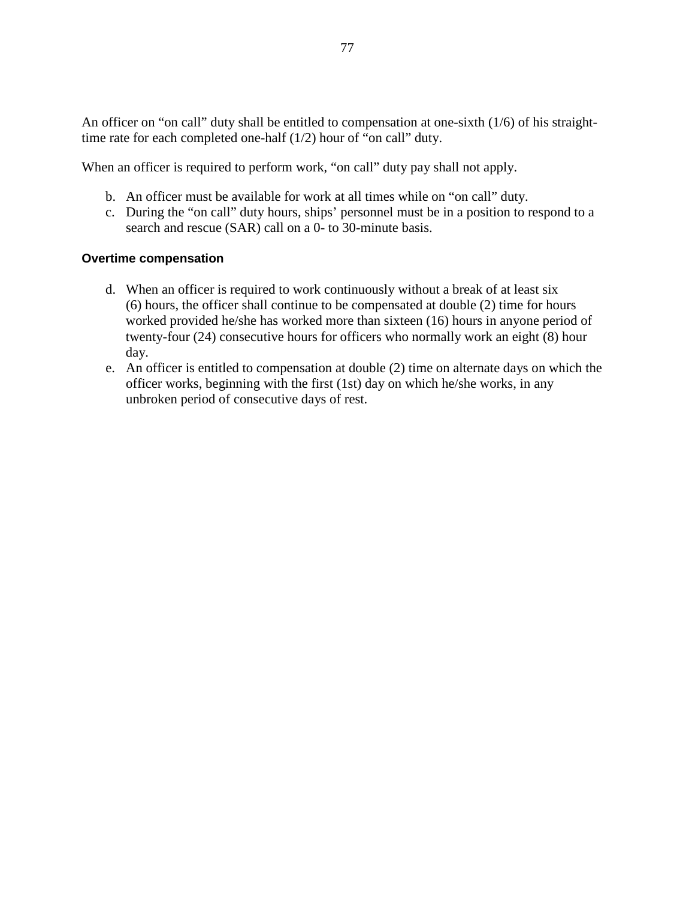An officer on "on call" duty shall be entitled to compensation at one-sixth (1/6) of his straighttime rate for each completed one-half (1/2) hour of "on call" duty.

When an officer is required to perform work, "on call" duty pay shall not apply.

- b. An officer must be available for work at all times while on "on call" duty.
- c. During the "on call" duty hours, ships' personnel must be in a position to respond to a search and rescue (SAR) call on a 0- to 30-minute basis.

#### **Overtime compensation**

- d. When an officer is required to work continuously without a break of at least six (6) hours, the officer shall continue to be compensated at double (2) time for hours worked provided he/she has worked more than sixteen (16) hours in anyone period of twenty-four (24) consecutive hours for officers who normally work an eight (8) hour day.
- e. An officer is entitled to compensation at double (2) time on alternate days on which the officer works, beginning with the first (1st) day on which he/she works, in any unbroken period of consecutive days of rest.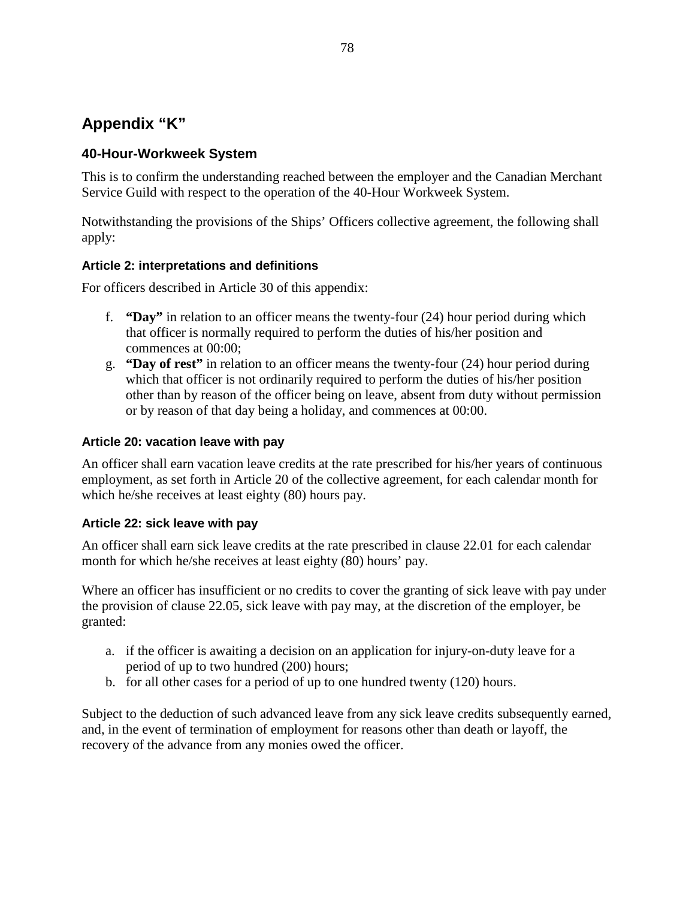# **Appendix "K"**

# **40-Hour-Workweek System**

This is to confirm the understanding reached between the employer and the Canadian Merchant Service Guild with respect to the operation of the 40-Hour Workweek System.

Notwithstanding the provisions of the Ships' Officers collective agreement, the following shall apply:

# **Article 2: interpretations and definitions**

For officers described in Article 30 of this appendix:

- f. **"Day"** in relation to an officer means the twenty-four (24) hour period during which that officer is normally required to perform the duties of his/her position and commences at 00:00;
- g. **"Day of rest"** in relation to an officer means the twenty-four (24) hour period during which that officer is not ordinarily required to perform the duties of his/her position other than by reason of the officer being on leave, absent from duty without permission or by reason of that day being a holiday, and commences at 00:00.

# **Article 20: vacation leave with pay**

An officer shall earn vacation leave credits at the rate prescribed for his/her years of continuous employment, as set forth in Article 20 of the collective agreement, for each calendar month for which he/she receives at least eighty (80) hours pay.

# **Article 22: sick leave with pay**

An officer shall earn sick leave credits at the rate prescribed in clause 22.01 for each calendar month for which he/she receives at least eighty (80) hours' pay.

Where an officer has insufficient or no credits to cover the granting of sick leave with pay under the provision of clause 22.05, sick leave with pay may, at the discretion of the employer, be granted:

- a. if the officer is awaiting a decision on an application for injury-on-duty leave for a period of up to two hundred (200) hours;
- b. for all other cases for a period of up to one hundred twenty (120) hours.

Subject to the deduction of such advanced leave from any sick leave credits subsequently earned, and, in the event of termination of employment for reasons other than death or layoff, the recovery of the advance from any monies owed the officer.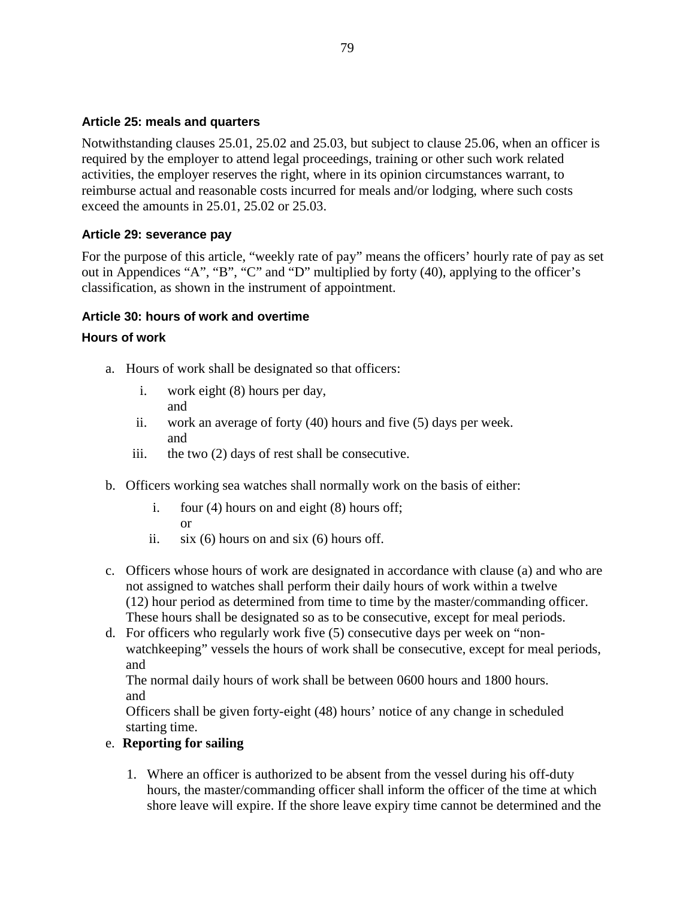### **Article 25: meals and quarters**

Notwithstanding clauses 25.01, 25.02 and 25.03, but subject to clause 25.06, when an officer is required by the employer to attend legal proceedings, training or other such work related activities, the employer reserves the right, where in its opinion circumstances warrant, to reimburse actual and reasonable costs incurred for meals and/or lodging, where such costs exceed the amounts in 25.01, 25.02 or 25.03.

### **Article 29: severance pay**

For the purpose of this article, "weekly rate of pay" means the officers' hourly rate of pay as set out in Appendices "A", "B", "C" and "D" multiplied by forty (40), applying to the officer's classification, as shown in the instrument of appointment.

### **Article 30: hours of work and overtime**

### **Hours of work**

- a. Hours of work shall be designated so that officers:
	- i. work eight (8) hours per day, and
	- ii. work an average of forty (40) hours and five (5) days per week. and
	- iii. the two (2) days of rest shall be consecutive.
- b. Officers working sea watches shall normally work on the basis of either:
	- i. four (4) hours on and eight (8) hours off; or
	- ii.  $six(6)$  hours on and six (6) hours off.
- c. Officers whose hours of work are designated in accordance with clause (a) and who are not assigned to watches shall perform their daily hours of work within a twelve (12) hour period as determined from time to time by the master/commanding officer. These hours shall be designated so as to be consecutive, except for meal periods.
- d. For officers who regularly work five (5) consecutive days per week on "nonwatchkeeping" vessels the hours of work shall be consecutive, except for meal periods, and

The normal daily hours of work shall be between 0600 hours and 1800 hours. and

Officers shall be given forty-eight (48) hours' notice of any change in scheduled starting time.

# e. **Reporting for sailing**

1. Where an officer is authorized to be absent from the vessel during his off-duty hours, the master/commanding officer shall inform the officer of the time at which shore leave will expire. If the shore leave expiry time cannot be determined and the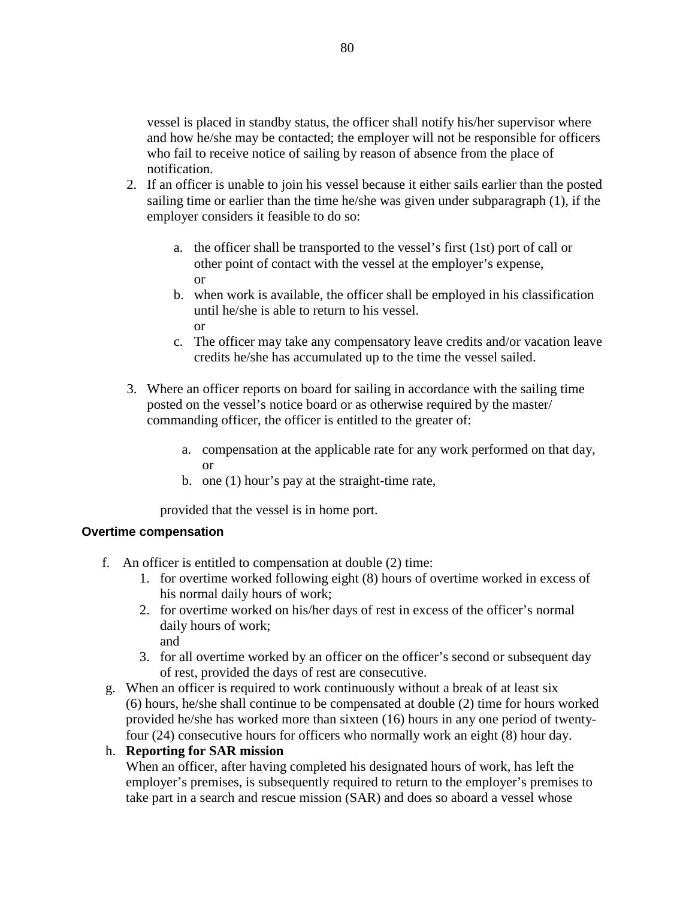vessel is placed in standby status, the officer shall notify his/her supervisor where and how he/she may be contacted; the employer will not be responsible for officers who fail to receive notice of sailing by reason of absence from the place of notification.

- 2. If an officer is unable to join his vessel because it either sails earlier than the posted sailing time or earlier than the time he/she was given under subparagraph (1), if the employer considers it feasible to do so:
	- a. the officer shall be transported to the vessel's first (1st) port of call or other point of contact with the vessel at the employer's expense, or
	- b. when work is available, the officer shall be employed in his classification until he/she is able to return to his vessel. or
	- c. The officer may take any compensatory leave credits and/or vacation leave credits he/she has accumulated up to the time the vessel sailed.
- 3. Where an officer reports on board for sailing in accordance with the sailing time posted on the vessel's notice board or as otherwise required by the master/ commanding officer, the officer is entitled to the greater of:
	- a. compensation at the applicable rate for any work performed on that day, or
	- b. one (1) hour's pay at the straight-time rate,

provided that the vessel is in home port.

### **Overtime compensation**

- f. An officer is entitled to compensation at double (2) time:
	- 1. for overtime worked following eight (8) hours of overtime worked in excess of his normal daily hours of work;
	- 2. for overtime worked on his/her days of rest in excess of the officer's normal daily hours of work; and
	- 3. for all overtime worked by an officer on the officer's second or subsequent day of rest, provided the days of rest are consecutive.
- g. When an officer is required to work continuously without a break of at least six (6) hours, he/she shall continue to be compensated at double (2) time for hours worked provided he/she has worked more than sixteen (16) hours in any one period of twentyfour (24) consecutive hours for officers who normally work an eight (8) hour day.

# h. **Reporting for SAR mission**

When an officer, after having completed his designated hours of work, has left the employer's premises, is subsequently required to return to the employer's premises to take part in a search and rescue mission (SAR) and does so aboard a vessel whose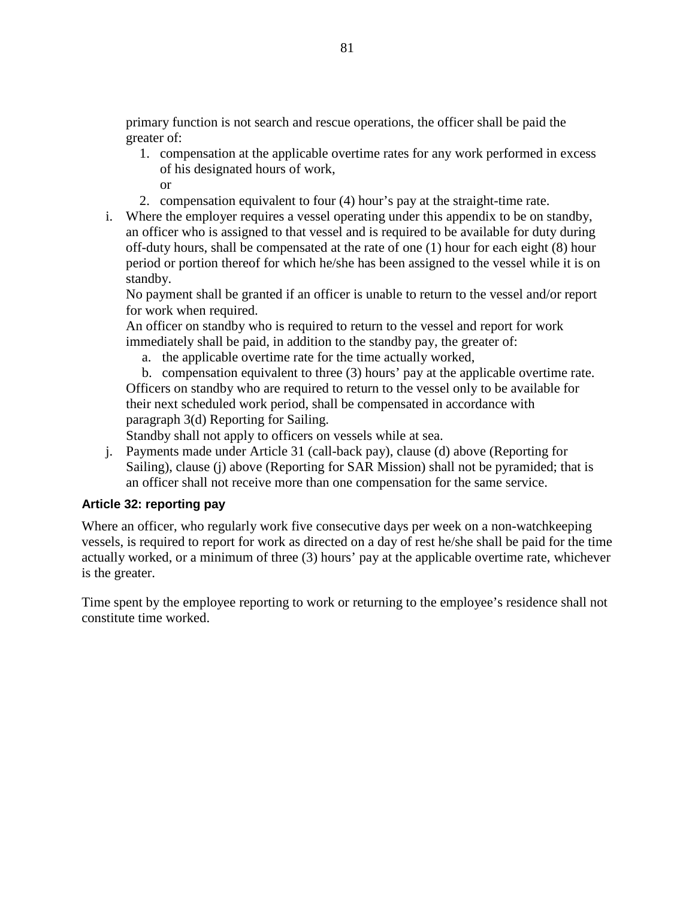primary function is not search and rescue operations, the officer shall be paid the greater of:

- 1. compensation at the applicable overtime rates for any work performed in excess of his designated hours of work, or
- 2. compensation equivalent to four (4) hour's pay at the straight-time rate.
- i. Where the employer requires a vessel operating under this appendix to be on standby, an officer who is assigned to that vessel and is required to be available for duty during off-duty hours, shall be compensated at the rate of one (1) hour for each eight (8) hour period or portion thereof for which he/she has been assigned to the vessel while it is on standby.

No payment shall be granted if an officer is unable to return to the vessel and/or report for work when required.

An officer on standby who is required to return to the vessel and report for work immediately shall be paid, in addition to the standby pay, the greater of:

a. the applicable overtime rate for the time actually worked,

b. compensation equivalent to three (3) hours' pay at the applicable overtime rate. Officers on standby who are required to return to the vessel only to be available for their next scheduled work period, shall be compensated in accordance with paragraph 3(d) Reporting for Sailing.

Standby shall not apply to officers on vessels while at sea.

j. Payments made under Article 31 (call-back pay), clause (d) above (Reporting for Sailing), clause (j) above (Reporting for SAR Mission) shall not be pyramided; that is an officer shall not receive more than one compensation for the same service.

### **Article 32: reporting pay**

Where an officer, who regularly work five consecutive days per week on a non-watchkeeping vessels, is required to report for work as directed on a day of rest he/she shall be paid for the time actually worked, or a minimum of three (3) hours' pay at the applicable overtime rate, whichever is the greater.

Time spent by the employee reporting to work or returning to the employee's residence shall not constitute time worked.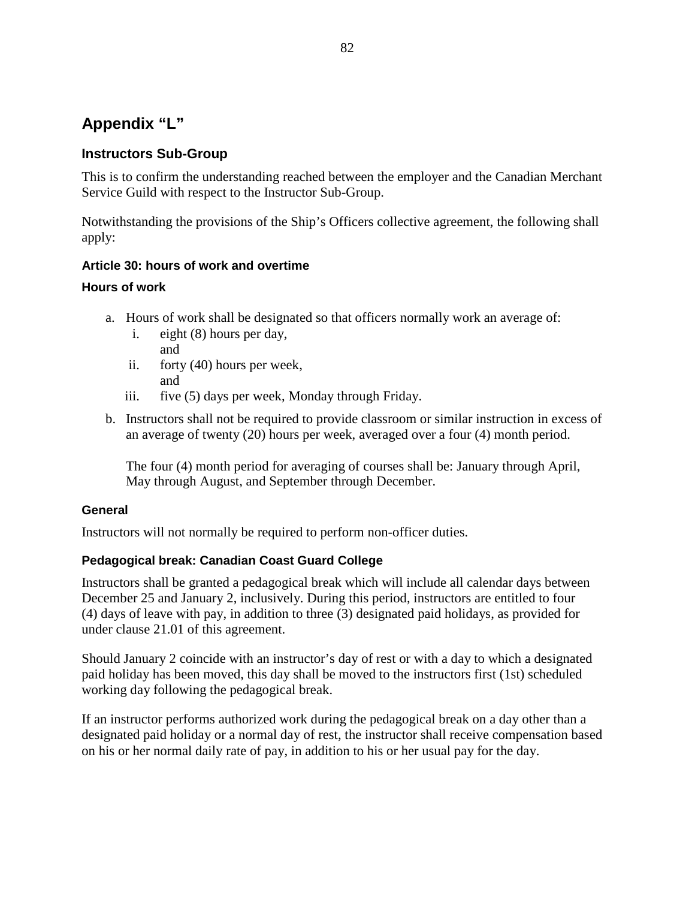# **Appendix "L"**

# **Instructors Sub-Group**

This is to confirm the understanding reached between the employer and the Canadian Merchant Service Guild with respect to the Instructor Sub-Group.

Notwithstanding the provisions of the Ship's Officers collective agreement, the following shall apply:

# **Article 30: hours of work and overtime**

### **Hours of work**

- a. Hours of work shall be designated so that officers normally work an average of:
	- i. eight (8) hours per day, and
	- ii. forty (40) hours per week, and
	- iii. five (5) days per week, Monday through Friday.
- b. Instructors shall not be required to provide classroom or similar instruction in excess of an average of twenty (20) hours per week, averaged over a four (4) month period.

The four (4) month period for averaging of courses shall be: January through April, May through August, and September through December.

# **General**

Instructors will not normally be required to perform non-officer duties.

# **Pedagogical break: Canadian Coast Guard College**

Instructors shall be granted a pedagogical break which will include all calendar days between December 25 and January 2, inclusively. During this period, instructors are entitled to four (4) days of leave with pay, in addition to three (3) designated paid holidays, as provided for under clause 21.01 of this agreement.

Should January 2 coincide with an instructor's day of rest or with a day to which a designated paid holiday has been moved, this day shall be moved to the instructors first (1st) scheduled working day following the pedagogical break.

If an instructor performs authorized work during the pedagogical break on a day other than a designated paid holiday or a normal day of rest, the instructor shall receive compensation based on his or her normal daily rate of pay, in addition to his or her usual pay for the day.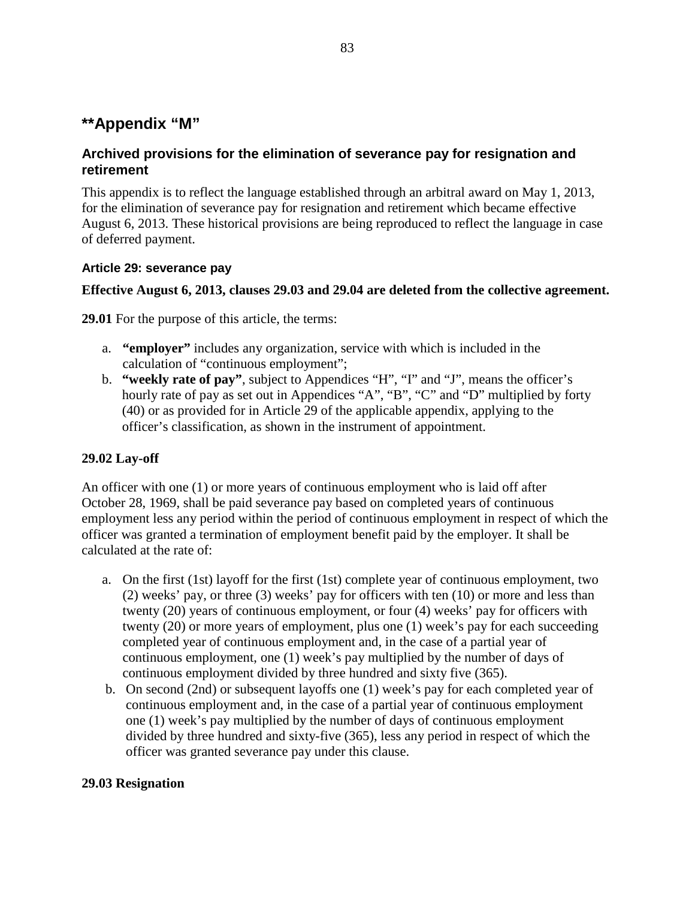# **\*\*Appendix "M"**

# **Archived provisions for the elimination of severance pay for resignation and retirement**

This appendix is to reflect the language established through an arbitral award on May 1, 2013, for the elimination of severance pay for resignation and retirement which became effective August 6, 2013. These historical provisions are being reproduced to reflect the language in case of deferred payment.

### **Article 29: severance pay**

### **Effective August 6, 2013, clauses 29.03 and 29.04 are deleted from the collective agreement.**

**29.01** For the purpose of this article, the terms:

- a. **"employer"** includes any organization, service with which is included in the calculation of "continuous employment";
- b. **"weekly rate of pay"**, subject to Appendices "H", "I" and "J", means the officer's hourly rate of pay as set out in Appendices "A", "B", "C" and "D" multiplied by forty (40) or as provided for in Article 29 of the applicable appendix, applying to the officer's classification, as shown in the instrument of appointment.

# **29.02 Lay-off**

An officer with one (1) or more years of continuous employment who is laid off after October 28, 1969, shall be paid severance pay based on completed years of continuous employment less any period within the period of continuous employment in respect of which the officer was granted a termination of employment benefit paid by the employer. It shall be calculated at the rate of:

- a. On the first (1st) layoff for the first (1st) complete year of continuous employment, two (2) weeks' pay, or three (3) weeks' pay for officers with ten (10) or more and less than twenty (20) years of continuous employment, or four (4) weeks' pay for officers with twenty (20) or more years of employment, plus one (1) week's pay for each succeeding completed year of continuous employment and, in the case of a partial year of continuous employment, one (1) week's pay multiplied by the number of days of continuous employment divided by three hundred and sixty five (365).
- b. On second (2nd) or subsequent layoffs one (1) week's pay for each completed year of continuous employment and, in the case of a partial year of continuous employment one (1) week's pay multiplied by the number of days of continuous employment divided by three hundred and sixty-five (365), less any period in respect of which the officer was granted severance pay under this clause.

### **29.03 Resignation**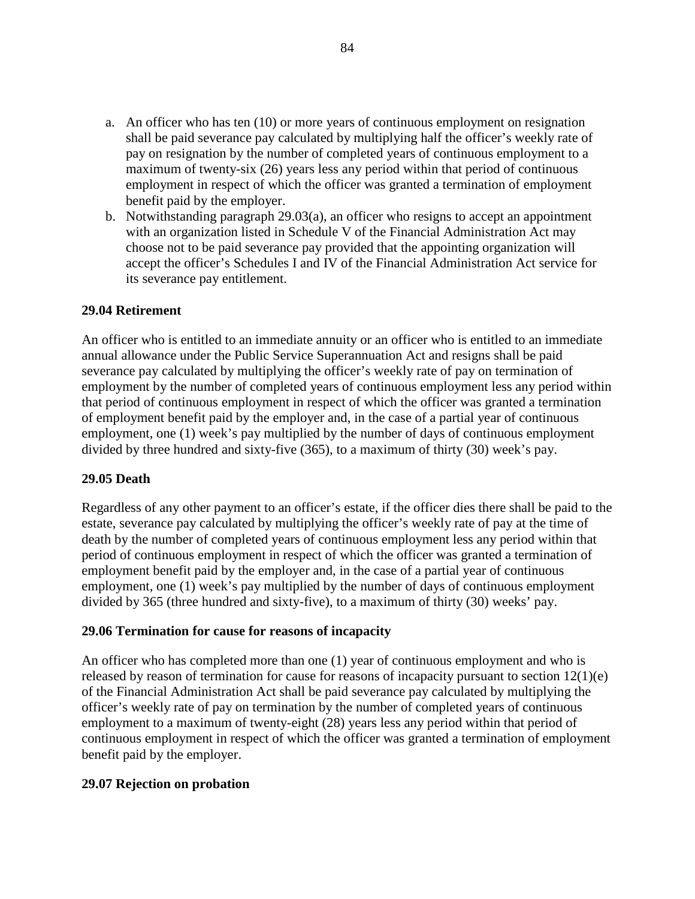- a. An officer who has ten (10) or more years of continuous employment on resignation shall be paid severance pay calculated by multiplying half the officer's weekly rate of pay on resignation by the number of completed years of continuous employment to a maximum of twenty-six (26) years less any period within that period of continuous employment in respect of which the officer was granted a termination of employment benefit paid by the employer.
- b. Notwithstanding paragraph 29.03(a), an officer who resigns to accept an appointment with an organization listed in Schedule V of the Financial Administration Act may choose not to be paid severance pay provided that the appointing organization will accept the officer's Schedules I and IV of the Financial Administration Act service for its severance pay entitlement.

#### **29.04 Retirement**

An officer who is entitled to an immediate annuity or an officer who is entitled to an immediate annual allowance under the Public Service Superannuation Act and resigns shall be paid severance pay calculated by multiplying the officer's weekly rate of pay on termination of employment by the number of completed years of continuous employment less any period within that period of continuous employment in respect of which the officer was granted a termination of employment benefit paid by the employer and, in the case of a partial year of continuous employment, one (1) week's pay multiplied by the number of days of continuous employment divided by three hundred and sixty-five (365), to a maximum of thirty (30) week's pay.

#### **29.05 Death**

Regardless of any other payment to an officer's estate, if the officer dies there shall be paid to the estate, severance pay calculated by multiplying the officer's weekly rate of pay at the time of death by the number of completed years of continuous employment less any period within that period of continuous employment in respect of which the officer was granted a termination of employment benefit paid by the employer and, in the case of a partial year of continuous employment, one (1) week's pay multiplied by the number of days of continuous employment divided by 365 (three hundred and sixty-five), to a maximum of thirty (30) weeks' pay.

#### **29.06 Termination for cause for reasons of incapacity**

An officer who has completed more than one (1) year of continuous employment and who is released by reason of termination for cause for reasons of incapacity pursuant to section 12(1)(e) of the Financial Administration Act shall be paid severance pay calculated by multiplying the officer's weekly rate of pay on termination by the number of completed years of continuous employment to a maximum of twenty-eight (28) years less any period within that period of continuous employment in respect of which the officer was granted a termination of employment benefit paid by the employer.

#### **29.07 Rejection on probation**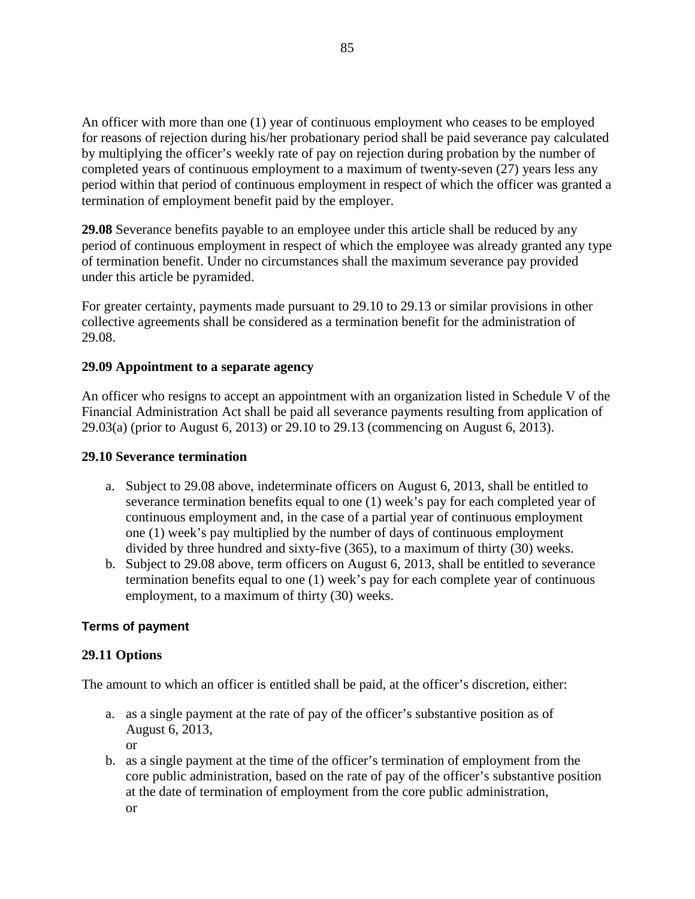An officer with more than one (1) year of continuous employment who ceases to be employed for reasons of rejection during his/her probationary period shall be paid severance pay calculated by multiplying the officer's weekly rate of pay on rejection during probation by the number of completed years of continuous employment to a maximum of twenty-seven (27) years less any period within that period of continuous employment in respect of which the officer was granted a termination of employment benefit paid by the employer.

**29.08** Severance benefits payable to an employee under this article shall be reduced by any period of continuous employment in respect of which the employee was already granted any type of termination benefit. Under no circumstances shall the maximum severance pay provided under this article be pyramided.

For greater certainty, payments made pursuant to 29.10 to 29.13 or similar provisions in other collective agreements shall be considered as a termination benefit for the administration of 29.08.

### **29.09 Appointment to a separate agency**

An officer who resigns to accept an appointment with an organization listed in Schedule V of the Financial Administration Act shall be paid all severance payments resulting from application of 29.03(a) (prior to August 6, 2013) or 29.10 to 29.13 (commencing on August 6, 2013).

### **29.10 Severance termination**

- a. Subject to 29.08 above, indeterminate officers on August 6, 2013, shall be entitled to severance termination benefits equal to one (1) week's pay for each completed year of continuous employment and, in the case of a partial year of continuous employment one (1) week's pay multiplied by the number of days of continuous employment divided by three hundred and sixty-five (365), to a maximum of thirty (30) weeks.
- b. Subject to 29.08 above, term officers on August 6, 2013, shall be entitled to severance termination benefits equal to one (1) week's pay for each complete year of continuous employment, to a maximum of thirty (30) weeks.

### **Terms of payment**

### **29.11 Options**

The amount to which an officer is entitled shall be paid, at the officer's discretion, either:

- a. as a single payment at the rate of pay of the officer's substantive position as of August 6, 2013, or
- b. as a single payment at the time of the officer's termination of employment from the core public administration, based on the rate of pay of the officer's substantive position at the date of termination of employment from the core public administration, or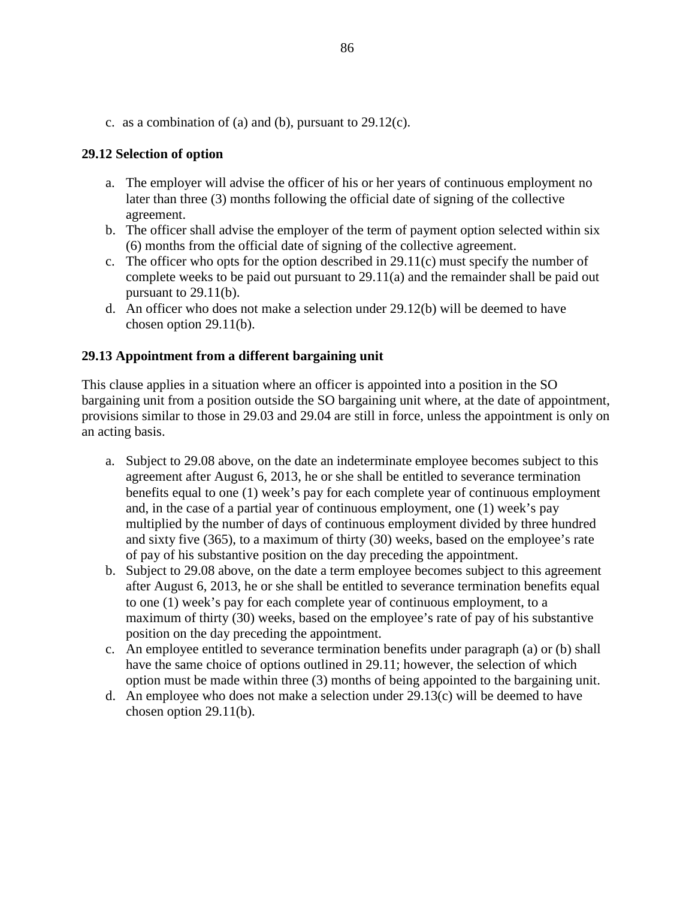c. as a combination of (a) and (b), pursuant to 29.12(c).

### **29.12 Selection of option**

- a. The employer will advise the officer of his or her years of continuous employment no later than three (3) months following the official date of signing of the collective agreement.
- b. The officer shall advise the employer of the term of payment option selected within six (6) months from the official date of signing of the collective agreement.
- c. The officer who opts for the option described in 29.11(c) must specify the number of complete weeks to be paid out pursuant to 29.11(a) and the remainder shall be paid out pursuant to 29.11(b).
- d. An officer who does not make a selection under 29.12(b) will be deemed to have chosen option 29.11(b).

### **29.13 Appointment from a different bargaining unit**

This clause applies in a situation where an officer is appointed into a position in the SO bargaining unit from a position outside the SO bargaining unit where, at the date of appointment, provisions similar to those in 29.03 and 29.04 are still in force, unless the appointment is only on an acting basis.

- a. Subject to 29.08 above, on the date an indeterminate employee becomes subject to this agreement after August 6, 2013, he or she shall be entitled to severance termination benefits equal to one (1) week's pay for each complete year of continuous employment and, in the case of a partial year of continuous employment, one (1) week's pay multiplied by the number of days of continuous employment divided by three hundred and sixty five (365), to a maximum of thirty (30) weeks, based on the employee's rate of pay of his substantive position on the day preceding the appointment.
- b. Subject to 29.08 above, on the date a term employee becomes subject to this agreement after August 6, 2013, he or she shall be entitled to severance termination benefits equal to one (1) week's pay for each complete year of continuous employment, to a maximum of thirty (30) weeks, based on the employee's rate of pay of his substantive position on the day preceding the appointment.
- c. An employee entitled to severance termination benefits under paragraph (a) or (b) shall have the same choice of options outlined in 29.11; however, the selection of which option must be made within three (3) months of being appointed to the bargaining unit.
- d. An employee who does not make a selection under 29.13(c) will be deemed to have chosen option 29.11(b).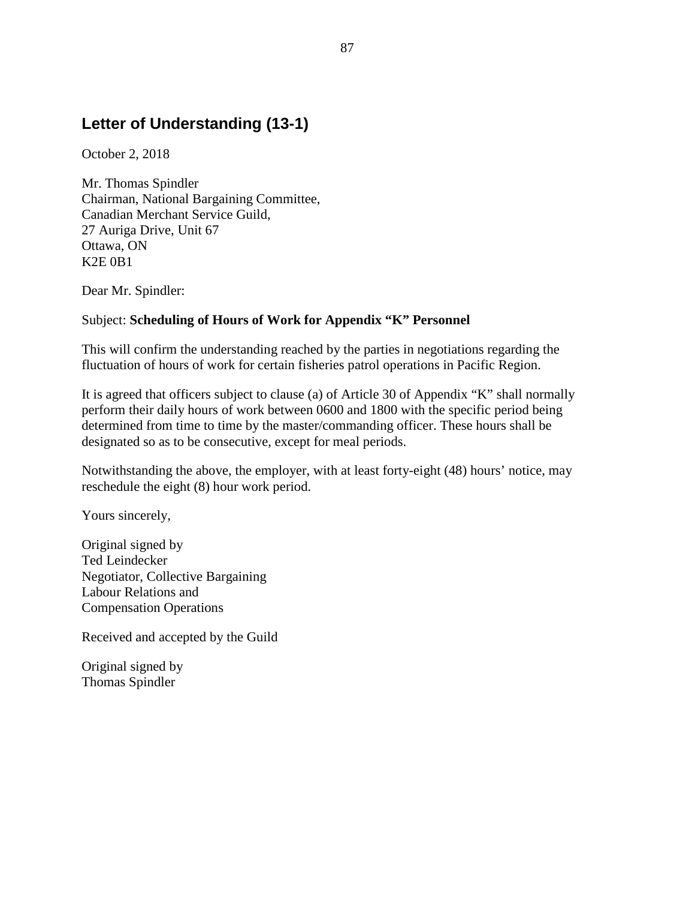# **Letter of Understanding (13-1)**

October 2, 2018

Mr. Thomas Spindler Chairman, National Bargaining Committee, Canadian Merchant Service Guild, 27 Auriga Drive, Unit 67 Ottawa, ON K2E 0B1

Dear Mr. Spindler:

### Subject: **Scheduling of Hours of Work for Appendix "K" Personnel**

This will confirm the understanding reached by the parties in negotiations regarding the fluctuation of hours of work for certain fisheries patrol operations in Pacific Region.

It is agreed that officers subject to clause (a) of Article 30 of Appendix "K" shall normally perform their daily hours of work between 0600 and 1800 with the specific period being determined from time to time by the master/commanding officer. These hours shall be designated so as to be consecutive, except for meal periods.

Notwithstanding the above, the employer, with at least forty-eight (48) hours' notice, may reschedule the eight (8) hour work period.

Yours sincerely,

Original signed by Ted Leindecker Negotiator, Collective Bargaining Labour Relations and Compensation Operations

Received and accepted by the Guild

Original signed by Thomas Spindler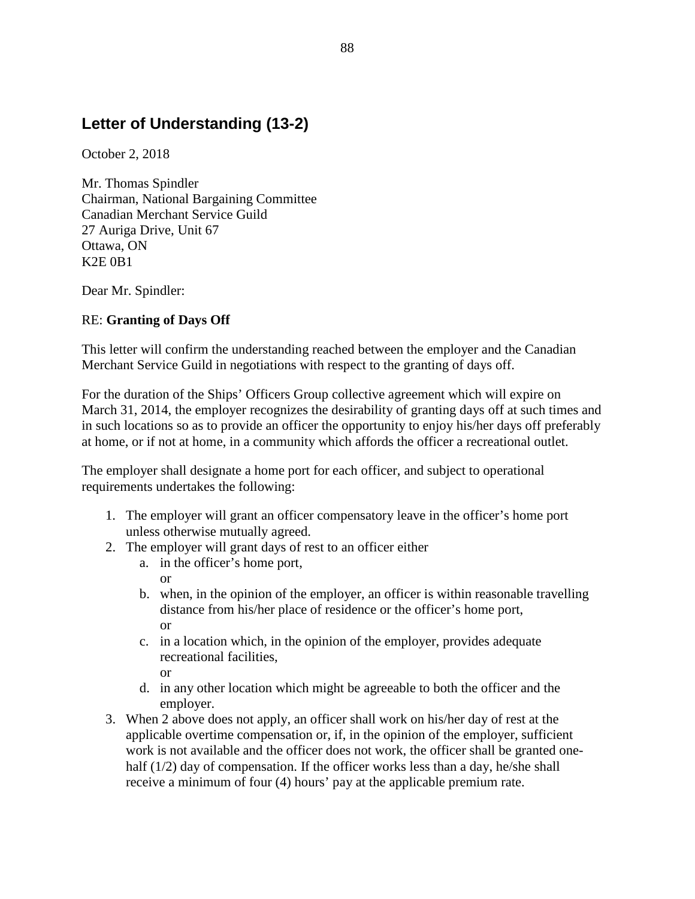# **Letter of Understanding (13-2)**

October 2, 2018

Mr. Thomas Spindler Chairman, National Bargaining Committee Canadian Merchant Service Guild 27 Auriga Drive, Unit 67 Ottawa, ON K2E 0B1

Dear Mr. Spindler:

# RE: **Granting of Days Off**

This letter will confirm the understanding reached between the employer and the Canadian Merchant Service Guild in negotiations with respect to the granting of days off.

For the duration of the Ships' Officers Group collective agreement which will expire on March 31, 2014, the employer recognizes the desirability of granting days off at such times and in such locations so as to provide an officer the opportunity to enjoy his/her days off preferably at home, or if not at home, in a community which affords the officer a recreational outlet.

The employer shall designate a home port for each officer, and subject to operational requirements undertakes the following:

- 1. The employer will grant an officer compensatory leave in the officer's home port unless otherwise mutually agreed.
- 2. The employer will grant days of rest to an officer either
	- a. in the officer's home port,

or

- b. when, in the opinion of the employer, an officer is within reasonable travelling distance from his/her place of residence or the officer's home port, or
- c. in a location which, in the opinion of the employer, provides adequate recreational facilities,
	- or
- d. in any other location which might be agreeable to both the officer and the employer.
- 3. When 2 above does not apply, an officer shall work on his/her day of rest at the applicable overtime compensation or, if, in the opinion of the employer, sufficient work is not available and the officer does not work, the officer shall be granted onehalf (1/2) day of compensation. If the officer works less than a day, he/she shall receive a minimum of four (4) hours' pay at the applicable premium rate.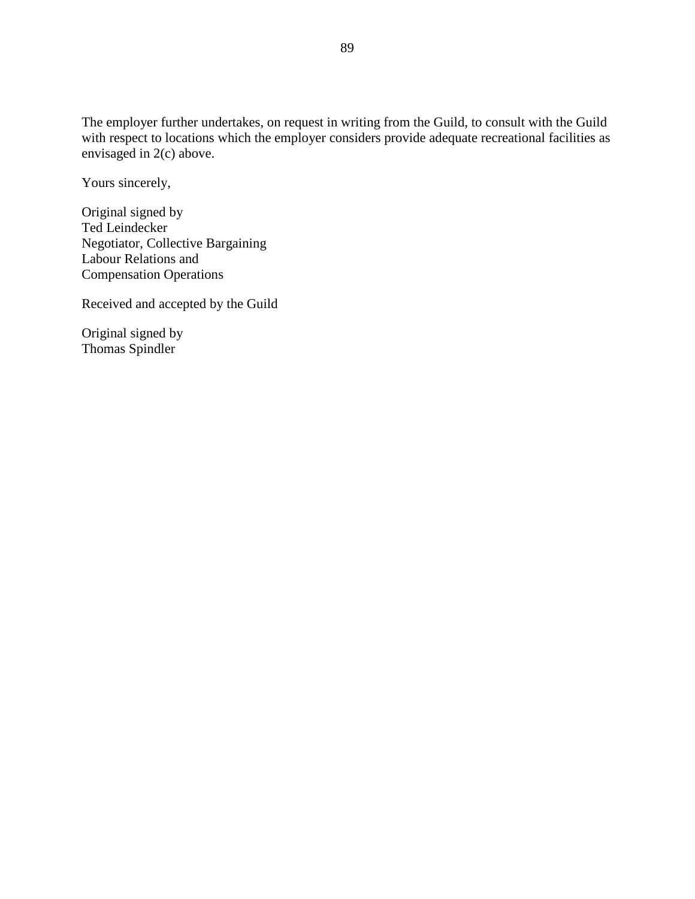The employer further undertakes, on request in writing from the Guild, to consult with the Guild with respect to locations which the employer considers provide adequate recreational facilities as envisaged in 2(c) above.

Yours sincerely,

Original signed by Ted Leindecker Negotiator, Collective Bargaining Labour Relations and Compensation Operations

Received and accepted by the Guild

Original signed by Thomas Spindler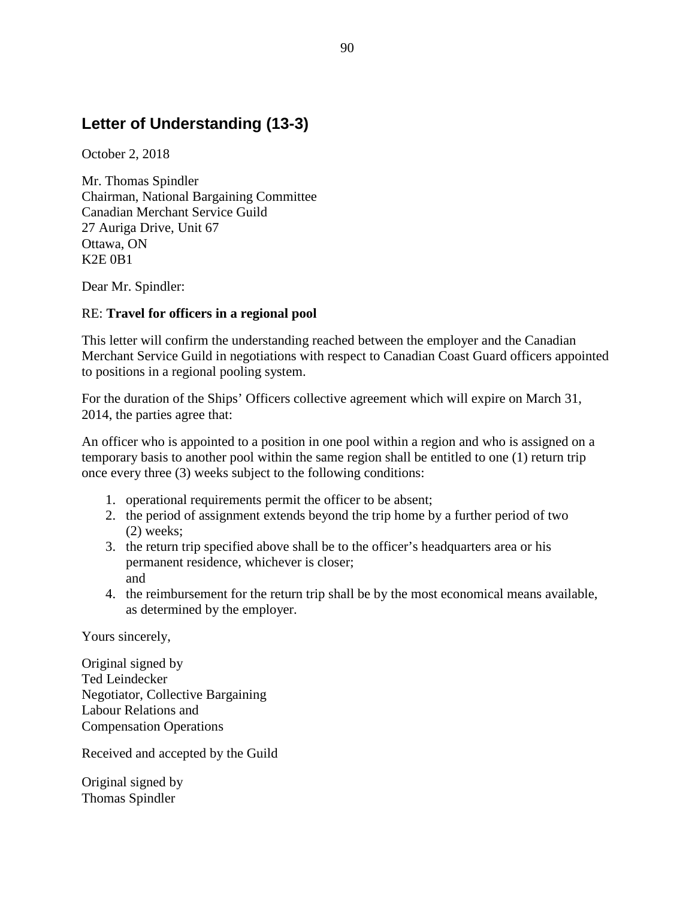# **Letter of Understanding (13-3)**

October 2, 2018

Mr. Thomas Spindler Chairman, National Bargaining Committee Canadian Merchant Service Guild 27 Auriga Drive, Unit 67 Ottawa, ON K2E 0B1

Dear Mr. Spindler:

# RE: **Travel for officers in a regional pool**

This letter will confirm the understanding reached between the employer and the Canadian Merchant Service Guild in negotiations with respect to Canadian Coast Guard officers appointed to positions in a regional pooling system.

For the duration of the Ships' Officers collective agreement which will expire on March 31, 2014, the parties agree that:

An officer who is appointed to a position in one pool within a region and who is assigned on a temporary basis to another pool within the same region shall be entitled to one (1) return trip once every three (3) weeks subject to the following conditions:

- 1. operational requirements permit the officer to be absent;
- 2. the period of assignment extends beyond the trip home by a further period of two (2) weeks;
- 3. the return trip specified above shall be to the officer's headquarters area or his permanent residence, whichever is closer; and
- 4. the reimbursement for the return trip shall be by the most economical means available, as determined by the employer.

Yours sincerely,

Original signed by Ted Leindecker Negotiator, Collective Bargaining Labour Relations and Compensation Operations

Received and accepted by the Guild

Original signed by Thomas Spindler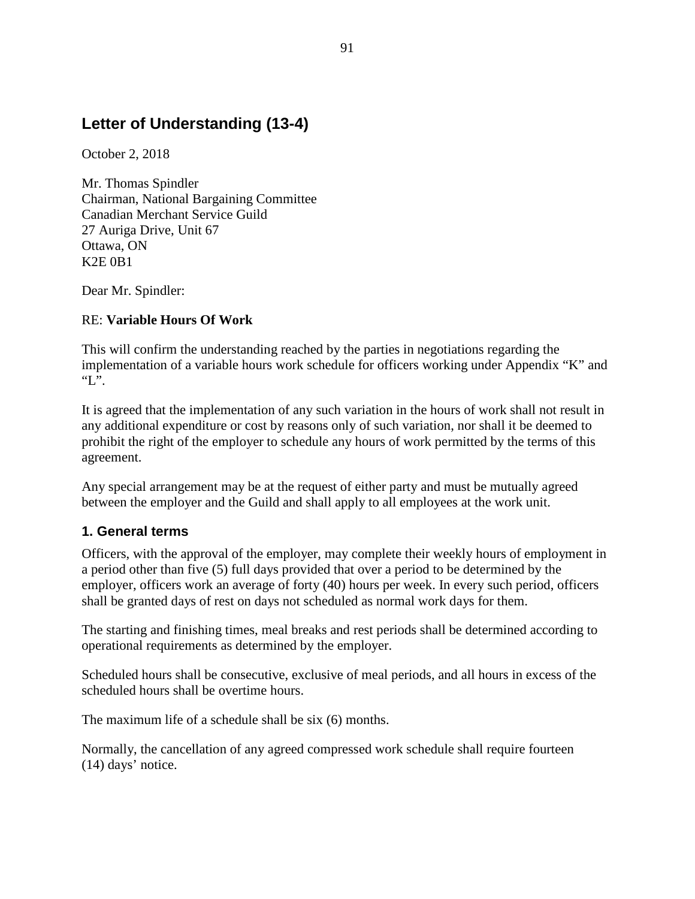# **Letter of Understanding (13-4)**

October 2, 2018

Mr. Thomas Spindler Chairman, National Bargaining Committee Canadian Merchant Service Guild 27 Auriga Drive, Unit 67 Ottawa, ON K2E 0B1

Dear Mr. Spindler:

# RE: **Variable Hours Of Work**

This will confirm the understanding reached by the parties in negotiations regarding the implementation of a variable hours work schedule for officers working under Appendix "K" and  $\lq\lq L$ ".

It is agreed that the implementation of any such variation in the hours of work shall not result in any additional expenditure or cost by reasons only of such variation, nor shall it be deemed to prohibit the right of the employer to schedule any hours of work permitted by the terms of this agreement.

Any special arrangement may be at the request of either party and must be mutually agreed between the employer and the Guild and shall apply to all employees at the work unit.

# **1. General terms**

Officers, with the approval of the employer, may complete their weekly hours of employment in a period other than five (5) full days provided that over a period to be determined by the employer, officers work an average of forty (40) hours per week. In every such period, officers shall be granted days of rest on days not scheduled as normal work days for them.

The starting and finishing times, meal breaks and rest periods shall be determined according to operational requirements as determined by the employer.

Scheduled hours shall be consecutive, exclusive of meal periods, and all hours in excess of the scheduled hours shall be overtime hours.

The maximum life of a schedule shall be six (6) months.

Normally, the cancellation of any agreed compressed work schedule shall require fourteen (14) days' notice.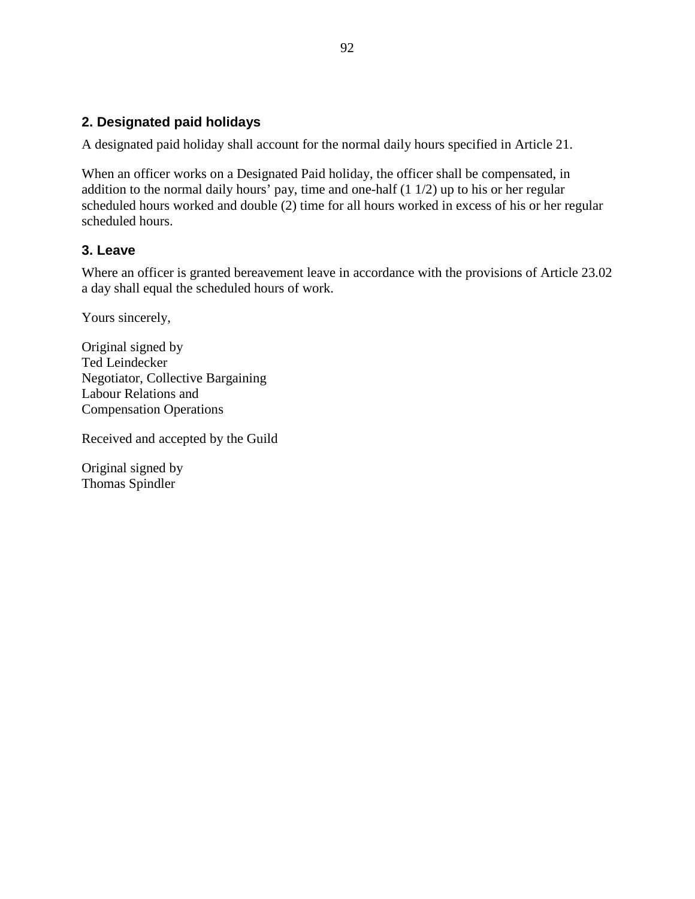# **2. Designated paid holidays**

A designated paid holiday shall account for the normal daily hours specified in Article 21.

When an officer works on a Designated Paid holiday, the officer shall be compensated, in addition to the normal daily hours' pay, time and one-half  $(1\ 1/2)$  up to his or her regular scheduled hours worked and double (2) time for all hours worked in excess of his or her regular scheduled hours.

# **3. Leave**

Where an officer is granted bereavement leave in accordance with the provisions of Article 23.02 a day shall equal the scheduled hours of work.

Yours sincerely,

Original signed by Ted Leindecker Negotiator, Collective Bargaining Labour Relations and Compensation Operations

Received and accepted by the Guild

Original signed by Thomas Spindler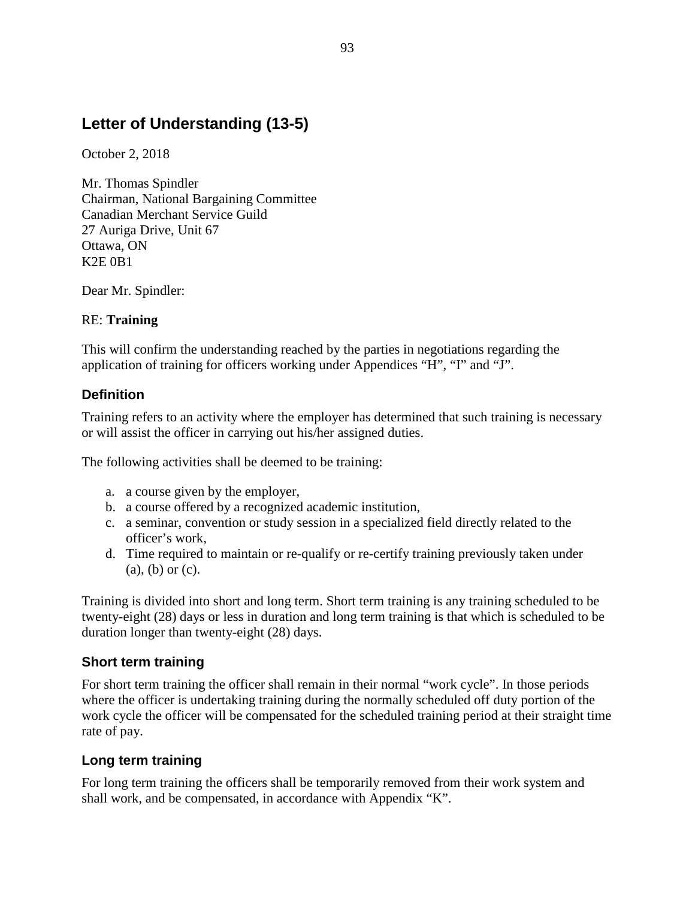# **Letter of Understanding (13-5)**

October 2, 2018

Mr. Thomas Spindler Chairman, National Bargaining Committee Canadian Merchant Service Guild 27 Auriga Drive, Unit 67 Ottawa, ON K2E 0B1

Dear Mr. Spindler:

# RE: **Training**

This will confirm the understanding reached by the parties in negotiations regarding the application of training for officers working under Appendices "H", "I" and "J".

# **Definition**

Training refers to an activity where the employer has determined that such training is necessary or will assist the officer in carrying out his/her assigned duties.

The following activities shall be deemed to be training:

- a. a course given by the employer,
- b. a course offered by a recognized academic institution,
- c. a seminar, convention or study session in a specialized field directly related to the officer's work,
- d. Time required to maintain or re-qualify or re-certify training previously taken under (a), (b) or (c).

Training is divided into short and long term. Short term training is any training scheduled to be twenty-eight (28) days or less in duration and long term training is that which is scheduled to be duration longer than twenty-eight (28) days.

# **Short term training**

For short term training the officer shall remain in their normal "work cycle". In those periods where the officer is undertaking training during the normally scheduled off duty portion of the work cycle the officer will be compensated for the scheduled training period at their straight time rate of pay.

# **Long term training**

For long term training the officers shall be temporarily removed from their work system and shall work, and be compensated, in accordance with Appendix "K".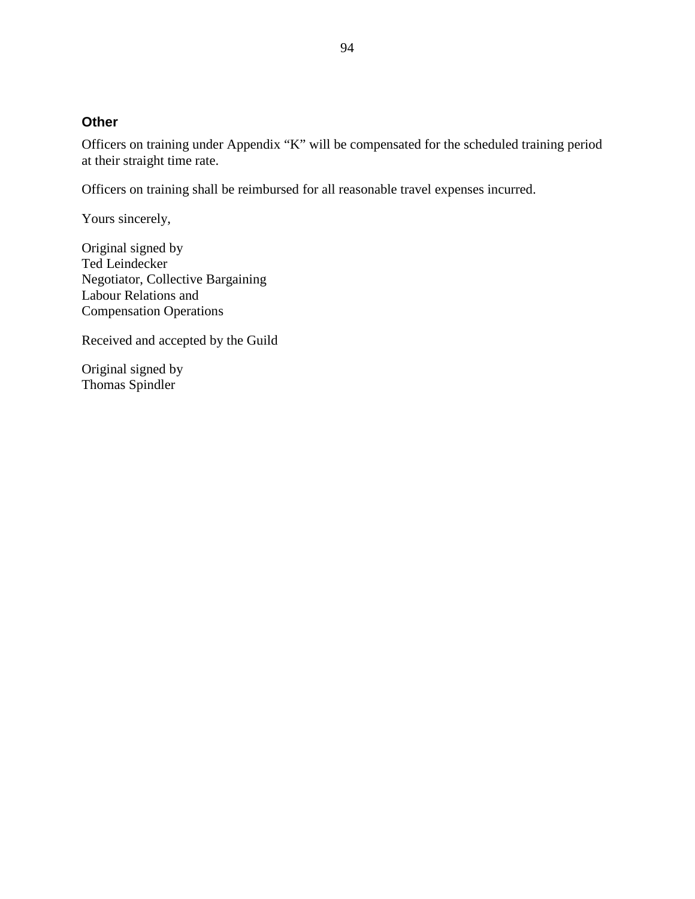### **Other**

Officers on training under Appendix "K" will be compensated for the scheduled training period at their straight time rate.

Officers on training shall be reimbursed for all reasonable travel expenses incurred.

Yours sincerely,

Original signed by Ted Leindecker Negotiator, Collective Bargaining Labour Relations and Compensation Operations

Received and accepted by the Guild

Original signed by Thomas Spindler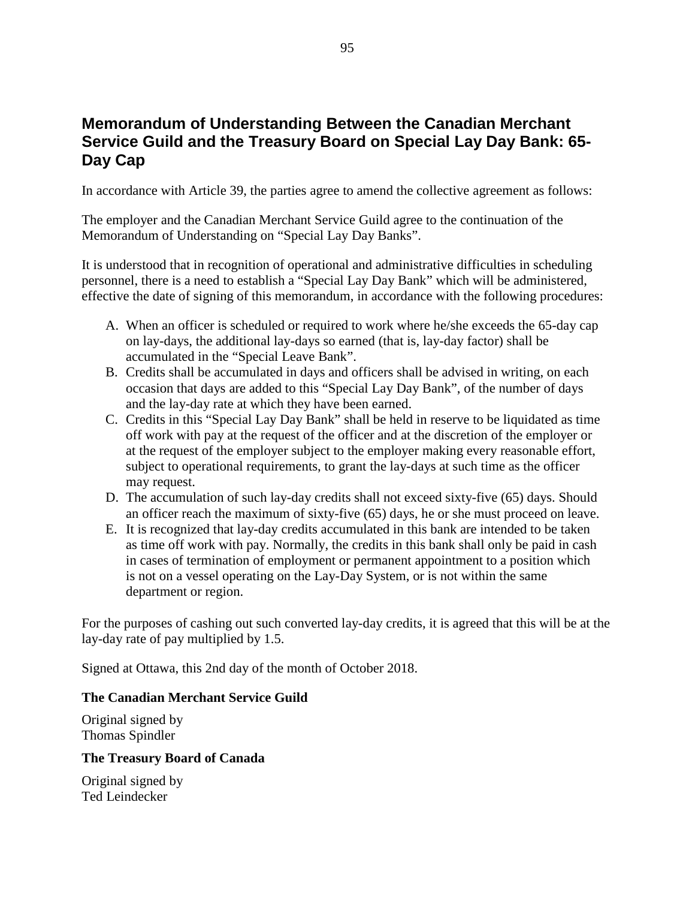# **Memorandum of Understanding Between the Canadian Merchant Service Guild and the Treasury Board on Special Lay Day Bank: 65- Day Cap**

In accordance with Article 39, the parties agree to amend the collective agreement as follows:

The employer and the Canadian Merchant Service Guild agree to the continuation of the Memorandum of Understanding on "Special Lay Day Banks".

It is understood that in recognition of operational and administrative difficulties in scheduling personnel, there is a need to establish a "Special Lay Day Bank" which will be administered, effective the date of signing of this memorandum, in accordance with the following procedures:

- A. When an officer is scheduled or required to work where he/she exceeds the 65-day cap on lay-days, the additional lay-days so earned (that is, lay-day factor) shall be accumulated in the "Special Leave Bank".
- B. Credits shall be accumulated in days and officers shall be advised in writing, on each occasion that days are added to this "Special Lay Day Bank", of the number of days and the lay-day rate at which they have been earned.
- C. Credits in this "Special Lay Day Bank" shall be held in reserve to be liquidated as time off work with pay at the request of the officer and at the discretion of the employer or at the request of the employer subject to the employer making every reasonable effort, subject to operational requirements, to grant the lay-days at such time as the officer may request.
- D. The accumulation of such lay-day credits shall not exceed sixty-five (65) days. Should an officer reach the maximum of sixty-five (65) days, he or she must proceed on leave.
- E. It is recognized that lay-day credits accumulated in this bank are intended to be taken as time off work with pay. Normally, the credits in this bank shall only be paid in cash in cases of termination of employment or permanent appointment to a position which is not on a vessel operating on the Lay-Day System, or is not within the same department or region.

For the purposes of cashing out such converted lay-day credits, it is agreed that this will be at the lay-day rate of pay multiplied by 1.5.

Signed at Ottawa, this 2nd day of the month of October 2018.

### **The Canadian Merchant Service Guild**

Original signed by Thomas Spindler

# **The Treasury Board of Canada**

Original signed by Ted Leindecker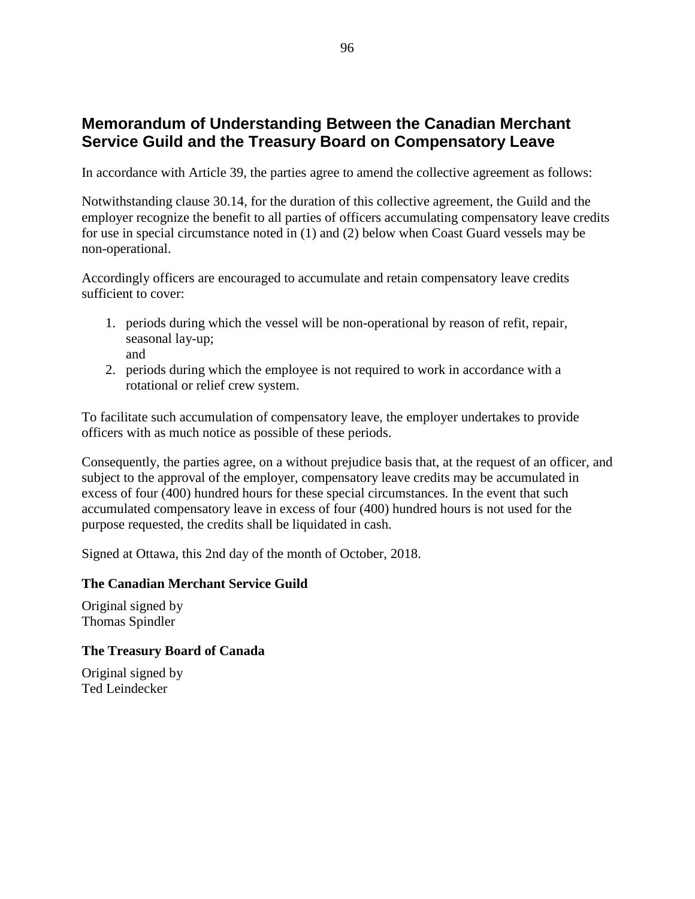# **Memorandum of Understanding Between the Canadian Merchant Service Guild and the Treasury Board on Compensatory Leave**

In accordance with Article 39, the parties agree to amend the collective agreement as follows:

Notwithstanding clause 30.14, for the duration of this collective agreement, the Guild and the employer recognize the benefit to all parties of officers accumulating compensatory leave credits for use in special circumstance noted in (1) and (2) below when Coast Guard vessels may be non-operational.

Accordingly officers are encouraged to accumulate and retain compensatory leave credits sufficient to cover:

- 1. periods during which the vessel will be non-operational by reason of refit, repair, seasonal lay-up; and
- 2. periods during which the employee is not required to work in accordance with a rotational or relief crew system.

To facilitate such accumulation of compensatory leave, the employer undertakes to provide officers with as much notice as possible of these periods.

Consequently, the parties agree, on a without prejudice basis that, at the request of an officer, and subject to the approval of the employer, compensatory leave credits may be accumulated in excess of four (400) hundred hours for these special circumstances. In the event that such accumulated compensatory leave in excess of four (400) hundred hours is not used for the purpose requested, the credits shall be liquidated in cash.

Signed at Ottawa, this 2nd day of the month of October, 2018.

### **The Canadian Merchant Service Guild**

Original signed by Thomas Spindler

### **The Treasury Board of Canada**

Original signed by Ted Leindecker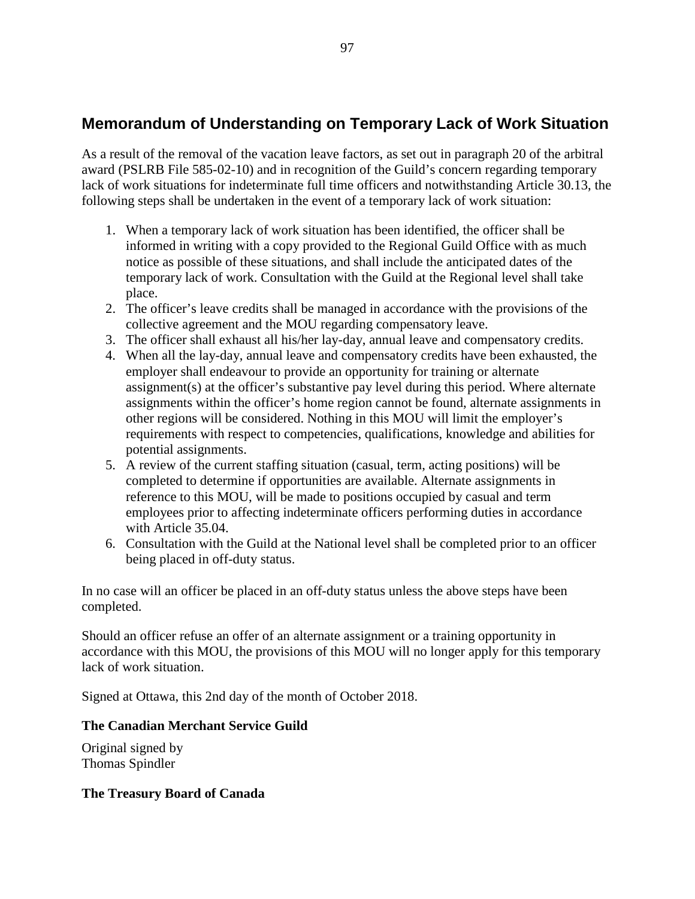# **Memorandum of Understanding on Temporary Lack of Work Situation**

As a result of the removal of the vacation leave factors, as set out in paragraph 20 of the arbitral award (PSLRB File 585-02-10) and in recognition of the Guild's concern regarding temporary lack of work situations for indeterminate full time officers and notwithstanding Article 30.13, the following steps shall be undertaken in the event of a temporary lack of work situation:

- 1. When a temporary lack of work situation has been identified, the officer shall be informed in writing with a copy provided to the Regional Guild Office with as much notice as possible of these situations, and shall include the anticipated dates of the temporary lack of work. Consultation with the Guild at the Regional level shall take place.
- 2. The officer's leave credits shall be managed in accordance with the provisions of the collective agreement and the MOU regarding compensatory leave.
- 3. The officer shall exhaust all his/her lay-day, annual leave and compensatory credits.
- 4. When all the lay-day, annual leave and compensatory credits have been exhausted, the employer shall endeavour to provide an opportunity for training or alternate assignment(s) at the officer's substantive pay level during this period. Where alternate assignments within the officer's home region cannot be found, alternate assignments in other regions will be considered. Nothing in this MOU will limit the employer's requirements with respect to competencies, qualifications, knowledge and abilities for potential assignments.
- 5. A review of the current staffing situation (casual, term, acting positions) will be completed to determine if opportunities are available. Alternate assignments in reference to this MOU, will be made to positions occupied by casual and term employees prior to affecting indeterminate officers performing duties in accordance with Article 35.04.
- 6. Consultation with the Guild at the National level shall be completed prior to an officer being placed in off-duty status.

In no case will an officer be placed in an off-duty status unless the above steps have been completed.

Should an officer refuse an offer of an alternate assignment or a training opportunity in accordance with this MOU, the provisions of this MOU will no longer apply for this temporary lack of work situation.

Signed at Ottawa, this 2nd day of the month of October 2018.

# **The Canadian Merchant Service Guild**

Original signed by Thomas Spindler

# **The Treasury Board of Canada**